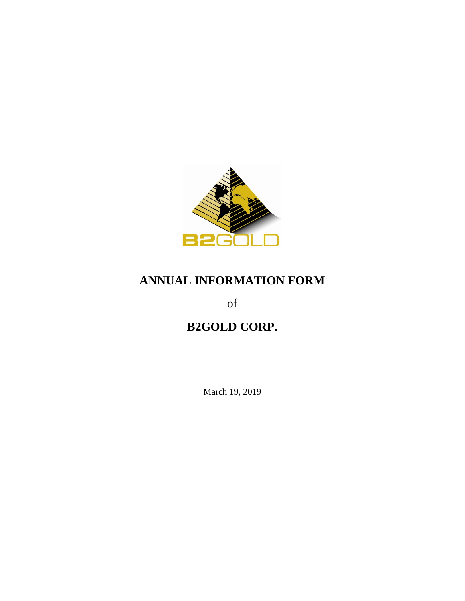

# **ANNUAL INFORMATION FORM**

of

# **B2GOLD CORP.**

March 19, 2019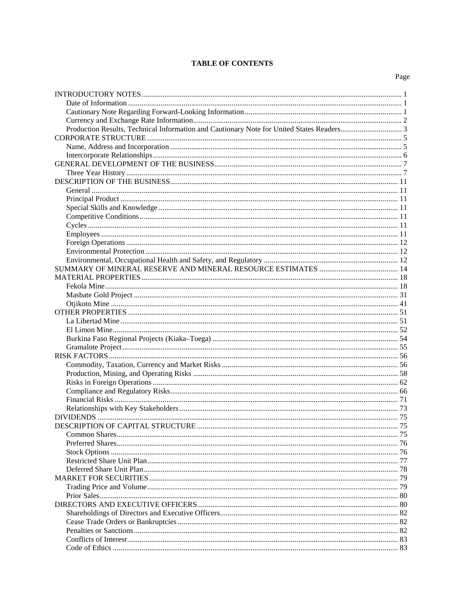# **TABLE OF CONTENTS**

| . .<br>٠<br>۰,<br>×<br>×<br>۰. |
|--------------------------------|
|--------------------------------|

| DESCRIPTION OF CAPITAL STRUCTURE. | 75 |
|-----------------------------------|----|
|                                   |    |
|                                   |    |
|                                   |    |
|                                   |    |
|                                   |    |
|                                   |    |
|                                   |    |
|                                   |    |
|                                   |    |
|                                   |    |
|                                   |    |
|                                   |    |
|                                   |    |
|                                   |    |
|                                   |    |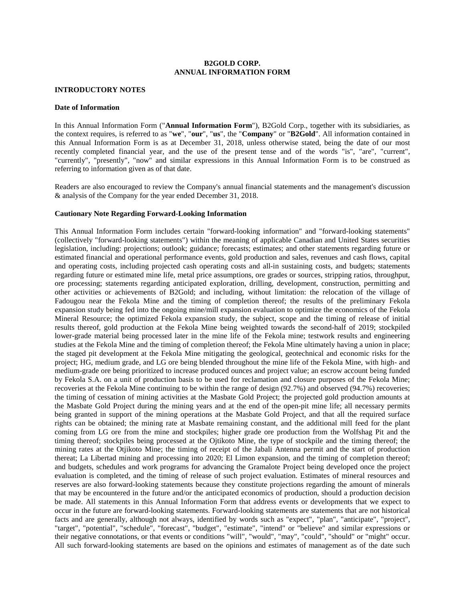# **B2GOLD CORP. ANNUAL INFORMATION FORM**

#### <span id="page-3-0"></span>**INTRODUCTORY NOTES**

#### <span id="page-3-1"></span>**Date of Information**

In this Annual Information Form ("**Annual Information Form**"), B2Gold Corp., together with its subsidiaries, as the context requires, is referred to as "**we**", "**our**", "**us**", the "**Company**" or "**B2Gold**". All information contained in this Annual Information Form is as at December 31, 2018, unless otherwise stated, being the date of our most recently completed financial year, and the use of the present tense and of the words "is", "are", "current", "currently", "presently", "now" and similar expressions in this Annual Information Form is to be construed as referring to information given as of that date.

Readers are also encouraged to review the Company's annual financial statements and the management's discussion & analysis of the Company for the year ended December 31, 2018.

#### <span id="page-3-2"></span>**Cautionary Note Regarding Forward-Looking Information**

This Annual Information Form includes certain "forward-looking information" and "forward-looking statements" (collectively "forward-looking statements") within the meaning of applicable Canadian and United States securities legislation, including: projections; outlook; guidance; forecasts; estimates; and other statements regarding future or estimated financial and operational performance events, gold production and sales, revenues and cash flows, capital and operating costs, including projected cash operating costs and all-in sustaining costs, and budgets; statements regarding future or estimated mine life, metal price assumptions, ore grades or sources, stripping ratios, throughput, ore processing; statements regarding anticipated exploration, drilling, development, construction, permitting and other activities or achievements of B2Gold; and including, without limitation: the relocation of the village of Fadougou near the Fekola Mine and the timing of completion thereof; the results of the preliminary Fekola expansion study being fed into the ongoing mine/mill expansion evaluation to optimize the economics of the Fekola Mineral Resource; the optimized Fekola expansion study, the subject, scope and the timing of release of initial results thereof, gold production at the Fekola Mine being weighted towards the second-half of 2019; stockpiled lower-grade material being processed later in the mine life of the Fekola mine; testwork results and engineering studies at the Fekola Mine and the timing of completion thereof; the Fekola Mine ultimately having a union in place; the staged pit development at the Fekola Mine mitigating the geological, geotechnical and economic risks for the project; HG, medium grade, and LG ore being blended throughout the mine life of the Fekola Mine, with high- and medium-grade ore being prioritized to increase produced ounces and project value; an escrow account being funded by Fekola S.A. on a unit of production basis to be used for reclamation and closure purposes of the Fekola Mine; recoveries at the Fekola Mine continuing to be within the range of design (92.7%) and observed (94.7%) recoveries; the timing of cessation of mining activities at the Masbate Gold Project; the projected gold production amounts at the Masbate Gold Project during the mining years and at the end of the open-pit mine life; all necessary permits being granted in support of the mining operations at the Masbate Gold Project, and that all the required surface rights can be obtained; the mining rate at Masbate remaining constant, and the additional mill feed for the plant coming from LG ore from the mine and stockpiles; higher grade ore production from the Wolfshag Pit and the timing thereof; stockpiles being processed at the Ojtikoto Mine, the type of stockpile and the timing thereof; the mining rates at the Otjikoto Mine; the timing of receipt of the Jabali Antenna permit and the start of production thereat; La Libertad mining and processing into 2020; El Limon expansion, and the timing of completion thereof; and budgets, schedules and work programs for advancing the Gramalote Project being developed once the project evaluation is completed, and the timing of release of such project evaluation. Estimates of mineral resources and reserves are also forward-looking statements because they constitute projections regarding the amount of minerals that may be encountered in the future and/or the anticipated economics of production, should a production decision be made. All statements in this Annual Information Form that address events or developments that we expect to occur in the future are forward-looking statements. Forward-looking statements are statements that are not historical facts and are generally, although not always, identified by words such as "expect", "plan", "anticipate", "project", "target", "potential", "schedule", "forecast", "budget", "estimate", "intend" or "believe" and similar expressions or their negative connotations, or that events or conditions "will", "would", "may", "could", "should" or "might" occur. All such forward-looking statements are based on the opinions and estimates of management as of the date such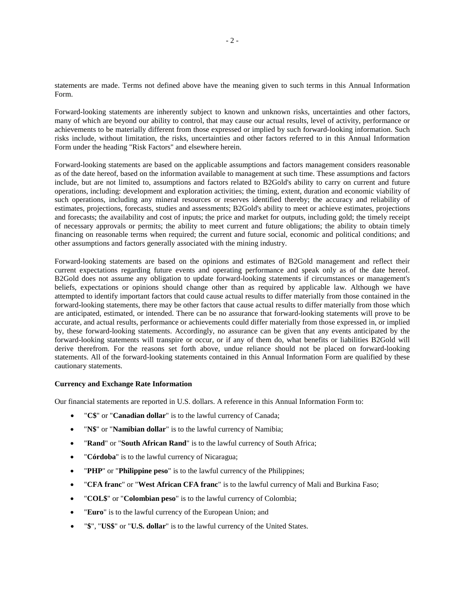statements are made. Terms not defined above have the meaning given to such terms in this Annual Information Form.

Forward-looking statements are inherently subject to known and unknown risks, uncertainties and other factors, many of which are beyond our ability to control, that may cause our actual results, level of activity, performance or achievements to be materially different from those expressed or implied by such forward-looking information. Such risks include, without limitation, the risks, uncertainties and other factors referred to in this Annual Information Form under the heading "Risk Factors" and elsewhere herein.

Forward-looking statements are based on the applicable assumptions and factors management considers reasonable as of the date hereof, based on the information available to management at such time. These assumptions and factors include, but are not limited to, assumptions and factors related to B2Gold's ability to carry on current and future operations, including: development and exploration activities; the timing, extent, duration and economic viability of such operations, including any mineral resources or reserves identified thereby; the accuracy and reliability of estimates, projections, forecasts, studies and assessments; B2Gold's ability to meet or achieve estimates, projections and forecasts; the availability and cost of inputs; the price and market for outputs, including gold; the timely receipt of necessary approvals or permits; the ability to meet current and future obligations; the ability to obtain timely financing on reasonable terms when required; the current and future social, economic and political conditions; and other assumptions and factors generally associated with the mining industry.

Forward-looking statements are based on the opinions and estimates of B2Gold management and reflect their current expectations regarding future events and operating performance and speak only as of the date hereof. B2Gold does not assume any obligation to update forward-looking statements if circumstances or management's beliefs, expectations or opinions should change other than as required by applicable law. Although we have attempted to identify important factors that could cause actual results to differ materially from those contained in the forward-looking statements, there may be other factors that cause actual results to differ materially from those which are anticipated, estimated, or intended. There can be no assurance that forward-looking statements will prove to be accurate, and actual results, performance or achievements could differ materially from those expressed in, or implied by, these forward-looking statements. Accordingly, no assurance can be given that any events anticipated by the forward-looking statements will transpire or occur, or if any of them do, what benefits or liabilities B2Gold will derive therefrom. For the reasons set forth above, undue reliance should not be placed on forward-looking statements. All of the forward-looking statements contained in this Annual Information Form are qualified by these cautionary statements.

# <span id="page-4-0"></span>**Currency and Exchange Rate Information**

Our financial statements are reported in U.S. dollars. A reference in this Annual Information Form to:

- "**C\$**" or "**Canadian dollar**" is to the lawful currency of Canada;
- "**N\$**" or "**Namibian dollar**" is to the lawful currency of Namibia;
- "**Rand**" or "**South African Rand**" is to the lawful currency of South Africa;
- "**Córdoba**" is to the lawful currency of Nicaragua;
- "**PHP**" or "**Philippine peso**" is to the lawful currency of the Philippines;
- "**CFA franc**" or "**West African CFA franc**" is to the lawful currency of Mali and Burkina Faso;
- "**COL\$**" or "**Colombian peso**" is to the lawful currency of Colombia;
- "**Euro**" is to the lawful currency of the European Union; and
- "**\$**", "**US\$**" or "**U.S. dollar**" is to the lawful currency of the United States.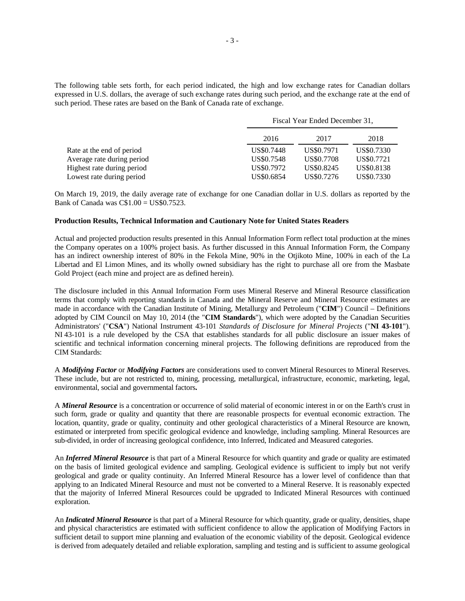The following table sets forth, for each period indicated, the high and low exchange rates for Canadian dollars expressed in U.S. dollars, the average of such exchange rates during such period, and the exchange rate at the end of such period. These rates are based on the Bank of Canada rate of exchange.

|                            |            | Fiscal Year Ended December 31, |            |  |  |  |
|----------------------------|------------|--------------------------------|------------|--|--|--|
|                            | 2016       | 2017                           | 2018       |  |  |  |
| Rate at the end of period  | US\$0.7448 | US\$0.7971                     | US\$0.7330 |  |  |  |
| Average rate during period | US\$0.7548 | US\$0.7708                     | US\$0.7721 |  |  |  |
| Highest rate during period | US\$0.7972 | US\$0.8245                     | US\$0.8138 |  |  |  |
| Lowest rate during period  | US\$0.6854 | US\$0.7276                     | US\$0.7330 |  |  |  |

On March 19, 2019, the daily average rate of exchange for one Canadian dollar in U.S. dollars as reported by the Bank of Canada was C\$1.00 = US\$0.7523.

# <span id="page-5-0"></span>**Production Results, Technical Information and Cautionary Note for United States Readers**

Actual and projected production results presented in this Annual Information Form reflect total production at the mines the Company operates on a 100% project basis. As further discussed in this Annual Information Form, the Company has an indirect ownership interest of 80% in the Fekola Mine, 90% in the Otjikoto Mine, 100% in each of the La Libertad and El Limon Mines, and its wholly owned subsidiary has the right to purchase all ore from the Masbate Gold Project (each mine and project are as defined herein).

The disclosure included in this Annual Information Form uses Mineral Reserve and Mineral Resource classification terms that comply with reporting standards in Canada and the Mineral Reserve and Mineral Resource estimates are made in accordance with the Canadian Institute of Mining, Metallurgy and Petroleum ("**CIM**") Council – Definitions adopted by CIM Council on May 10, 2014 (the "**CIM Standards**"), which were adopted by the Canadian Securities Administrators' ("**CSA**") National Instrument 43-101 *Standards of Disclosure for Mineral Projects* ("**NI 43-101**"). NI 43-101 is a rule developed by the CSA that establishes standards for all public disclosure an issuer makes of scientific and technical information concerning mineral projects. The following definitions are reproduced from the CIM Standards:

A *Modifying Factor* or *Modifying Factors* are considerations used to convert Mineral Resources to Mineral Reserves. These include, but are not restricted to, mining, processing, metallurgical, infrastructure, economic, marketing, legal, environmental, social and governmental factors**.**

A *Mineral Resource* is a concentration or occurrence of solid material of economic interest in or on the Earth's crust in such form, grade or quality and quantity that there are reasonable prospects for eventual economic extraction. The location, quantity, grade or quality, continuity and other geological characteristics of a Mineral Resource are known, estimated or interpreted from specific geological evidence and knowledge, including sampling. Mineral Resources are sub-divided, in order of increasing geological confidence, into Inferred, Indicated and Measured categories.

An *Inferred Mineral Resource* is that part of a Mineral Resource for which quantity and grade or quality are estimated on the basis of limited geological evidence and sampling. Geological evidence is sufficient to imply but not verify geological and grade or quality continuity. An Inferred Mineral Resource has a lower level of confidence than that applying to an Indicated Mineral Resource and must not be converted to a Mineral Reserve. It is reasonably expected that the majority of Inferred Mineral Resources could be upgraded to Indicated Mineral Resources with continued exploration.

An *Indicated Mineral Resource* is that part of a Mineral Resource for which quantity, grade or quality, densities, shape and physical characteristics are estimated with sufficient confidence to allow the application of Modifying Factors in sufficient detail to support mine planning and evaluation of the economic viability of the deposit. Geological evidence is derived from adequately detailed and reliable exploration, sampling and testing and is sufficient to assume geological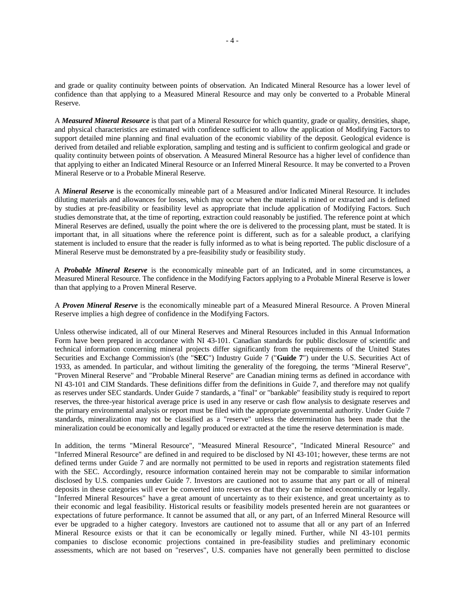and grade or quality continuity between points of observation. An Indicated Mineral Resource has a lower level of confidence than that applying to a Measured Mineral Resource and may only be converted to a Probable Mineral Reserve.

A *Measured Mineral Resource* is that part of a Mineral Resource for which quantity, grade or quality, densities, shape, and physical characteristics are estimated with confidence sufficient to allow the application of Modifying Factors to support detailed mine planning and final evaluation of the economic viability of the deposit. Geological evidence is derived from detailed and reliable exploration, sampling and testing and is sufficient to confirm geological and grade or quality continuity between points of observation. A Measured Mineral Resource has a higher level of confidence than that applying to either an Indicated Mineral Resource or an Inferred Mineral Resource. It may be converted to a Proven Mineral Reserve or to a Probable Mineral Reserve.

A *Mineral Reserve* is the economically mineable part of a Measured and/or Indicated Mineral Resource. It includes diluting materials and allowances for losses, which may occur when the material is mined or extracted and is defined by studies at pre-feasibility or feasibility level as appropriate that include application of Modifying Factors. Such studies demonstrate that, at the time of reporting, extraction could reasonably be justified. The reference point at which Mineral Reserves are defined, usually the point where the ore is delivered to the processing plant, must be stated. It is important that, in all situations where the reference point is different, such as for a saleable product, a clarifying statement is included to ensure that the reader is fully informed as to what is being reported. The public disclosure of a Mineral Reserve must be demonstrated by a pre-feasibility study or feasibility study.

A *Probable Mineral Reserve* is the economically mineable part of an Indicated, and in some circumstances, a Measured Mineral Resource. The confidence in the Modifying Factors applying to a Probable Mineral Reserve is lower than that applying to a Proven Mineral Reserve.

A *Proven Mineral Reserve* is the economically mineable part of a Measured Mineral Resource. A Proven Mineral Reserve implies a high degree of confidence in the Modifying Factors.

Unless otherwise indicated, all of our Mineral Reserves and Mineral Resources included in this Annual Information Form have been prepared in accordance with NI 43-101. Canadian standards for public disclosure of scientific and technical information concerning mineral projects differ significantly from the requirements of the United States Securities and Exchange Commission's (the "**SEC**") Industry Guide 7 ("**Guide 7**") under the U.S. Securities Act of 1933, as amended. In particular, and without limiting the generality of the foregoing, the terms "Mineral Reserve", "Proven Mineral Reserve" and "Probable Mineral Reserve" are Canadian mining terms as defined in accordance with NI 43-101 and CIM Standards. These definitions differ from the definitions in Guide 7, and therefore may not qualify as reserves under SEC standards. Under Guide 7 standards, a "final" or "bankable" feasibility study is required to report reserves, the three-year historical average price is used in any reserve or cash flow analysis to designate reserves and the primary environmental analysis or report must be filed with the appropriate governmental authority. Under Guide 7 standards, mineralization may not be classified as a "reserve" unless the determination has been made that the mineralization could be economically and legally produced or extracted at the time the reserve determination is made.

In addition, the terms "Mineral Resource", "Measured Mineral Resource", "Indicated Mineral Resource" and "Inferred Mineral Resource" are defined in and required to be disclosed by NI 43-101; however, these terms are not defined terms under Guide 7 and are normally not permitted to be used in reports and registration statements filed with the SEC. Accordingly, resource information contained herein may not be comparable to similar information disclosed by U.S. companies under Guide 7. Investors are cautioned not to assume that any part or all of mineral deposits in these categories will ever be converted into reserves or that they can be mined economically or legally. "Inferred Mineral Resources" have a great amount of uncertainty as to their existence, and great uncertainty as to their economic and legal feasibility. Historical results or feasibility models presented herein are not guarantees or expectations of future performance. It cannot be assumed that all, or any part, of an Inferred Mineral Resource will ever be upgraded to a higher category. Investors are cautioned not to assume that all or any part of an Inferred Mineral Resource exists or that it can be economically or legally mined. Further, while NI 43-101 permits companies to disclose economic projections contained in pre-feasibility studies and preliminary economic assessments, which are not based on "reserves", U.S. companies have not generally been permitted to disclose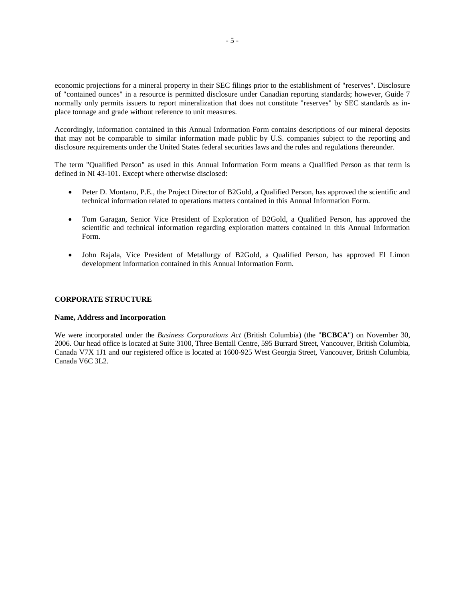economic projections for a mineral property in their SEC filings prior to the establishment of "reserves". Disclosure of "contained ounces" in a resource is permitted disclosure under Canadian reporting standards; however, Guide 7 normally only permits issuers to report mineralization that does not constitute "reserves" by SEC standards as inplace tonnage and grade without reference to unit measures.

Accordingly, information contained in this Annual Information Form contains descriptions of our mineral deposits that may not be comparable to similar information made public by U.S. companies subject to the reporting and disclosure requirements under the United States federal securities laws and the rules and regulations thereunder.

The term "Qualified Person" as used in this Annual Information Form means a Qualified Person as that term is defined in NI 43-101. Except where otherwise disclosed:

- Peter D. Montano, P.E., the Project Director of B2Gold, a Qualified Person, has approved the scientific and technical information related to operations matters contained in this Annual Information Form.
- Tom Garagan, Senior Vice President of Exploration of B2Gold, a Qualified Person, has approved the scientific and technical information regarding exploration matters contained in this Annual Information Form.
- John Rajala, Vice President of Metallurgy of B2Gold, a Qualified Person, has approved El Limon development information contained in this Annual Information Form.

# <span id="page-7-0"></span>**CORPORATE STRUCTURE**

# <span id="page-7-1"></span>**Name, Address and Incorporation**

We were incorporated under the *Business Corporations Act* (British Columbia) (the "**BCBCA**") on November 30, 2006. Our head office is located at Suite 3100, Three Bentall Centre, 595 Burrard Street, Vancouver, British Columbia, Canada V7X 1J1 and our registered office is located at 1600-925 West Georgia Street, Vancouver, British Columbia, Canada V6C 3L2.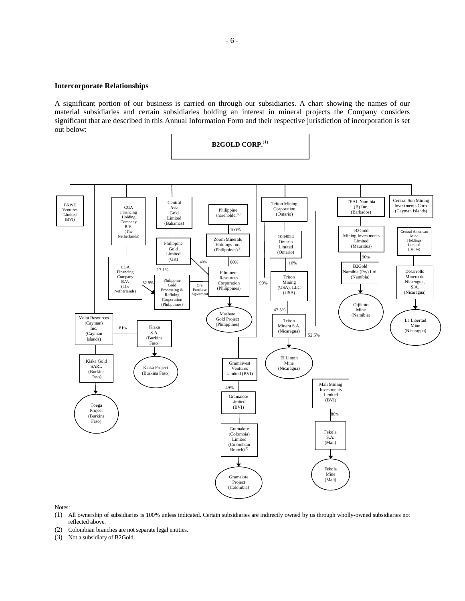#### <span id="page-8-0"></span>**Intercorporate Relationships**

A significant portion of our business is carried on through our subsidiaries. A chart showing the names of our material subsidiaries and certain subsidiaries holding an interest in mineral projects the Company considers significant that are described in this Annual Information Form and their respective jurisdiction of incorporation is set out below:



Notes:

- (1) All ownership of subsidiaries is 100% unless indicated. Certain subsidiaries are indirectly owned by us through wholly-owned subsidiaries not reflected above.
- (2) Colombian branches are not separate legal entities.
- (3) Not a subsidiary of B2Gold.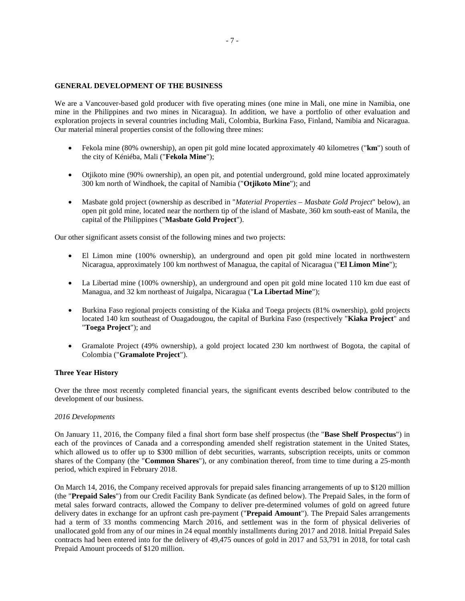# <span id="page-9-0"></span>**GENERAL DEVELOPMENT OF THE BUSINESS**

We are a Vancouver-based gold producer with five operating mines (one mine in Mali, one mine in Namibia, one mine in the Philippines and two mines in Nicaragua). In addition, we have a portfolio of other evaluation and exploration projects in several countries including Mali, Colombia, Burkina Faso, Finland, Namibia and Nicaragua. Our material mineral properties consist of the following three mines:

- Fekola mine (80% ownership), an open pit gold mine located approximately 40 kilometres ("**km**") south of the city of Kéniéba, Mali ("**Fekola Mine**");
- Otjikoto mine (90% ownership), an open pit, and potential underground, gold mine located approximately 300 km north of Windhoek, the capital of Namibia ("**Otjikoto Mine**"); and
- Masbate gold project (ownership as described in "*Material Properties – Masbate Gold Project*" below), an open pit gold mine, located near the northern tip of the island of Masbate, 360 km south-east of Manila, the capital of the Philippines ("**Masbate Gold Project**").

Our other significant assets consist of the following mines and two projects:

- El Limon mine (100% ownership), an underground and open pit gold mine located in northwestern Nicaragua, approximately 100 km northwest of Managua, the capital of Nicaragua ("**El Limon Mine**");
- La Libertad mine (100% ownership), an underground and open pit gold mine located 110 km due east of Managua, and 32 km northeast of Juigalpa, Nicaragua ("**La Libertad Mine**");
- Burkina Faso regional projects consisting of the Kiaka and Toega projects (81% ownership), gold projects located 140 km southeast of Ouagadougou, the capital of Burkina Faso (respectively "**Kiaka Project**" and "**Toega Project**"); and
- Gramalote Project (49% ownership), a gold project located 230 km northwest of Bogota, the capital of Colombia ("**Gramalote Project**").

# <span id="page-9-1"></span>**Three Year History**

Over the three most recently completed financial years, the significant events described below contributed to the development of our business.

#### *2016 Developments*

On January 11, 2016, the Company filed a final short form base shelf prospectus (the "**Base Shelf Prospectus**") in each of the provinces of Canada and a corresponding amended shelf registration statement in the United States, which allowed us to offer up to \$300 million of debt securities, warrants, subscription receipts, units or common shares of the Company (the "**Common Shares**"), or any combination thereof, from time to time during a 25-month period, which expired in February 2018.

On March 14, 2016, the Company received approvals for prepaid sales financing arrangements of up to \$120 million (the "**Prepaid Sales**") from our Credit Facility Bank Syndicate (as defined below). The Prepaid Sales, in the form of metal sales forward contracts, allowed the Company to deliver pre-determined volumes of gold on agreed future delivery dates in exchange for an upfront cash pre-payment ("**Prepaid Amount**"). The Prepaid Sales arrangements had a term of 33 months commencing March 2016, and settlement was in the form of physical deliveries of unallocated gold from any of our mines in 24 equal monthly installments during 2017 and 2018. Initial Prepaid Sales contracts had been entered into for the delivery of 49,475 ounces of gold in 2017 and 53,791 in 2018, for total cash Prepaid Amount proceeds of \$120 million.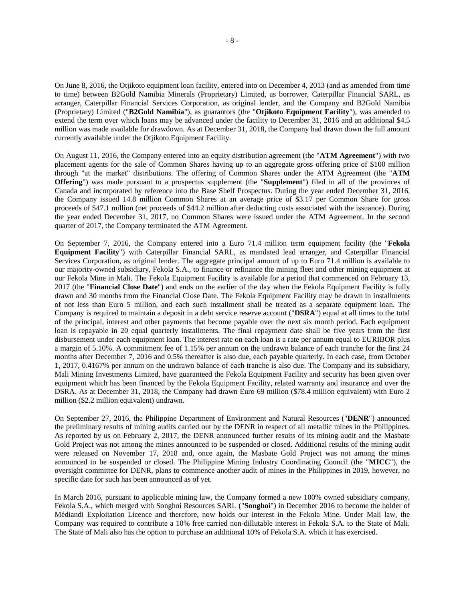On June 8, 2016, the Otjikoto equipment loan facility, entered into on December 4, 2013 (and as amended from time to time) between B2Gold Namibia Minerals (Proprietary) Limited, as borrower, Caterpillar Financial SARL, as arranger, Caterpillar Financial Services Corporation, as original lender, and the Company and B2Gold Namibia (Proprietary) Limited ("**B2Gold Namibia**"), as guarantors (the "**Otjikoto Equipment Facility**"), was amended to extend the term over which loans may be advanced under the facility to December 31, 2016 and an additional \$4.5 million was made available for drawdown. As at December 31, 2018, the Company had drawn down the full amount currently available under the Otjikoto Equipment Facility.

On August 11, 2016, the Company entered into an equity distribution agreement (the "**ATM Agreement**") with two placement agents for the sale of Common Shares having up to an aggregate gross offering price of \$100 million through "at the market" distributions. The offering of Common Shares under the ATM Agreement (the "**ATM Offering**") was made pursuant to a prospectus supplement (the "**Supplement**") filed in all of the provinces of Canada and incorporated by reference into the Base Shelf Prospectus. During the year ended December 31, 2016, the Company issued 14.8 million Common Shares at an average price of \$3.17 per Common Share for gross proceeds of \$47.1 million (net proceeds of \$44.2 million after deducting costs associated with the issuance). During the year ended December 31, 2017, no Common Shares were issued under the ATM Agreement. In the second quarter of 2017, the Company terminated the ATM Agreement.

On September 7, 2016, the Company entered into a Euro 71.4 million term equipment facility (the "**Fekola Equipment Facility**") with Caterpillar Financial SARL, as mandated lead arranger, and Caterpillar Financial Services Corporation, as original lender. The aggregate principal amount of up to Euro 71.4 million is available to our majority-owned subsidiary, Fekola S.A., to finance or refinance the mining fleet and other mining equipment at our Fekola Mine in Mali. The Fekola Equipment Facility is available for a period that commenced on February 13, 2017 (the "**Financial Close Date**") and ends on the earlier of the day when the Fekola Equipment Facility is fully drawn and 30 months from the Financial Close Date. The Fekola Equipment Facility may be drawn in installments of not less than Euro 5 million, and each such installment shall be treated as a separate equipment loan. The Company is required to maintain a deposit in a debt service reserve account ("**DSRA**") equal at all times to the total of the principal, interest and other payments that become payable over the next six month period. Each equipment loan is repayable in 20 equal quarterly installments. The final repayment date shall be five years from the first disbursement under each equipment loan. The interest rate on each loan is a rate per annum equal to EURIBOR plus a margin of 5.10%. A commitment fee of 1.15% per annum on the undrawn balance of each tranche for the first 24 months after December 7, 2016 and 0.5% thereafter is also due, each payable quarterly. In each case, from October 1, 2017, 0.4167% per annum on the undrawn balance of each tranche is also due. The Company and its subsidiary, Mali Mining Investments Limited, have guaranteed the Fekola Equipment Facility and security has been given over equipment which has been financed by the Fekola Equipment Facility, related warranty and insurance and over the DSRA. As at December 31, 2018, the Company had drawn Euro 69 million (\$78.4 million equivalent) with Euro 2 million (\$2.2 million equivalent) undrawn.

On September 27, 2016, the Philippine Department of Environment and Natural Resources ("**DENR**") announced the preliminary results of mining audits carried out by the DENR in respect of all metallic mines in the Philippines. As reported by us on February 2, 2017, the DENR announced further results of its mining audit and the Masbate Gold Project was not among the mines announced to be suspended or closed. Additional results of the mining audit were released on November 17, 2018 and, once again, the Masbate Gold Project was not among the mines announced to be suspended or closed. The Philippine Mining Industry Coordinating Council (the "**MICC**"), the oversight committee for DENR, plans to commence another audit of mines in the Philippines in 2019, however, no specific date for such has been announced as of yet.

In March 2016, pursuant to applicable mining law, the Company formed a new 100% owned subsidiary company, Fekola S.A., which merged with Songhoi Resources SARL ("**Songhoi**") in December 2016 to become the holder of Médiandi Exploitation Licence and therefore, now holds our interest in the Fekola Mine. Under Mali law, the Company was required to contribute a 10% free carried non-dillutable interest in Fekola S.A. to the State of Mali. The State of Mali also has the option to purchase an additional 10% of Fekola S.A. which it has exercised.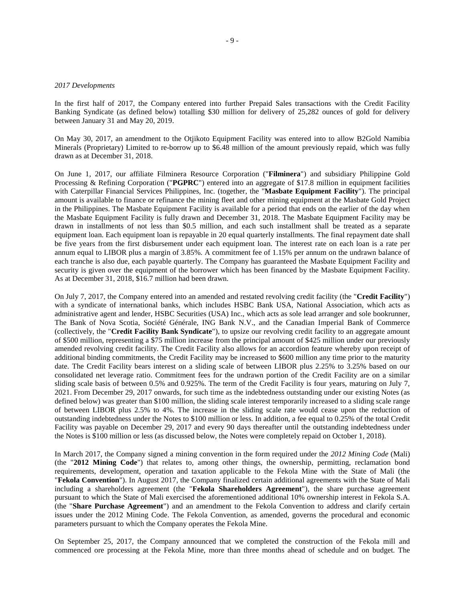#### *2017 Developments*

In the first half of 2017, the Company entered into further Prepaid Sales transactions with the Credit Facility Banking Syndicate (as defined below) totalling \$30 million for delivery of 25,282 ounces of gold for delivery between January 31 and May 20, 2019.

On May 30, 2017, an amendment to the Otjikoto Equipment Facility was entered into to allow B2Gold Namibia Minerals (Proprietary) Limited to re-borrow up to \$6.48 million of the amount previously repaid, which was fully drawn as at December 31, 2018.

On June 1, 2017, our affiliate Filminera Resource Corporation ("**Filminera**") and subsidiary Philippine Gold Processing & Refining Corporation ("**PGPRC**") entered into an aggregate of \$17.8 million in equipment facilities with Caterpillar Financial Services Philippines, Inc. (together, the "**Masbate Equipment Facility**"). The principal amount is available to finance or refinance the mining fleet and other mining equipment at the Masbate Gold Project in the Philippines. The Masbate Equipment Facility is available for a period that ends on the earlier of the day when the Masbate Equipment Facility is fully drawn and December 31, 2018. The Masbate Equipment Facility may be drawn in installments of not less than \$0.5 million, and each such installment shall be treated as a separate equipment loan. Each equipment loan is repayable in 20 equal quarterly installments. The final repayment date shall be five years from the first disbursement under each equipment loan. The interest rate on each loan is a rate per annum equal to LIBOR plus a margin of 3.85%. A commitment fee of 1.15% per annum on the undrawn balance of each tranche is also due, each payable quarterly. The Company has guaranteed the Masbate Equipment Facility and security is given over the equipment of the borrower which has been financed by the Masbate Equipment Facility. As at December 31, 2018, \$16.7 million had been drawn.

On July 7, 2017, the Company entered into an amended and restated revolving credit facility (the "**Credit Facility**") with a syndicate of international banks, which includes HSBC Bank USA, National Association, which acts as administrative agent and lender, HSBC Securities (USA) Inc., which acts as sole lead arranger and sole bookrunner, The Bank of Nova Scotia, Société Générale, ING Bank N.V., and the Canadian Imperial Bank of Commerce (collectively, the "**Credit Facility Bank Syndicate**"), to upsize our revolving credit facility to an aggregate amount of \$500 million, representing a \$75 million increase from the principal amount of \$425 million under our previously amended revolving credit facility. The Credit Facility also allows for an accordion feature whereby upon receipt of additional binding commitments, the Credit Facility may be increased to \$600 million any time prior to the maturity date. The Credit Facility bears interest on a sliding scale of between LIBOR plus 2.25% to 3.25% based on our consolidated net leverage ratio. Commitment fees for the undrawn portion of the Credit Facility are on a similar sliding scale basis of between 0.5% and 0.925%. The term of the Credit Facility is four years, maturing on July 7, 2021. From December 29, 2017 onwards, for such time as the indebtedness outstanding under our existing Notes (as defined below) was greater than \$100 million, the sliding scale interest temporarily increased to a sliding scale range of between LIBOR plus 2.5% to 4%. The increase in the sliding scale rate would cease upon the reduction of outstanding indebtedness under the Notes to \$100 million or less. In addition, a fee equal to 0.25% of the total Credit Facility was payable on December 29, 2017 and every 90 days thereafter until the outstanding indebtedness under the Notes is \$100 million or less (as discussed below, the Notes were completely repaid on October 1, 2018).

In March 2017, the Company signed a mining convention in the form required under the *2012 Mining Code* (Mali) (the "**2012 Mining Code**") that relates to, among other things, the ownership, permitting, reclamation bond requirements, development, operation and taxation applicable to the Fekola Mine with the State of Mali (the "**Fekola Convention**"). In August 2017, the Company finalized certain additional agreements with the State of Mali including a shareholders agreement (the "**Fekola Shareholders Agreement**"), the share purchase agreement pursuant to which the State of Mali exercised the aforementioned additional 10% ownership interest in Fekola S.A. (the "**Share Purchase Agreement**") and an amendment to the Fekola Convention to address and clarify certain issues under the 2012 Mining Code. The Fekola Convention, as amended, governs the procedural and economic parameters pursuant to which the Company operates the Fekola Mine.

On September 25, 2017, the Company announced that we completed the construction of the Fekola mill and commenced ore processing at the Fekola Mine, more than three months ahead of schedule and on budget. The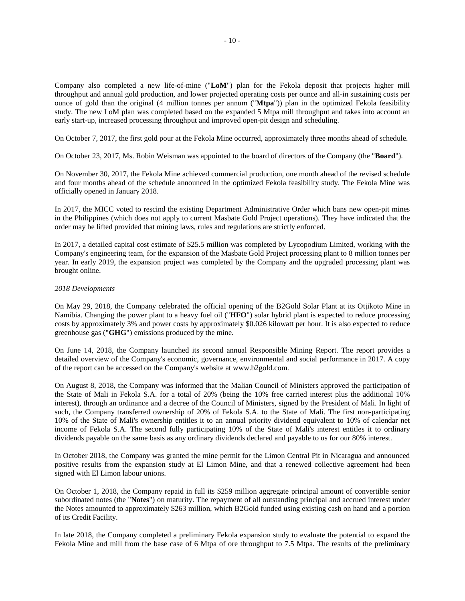Company also completed a new life-of-mine ("**LoM**") plan for the Fekola deposit that projects higher mill throughput and annual gold production, and lower projected operating costs per ounce and all-in sustaining costs per ounce of gold than the original (4 million tonnes per annum ("**Mtpa**")) plan in the optimized Fekola feasibility study. The new LoM plan was completed based on the expanded 5 Mtpa mill throughput and takes into account an early start-up, increased processing throughput and improved open-pit design and scheduling.

On October 7, 2017, the first gold pour at the Fekola Mine occurred, approximately three months ahead of schedule.

On October 23, 2017, Ms. Robin Weisman was appointed to the board of directors of the Company (the "**Board**").

On November 30, 2017, the Fekola Mine achieved commercial production, one month ahead of the revised schedule and four months ahead of the schedule announced in the optimized Fekola feasibility study. The Fekola Mine was officially opened in January 2018.

In 2017, the MICC voted to rescind the existing Department Administrative Order which bans new open-pit mines in the Philippines (which does not apply to current Masbate Gold Project operations). They have indicated that the order may be lifted provided that mining laws, rules and regulations are strictly enforced.

In 2017, a detailed capital cost estimate of \$25.5 million was completed by Lycopodium Limited, working with the Company's engineering team, for the expansion of the Masbate Gold Project processing plant to 8 million tonnes per year. In early 2019, the expansion project was completed by the Company and the upgraded processing plant was brought online.

# *2018 Developments*

On May 29, 2018, the Company celebrated the official opening of the B2Gold Solar Plant at its Otjikoto Mine in Namibia. Changing the power plant to a heavy fuel oil ("**HFO**") solar hybrid plant is expected to reduce processing costs by approximately 3% and power costs by approximately \$0.026 kilowatt per hour. It is also expected to reduce greenhouse gas ("**GHG**") emissions produced by the mine.

On June 14, 2018, the Company launched its second annual Responsible Mining Report. The report provides a detailed overview of the Company's economic, governance, environmental and social performance in 2017. A copy of the report can be accessed on the Company's website at www.b2gold.com.

On August 8, 2018, the Company was informed that the Malian Council of Ministers approved the participation of the State of Mali in Fekola S.A. for a total of 20% (being the 10% free carried interest plus the additional 10% interest), through an ordinance and a decree of the Council of Ministers, signed by the President of Mali. In light of such, the Company transferred ownership of 20% of Fekola S.A. to the State of Mali. The first non-participating 10% of the State of Mali's ownership entitles it to an annual priority dividend equivalent to 10% of calendar net income of Fekola S.A. The second fully participating 10% of the State of Mali's interest entitles it to ordinary dividends payable on the same basis as any ordinary dividends declared and payable to us for our 80% interest.

In October 2018, the Company was granted the mine permit for the Limon Central Pit in Nicaragua and announced positive results from the expansion study at El Limon Mine, and that a renewed collective agreement had been signed with El Limon labour unions.

On October 1, 2018, the Company repaid in full its \$259 million aggregate principal amount of convertible senior subordinated notes (the "**Notes**") on maturity. The repayment of all outstanding principal and accrued interest under the Notes amounted to approximately \$263 million, which B2Gold funded using existing cash on hand and a portion of its Credit Facility.

In late 2018, the Company completed a preliminary Fekola expansion study to evaluate the potential to expand the Fekola Mine and mill from the base case of 6 Mtpa of ore throughput to 7.5 Mtpa. The results of the preliminary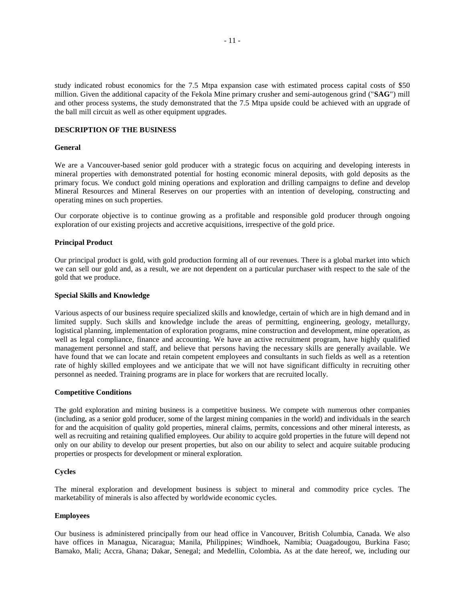study indicated robust economics for the 7.5 Mtpa expansion case with estimated process capital costs of \$50 million. Given the additional capacity of the Fekola Mine primary crusher and semi-autogenous grind ("**SAG**") mill and other process systems, the study demonstrated that the 7.5 Mtpa upside could be achieved with an upgrade of the ball mill circuit as well as other equipment upgrades.

# <span id="page-13-0"></span>**DESCRIPTION OF THE BUSINESS**

#### <span id="page-13-1"></span>**General**

We are a Vancouver-based senior gold producer with a strategic focus on acquiring and developing interests in mineral properties with demonstrated potential for hosting economic mineral deposits, with gold deposits as the primary focus. We conduct gold mining operations and exploration and drilling campaigns to define and develop Mineral Resources and Mineral Reserves on our properties with an intention of developing, constructing and operating mines on such properties.

Our corporate objective is to continue growing as a profitable and responsible gold producer through ongoing exploration of our existing projects and accretive acquisitions, irrespective of the gold price.

#### <span id="page-13-2"></span>**Principal Product**

Our principal product is gold, with gold production forming all of our revenues. There is a global market into which we can sell our gold and, as a result, we are not dependent on a particular purchaser with respect to the sale of the gold that we produce.

# <span id="page-13-3"></span>**Special Skills and Knowledge**

Various aspects of our business require specialized skills and knowledge, certain of which are in high demand and in limited supply. Such skills and knowledge include the areas of permitting, engineering, geology, metallurgy, logistical planning, implementation of exploration programs, mine construction and development, mine operation, as well as legal compliance, finance and accounting. We have an active recruitment program, have highly qualified management personnel and staff, and believe that persons having the necessary skills are generally available. We have found that we can locate and retain competent employees and consultants in such fields as well as a retention rate of highly skilled employees and we anticipate that we will not have significant difficulty in recruiting other personnel as needed. Training programs are in place for workers that are recruited locally.

#### <span id="page-13-4"></span>**Competitive Conditions**

The gold exploration and mining business is a competitive business. We compete with numerous other companies (including, as a senior gold producer, some of the largest mining companies in the world) and individuals in the search for and the acquisition of quality gold properties, mineral claims, permits, concessions and other mineral interests, as well as recruiting and retaining qualified employees. Our ability to acquire gold properties in the future will depend not only on our ability to develop our present properties, but also on our ability to select and acquire suitable producing properties or prospects for development or mineral exploration.

# <span id="page-13-5"></span>**Cycles**

The mineral exploration and development business is subject to mineral and commodity price cycles. The marketability of minerals is also affected by worldwide economic cycles.

# <span id="page-13-6"></span>**Employees**

Our business is administered principally from our head office in Vancouver, British Columbia, Canada. We also have offices in Managua, Nicaragua; Manila, Philippines; Windhoek, Namibia; Ouagadougou, Burkina Faso; Bamako, Mali; Accra, Ghana; Dakar, Senegal; and Medellin, Colombia**.** As at the date hereof, we, including our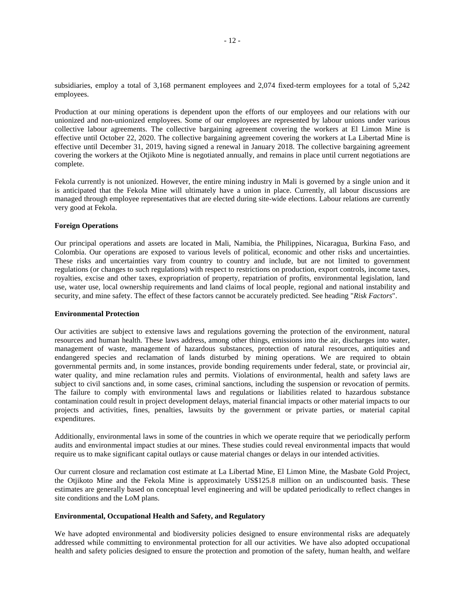subsidiaries, employ a total of 3,168 permanent employees and 2,074 fixed-term employees for a total of 5,242 employees.

Production at our mining operations is dependent upon the efforts of our employees and our relations with our unionized and non-unionized employees. Some of our employees are represented by labour unions under various collective labour agreements. The collective bargaining agreement covering the workers at El Limon Mine is effective until October 22, 2020. The collective bargaining agreement covering the workers at La Libertad Mine is effective until December 31, 2019, having signed a renewal in January 2018. The collective bargaining agreement covering the workers at the Otjikoto Mine is negotiated annually, and remains in place until current negotiations are complete.

Fekola currently is not unionized. However, the entire mining industry in Mali is governed by a single union and it is anticipated that the Fekola Mine will ultimately have a union in place. Currently, all labour discussions are managed through employee representatives that are elected during site-wide elections. Labour relations are currently very good at Fekola.

# <span id="page-14-0"></span>**Foreign Operations**

Our principal operations and assets are located in Mali, Namibia, the Philippines, Nicaragua, Burkina Faso, and Colombia. Our operations are exposed to various levels of political, economic and other risks and uncertainties. These risks and uncertainties vary from country to country and include, but are not limited to government regulations (or changes to such regulations) with respect to restrictions on production, export controls, income taxes, royalties, excise and other taxes, expropriation of property, repatriation of profits, environmental legislation, land use, water use, local ownership requirements and land claims of local people, regional and national instability and security, and mine safety. The effect of these factors cannot be accurately predicted. See heading "*Risk Factors*".

#### <span id="page-14-1"></span>**Environmental Protection**

Our activities are subject to extensive laws and regulations governing the protection of the environment, natural resources and human health. These laws address, among other things, emissions into the air, discharges into water, management of waste, management of hazardous substances, protection of natural resources, antiquities and endangered species and reclamation of lands disturbed by mining operations. We are required to obtain governmental permits and, in some instances, provide bonding requirements under federal, state, or provincial air, water quality, and mine reclamation rules and permits. Violations of environmental, health and safety laws are subject to civil sanctions and, in some cases, criminal sanctions, including the suspension or revocation of permits. The failure to comply with environmental laws and regulations or liabilities related to hazardous substance contamination could result in project development delays, material financial impacts or other material impacts to our projects and activities, fines, penalties, lawsuits by the government or private parties, or material capital expenditures.

Additionally, environmental laws in some of the countries in which we operate require that we periodically perform audits and environmental impact studies at our mines. These studies could reveal environmental impacts that would require us to make significant capital outlays or cause material changes or delays in our intended activities.

Our current closure and reclamation cost estimate at La Libertad Mine, El Limon Mine, the Masbate Gold Project, the Otjikoto Mine and the Fekola Mine is approximately US\$125.8 million on an undiscounted basis. These estimates are generally based on conceptual level engineering and will be updated periodically to reflect changes in site conditions and the LoM plans.

#### <span id="page-14-2"></span>**Environmental, Occupational Health and Safety, and Regulatory**

We have adopted environmental and biodiversity policies designed to ensure environmental risks are adequately addressed while committing to environmental protection for all our activities. We have also adopted occupational health and safety policies designed to ensure the protection and promotion of the safety, human health, and welfare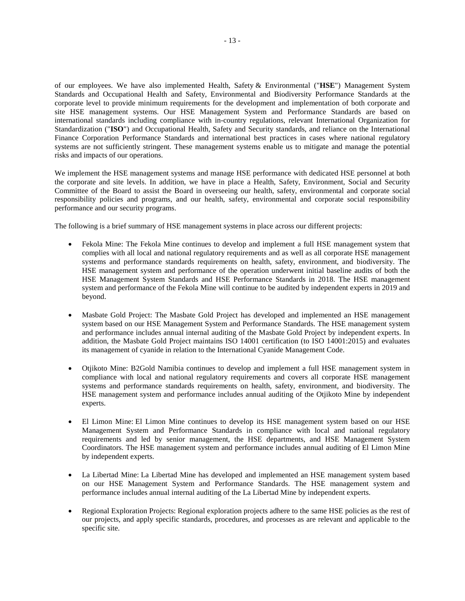of our employees. We have also implemented Health, Safety & Environmental ("**HSE**") Management System Standards and Occupational Health and Safety, Environmental and Biodiversity Performance Standards at the corporate level to provide minimum requirements for the development and implementation of both corporate and site HSE management systems. Our HSE Management System and Performance Standards are based on international standards including compliance with in-country regulations, relevant International Organization for Standardization ("**ISO**") and Occupational Health, Safety and Security standards, and reliance on the International Finance Corporation Performance Standards and international best practices in cases where national regulatory systems are not sufficiently stringent. These management systems enable us to mitigate and manage the potential risks and impacts of our operations.

We implement the HSE management systems and manage HSE performance with dedicated HSE personnel at both the corporate and site levels. In addition, we have in place a Health, Safety, Environment, Social and Security Committee of the Board to assist the Board in overseeing our health, safety, environmental and corporate social responsibility policies and programs, and our health, safety, environmental and corporate social responsibility performance and our security programs.

The following is a brief summary of HSE management systems in place across our different projects:

- Fekola Mine: The Fekola Mine continues to develop and implement a full HSE management system that complies with all local and national regulatory requirements and as well as all corporate HSE management systems and performance standards requirements on health, safety, environment, and biodiversity. The HSE management system and performance of the operation underwent initial baseline audits of both the HSE Management System Standards and HSE Performance Standards in 2018. The HSE management system and performance of the Fekola Mine will continue to be audited by independent experts in 2019 and beyond.
- Masbate Gold Project: The Masbate Gold Project has developed and implemented an HSE management system based on our HSE Management System and Performance Standards. The HSE management system and performance includes annual internal auditing of the Masbate Gold Project by independent experts. In addition, the Masbate Gold Project maintains ISO 14001 certification (to ISO 14001:2015) and evaluates its management of cyanide in relation to the International Cyanide Management Code.
- Otjikoto Mine: B2Gold Namibia continues to develop and implement a full HSE management system in compliance with local and national regulatory requirements and covers all corporate HSE management systems and performance standards requirements on health, safety, environment, and biodiversity. The HSE management system and performance includes annual auditing of the Otjikoto Mine by independent experts.
- El Limon Mine: El Limon Mine continues to develop its HSE management system based on our HSE Management System and Performance Standards in compliance with local and national regulatory requirements and led by senior management, the HSE departments, and HSE Management System Coordinators. The HSE management system and performance includes annual auditing of El Limon Mine by independent experts.
- La Libertad Mine: La Libertad Mine has developed and implemented an HSE management system based on our HSE Management System and Performance Standards. The HSE management system and performance includes annual internal auditing of the La Libertad Mine by independent experts.
- Regional Exploration Projects: Regional exploration projects adhere to the same HSE policies as the rest of our projects, and apply specific standards, procedures, and processes as are relevant and applicable to the specific site.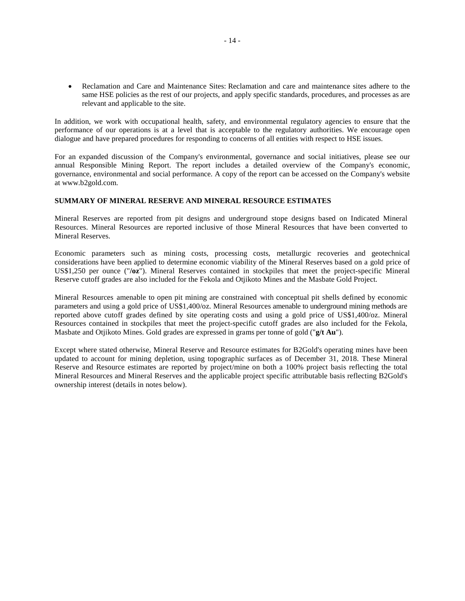• Reclamation and Care and Maintenance Sites: Reclamation and care and maintenance sites adhere to the same HSE policies as the rest of our projects, and apply specific standards, procedures, and processes as are relevant and applicable to the site.

In addition, we work with occupational health, safety, and environmental regulatory agencies to ensure that the performance of our operations is at a level that is acceptable to the regulatory authorities. We encourage open dialogue and have prepared procedures for responding to concerns of all entities with respect to HSE issues.

For an expanded discussion of the Company's environmental, governance and social initiatives, please see our annual Responsible Mining Report. The report includes a detailed overview of the Company's economic, governance, environmental and social performance. A copy of the report can be accessed on the Company's website at www.b2gold.com.

# <span id="page-16-0"></span>**SUMMARY OF MINERAL RESERVE AND MINERAL RESOURCE ESTIMATES**

Mineral Reserves are reported from pit designs and underground stope designs based on Indicated Mineral Resources. Mineral Resources are reported inclusive of those Mineral Resources that have been converted to Mineral Reserves.

Economic parameters such as mining costs, processing costs, metallurgic recoveries and geotechnical considerations have been applied to determine economic viability of the Mineral Reserves based on a gold price of US\$1,250 per ounce ("**/oz**"). Mineral Reserves contained in stockpiles that meet the project-specific Mineral Reserve cutoff grades are also included for the Fekola and Otjikoto Mines and the Masbate Gold Project.

Mineral Resources amenable to open pit mining are constrained with conceptual pit shells defined by economic parameters and using a gold price of US\$1,400/oz. Mineral Resources amenable to underground mining methods are reported above cutoff grades defined by site operating costs and using a gold price of US\$1,400/oz. Mineral Resources contained in stockpiles that meet the project-specific cutoff grades are also included for the Fekola, Masbate and Otjikoto Mines. Gold grades are expressed in grams per tonne of gold ("**g/t Au**").

Except where stated otherwise, Mineral Reserve and Resource estimates for B2Gold's operating mines have been updated to account for mining depletion, using topographic surfaces as of December 31, 2018. These Mineral Reserve and Resource estimates are reported by project/mine on both a 100% project basis reflecting the total Mineral Resources and Mineral Reserves and the applicable project specific attributable basis reflecting B2Gold's ownership interest (details in notes below).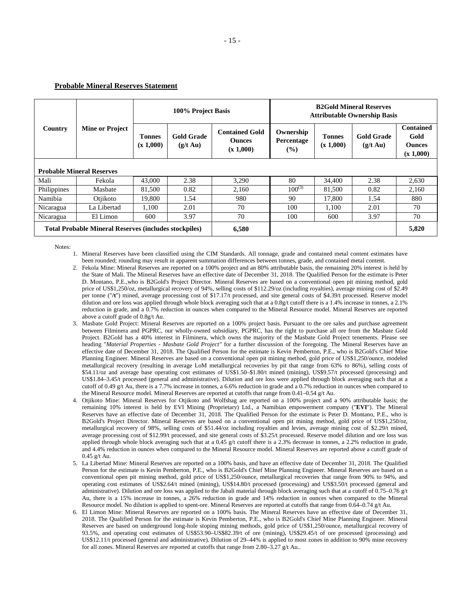#### **Probable Mineral Reserves Statement**

|                                                              |                                  |                            | 100% Project Basis                      |                                                     | <b>B2Gold Mineral Reserves</b><br><b>Attributable Ownership Basis</b> |                            |                                         |                                                        |  |
|--------------------------------------------------------------|----------------------------------|----------------------------|-----------------------------------------|-----------------------------------------------------|-----------------------------------------------------------------------|----------------------------|-----------------------------------------|--------------------------------------------------------|--|
| Country                                                      | <b>Mine or Project</b>           | <b>Tonnes</b><br>(x 1,000) | <b>Gold Grade</b><br>$(g/t \text{ Au})$ | <b>Contained Gold</b><br><b>Ounces</b><br>(x 1,000) | Ownership<br>Percentage<br>$($ %)                                     | <b>Tonnes</b><br>(x 1,000) | <b>Gold Grade</b><br>$(g/t \text{ Au})$ | <b>Contained</b><br>Gold<br><b>Ounces</b><br>(x 1,000) |  |
|                                                              | <b>Probable Mineral Reserves</b> |                            |                                         |                                                     |                                                                       |                            |                                         |                                                        |  |
| Mali                                                         | Fekola                           | 43,000                     | 2.38                                    | 3,290                                               | 80                                                                    | 34,400                     | 2.38                                    | 2,630                                                  |  |
| Philippines                                                  | Masbate                          | 81,500                     | 0.82                                    | 2,160                                               | $100^{(3)}$                                                           | 81,500                     | 0.82                                    | 2,160                                                  |  |
| Namibia                                                      | Otjikoto                         | 19,800                     | 1.54                                    | 980                                                 | 90                                                                    | 17,800                     | 1.54                                    | 880                                                    |  |
| Nicaragua                                                    | La Libertad                      | 1,100                      | 2.01                                    | 70                                                  | 100                                                                   | 1,100                      | 2.01                                    | 70                                                     |  |
| Nicaragua                                                    | El Limon                         | 600                        | 3.97                                    | 70                                                  | 100                                                                   | 600                        | 3.97                                    | 70                                                     |  |
| <b>Total Probable Mineral Reserves (includes stockpiles)</b> |                                  | 6,580                      |                                         |                                                     |                                                                       | 5,820                      |                                         |                                                        |  |

Notes:

- 1. Mineral Reserves have been classified using the CIM Standards. All tonnage, grade and contained metal content estimates have been rounded; rounding may result in apparent summation differences between tonnes, grade, and contained metal content.
- 2. Fekola Mine: Mineral Reserves are reported on a 100% project and an 80% attributable basis, the remaining 20% interest is held by the State of Mali. The Mineral Reserves have an effective date of December 31, 2018. The Qualified Person for the estimate is Peter D. Montano, P.E.,who is B2Gold's Project Director. Mineral Reserves are based on a conventional open pit mining method, gold price of US\$1,250/oz, metallurgical recovery of 94%, selling costs of \$112.29/oz (including royalties), average mining cost of \$2.49 per tonne ("**/t**") mined, average processing cost of \$17.17/t processed, and site general costs of \$4.39/t processed. Reserve model dilution and ore loss was applied through whole block averaging such that at a 0.8g/t cutoff there is a 1.4% increase in tonnes, a 2.1% reduction in grade, and a 0.7% reduction in ounces when compared to the Mineral Resource model. Mineral Reserves are reported above a cutoff grade of 0.8g/t Au.
- 3. Masbate Gold Project: Mineral Reserves are reported on a 100% project basis. Pursuant to the ore sales and purchase agreement between Filminera and PGPRC, our wholly-owned subsidiary, PGPRC, has the right to purchase all ore from the Masbate Gold Project. B2Gold has a 40% interest in Filminera, which owns the majority of the Masbate Gold Project tenements. Please see heading "*Material Properties - Masbate Gold Project"* for a further discussion of the foregoing. The Mineral Reserves have an effective date of December 31, 2018. The Qualified Person for the estimate is Kevin Pemberton, P.E., who is B2Gold's Chief Mine Planning Engineer. Mineral Reserves are based on a conventional open pit mining method, gold price of US\$1,250/ounce, modeled metallurgical recovery (resulting in average LoM metallurgical recoveries by pit that range from 63% to 86%), selling costs of \$54.11/oz and average base operating cost estimates of US\$1.50–\$1.80/t mined (mining), US\$9.57/t processed (processing) and US\$1.84–3.45/t processed (general and administrative). Dilution and ore loss were applied through block averaging such that at a cutoff of 0.49 g/t Au, there is a 7.7% increase in tonnes, a 6.6% reduction in grade and a 0.7% reduction in ounces when compared to the Mineral Resource model. Mineral Reserves are reported at cutoffs that range from 0.41–0.54 g/t Au.
- 4. Otjikoto Mine: Mineral Reserves for Otjikoto and Wolfshag are reported on a 100% project and a 90% attributable basis; the remaining 10% interest is held by EVI Mining (Proprietary) Ltd., a Namibian empowerment company ("**EVI**"). The Mineral Reserves have an effective date of December 31, 2018. The Qualified Person for the estimate is Peter D. Montano, P.E., who is B2Gold's Project Director. Mineral Reserves are based on a conventional open pit mining method, gold price of US\$1,250/oz, metallurgical recovery of 98%, selling costs of \$51.44/oz including royalties and levies, average mining cost of \$2.29/t mined, average processing cost of \$12.99/t processed, and site general costs of \$3.25/t processed. Reserve model dilution and ore loss was applied through whole block averaging such that at a 0.45 g/t cutoff there is a 2.3% decrease in tonnes, a 2.2% reduction in grade, and 4.4% reduction in ounces when compared to the Mineral Resource model. Mineral Reserves are reported above a cutoff grade of 0.45 g/t Au.
- 5. La Libertad Mine: Mineral Reserves are reported on a 100% basis, and have an effective date of December 31, 2018. The Qualified Person for the estimate is Kevin Pemberton, P.E., who is B2Gold's Chief Mine Planning Engineer. Mineral Reserves are based on a conventional open pit mining method, gold price of US\$1,250/ounce, metallurgical recoveries that range from 90% to 94%, and operating cost estimates of US\$2.64/t mined (mining), US\$14.80/t processed (processing) and US\$3.50/t processed (general and administrative). Dilution and ore loss was applied to the Jabali material through block averaging such that at a cutoff of  $0.75-0.76$  g/t Au, there is a 15% increase in tonnes, a 26% reduction in grade and 14% reduction in ounces when compared to the Mineral Resource model. No dilution is applied to spent-ore. Mineral Reserves are reported at cutoffs that range from 0.64–0.74 g/t Au.
- 6. El Limon Mine: Mineral Reserves are reported on a 100% basis. The Mineral Reserves have an effective date of December 31, 2018. The Qualified Person for the estimate is Kevin Pemberton, P.E., who is B2Gold's Chief Mine Planning Engineer. Mineral Reserves are based on underground long-hole stoping mining methods, gold price of US\$1,250/ounce, metallurgical recovery of 93.5%, and operating cost estimates of US\$53.90–US\$82.39/t of ore (mining), US\$29.45/t of ore processed (processing) and US\$12.11/t processed (general and administrative). Dilution of 29–44% is applied to most zones in addition to 90% mine recovery for all zones. Mineral Reserves are reported at cutoffs that range from 2.80–3.27 g/t Au..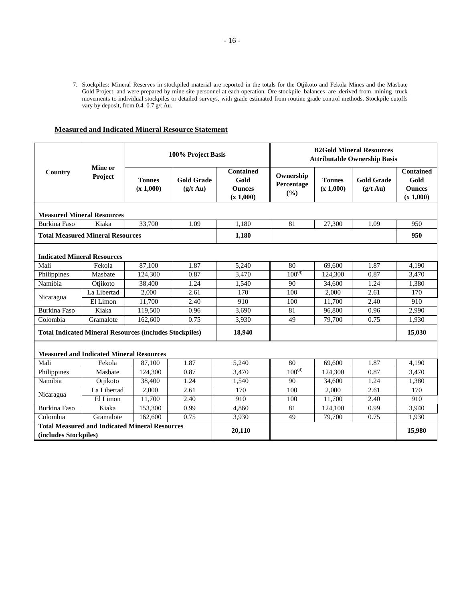7. Stockpiles: Mineral Reserves in stockpiled material are reported in the totals for the Otjikoto and Fekola Mines and the Masbate Gold Project, and were prepared by mine site personnel at each operation. Ore stockpile balances are derived from mining truck movements to individual stockpiles or detailed surveys, with grade estimated from routine grade control methods. Stockpile cutoffs vary by deposit, from 0.4–0.7 g/t Au.

# **Measured and Indicated Mineral Resource Statement**

|                                                                                |                                                                |                            | 100% Project Basis                      |                                                        | <b>B2Gold Mineral Resources</b><br><b>Attributable Ownership Basis</b> |                            |                                         |                                                        |
|--------------------------------------------------------------------------------|----------------------------------------------------------------|----------------------------|-----------------------------------------|--------------------------------------------------------|------------------------------------------------------------------------|----------------------------|-----------------------------------------|--------------------------------------------------------|
| Country                                                                        | Mine or<br>Project                                             | <b>Tonnes</b><br>(x 1,000) | <b>Gold Grade</b><br>$(g/t \text{ Au})$ | <b>Contained</b><br>Gold<br><b>Ounces</b><br>(x 1,000) | Ownership<br>Percentage<br>(%)                                         | <b>Tonnes</b><br>(x 1,000) | <b>Gold Grade</b><br>$(g/t \text{ Au})$ | <b>Contained</b><br>Gold<br><b>Ounces</b><br>(x 1,000) |
| <b>Measured Mineral Resources</b>                                              |                                                                |                            |                                         |                                                        |                                                                        |                            |                                         |                                                        |
| Burkina Faso                                                                   | Kiaka                                                          | 33,700                     | 1.09                                    | 1,180                                                  | 81                                                                     | 27,300                     | 1.09                                    | 950                                                    |
|                                                                                | <b>Total Measured Mineral Resources</b>                        |                            |                                         | 1,180                                                  |                                                                        |                            |                                         | 950                                                    |
| <b>Indicated Mineral Resources</b>                                             |                                                                |                            |                                         |                                                        |                                                                        |                            |                                         |                                                        |
| Mali                                                                           | Fekola                                                         | 87,100                     | 1.87                                    | 5,240                                                  | 80                                                                     | 69,600                     | 1.87                                    | 4,190                                                  |
| Philippines                                                                    | Mashate                                                        | 124,300                    | 0.87                                    | 3,470                                                  | $100^{(4)}$                                                            | 124,300                    | 0.87                                    | 3,470                                                  |
| Namibia                                                                        | Otjikoto                                                       | 38,400                     | 1.24                                    | 1,540                                                  | 90                                                                     | 34,600                     | 1.24                                    | 1,380                                                  |
| Nicaragua                                                                      | La Libertad                                                    | 2,000                      | 2.61                                    | 170                                                    | 100                                                                    | 2,000                      | 2.61                                    | 170                                                    |
|                                                                                | El Limon                                                       | 11,700                     | 2.40                                    | 910                                                    | 100                                                                    | 11,700                     | 2.40                                    | 910                                                    |
| <b>Burkina Faso</b>                                                            | Kiaka                                                          | 119,500                    | 0.96                                    | 3,690                                                  | 81                                                                     | 96,800                     | 0.96                                    | 2,990                                                  |
| Colombia                                                                       | Gramalote                                                      | 162,600                    | 0.75                                    | 3,930                                                  | 49                                                                     | 79,700                     | 0.75                                    | 1,930                                                  |
|                                                                                | <b>Total Indicated Mineral Resources (includes Stockpiles)</b> |                            |                                         | 18,940                                                 |                                                                        |                            |                                         | 15,030                                                 |
|                                                                                | <b>Measured and Indicated Mineral Resources</b>                |                            |                                         |                                                        |                                                                        |                            |                                         |                                                        |
| Mali                                                                           | Fekola                                                         | 87,100                     | 1.87                                    | 5,240                                                  | 80                                                                     | 69,600                     | 1.87                                    | 4,190                                                  |
| Philippines                                                                    | Masbate                                                        | 124,300                    | 0.87                                    | 3,470                                                  | $100^{(4)}$                                                            | 124,300                    | 0.87                                    | 3,470                                                  |
| Namibia                                                                        | Otjikoto                                                       | 38,400                     | 1.24                                    | 1,540                                                  | 90                                                                     | 34,600                     | 1.24                                    | 1,380                                                  |
| Nicaragua                                                                      | La Libertad                                                    | 2,000                      | 2.61                                    | 170                                                    | 100                                                                    | 2,000                      | 2.61                                    | 170                                                    |
|                                                                                | El Limon                                                       | 11,700                     | 2.40                                    | 910                                                    | 100                                                                    | 11.700                     | 2.40                                    | 910                                                    |
| <b>Burkina Faso</b>                                                            | Kiaka                                                          | 153,300                    | 0.99                                    | 4,860                                                  | 81                                                                     | 124,100                    | 0.99                                    | 3,940                                                  |
| Colombia                                                                       | Gramalote                                                      | 162,600                    | 0.75                                    | 3,930                                                  | 49                                                                     | 79,700                     | 0.75                                    | 1,930                                                  |
| <b>Total Measured and Indicated Mineral Resources</b><br>(includes Stockpiles) |                                                                |                            |                                         | 20,110                                                 |                                                                        |                            |                                         | 15,980                                                 |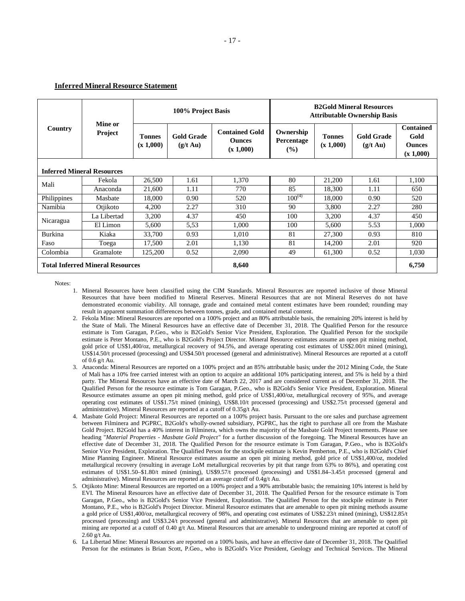#### **Inferred Mineral Resource Statement**

|                                         |                                   |         | 100% Project Basis                      |                                                     | <b>B2Gold Mineral Resources</b><br><b>Attributable Ownership Basis</b> |                            |                                         |                                                        |
|-----------------------------------------|-----------------------------------|---------|-----------------------------------------|-----------------------------------------------------|------------------------------------------------------------------------|----------------------------|-----------------------------------------|--------------------------------------------------------|
| Country                                 | Mine or<br><b>Project</b>         |         | <b>Gold Grade</b><br>$(g/t \text{ Au})$ | <b>Contained Gold</b><br><b>Ounces</b><br>(x 1,000) | Ownership<br>Percentage<br>$($ %)                                      | <b>Tonnes</b><br>(x 1,000) | <b>Gold Grade</b><br>$(g/t \text{ Au})$ | <b>Contained</b><br>Gold<br><b>Ounces</b><br>(x 1,000) |
|                                         | <b>Inferred Mineral Resources</b> |         |                                         |                                                     |                                                                        |                            |                                         |                                                        |
| Mali                                    | Fekola                            | 26,500  | 1.61                                    | 1,370                                               | 80                                                                     | 21,200                     | 1.61                                    | 1,100                                                  |
|                                         | Anaconda                          | 21,600  | 1.11                                    | 770                                                 | 85                                                                     | 18,300                     | 1.11                                    | 650                                                    |
| Philippines                             | Mashate                           | 18,000  | 0.90                                    | 520                                                 | $100^{(4)}$                                                            | 18,000                     | 0.90                                    | 520                                                    |
| Namibia                                 | Otjikoto                          | 4.200   | 2.27                                    | 310                                                 | 90                                                                     | 3,800                      | 2.27                                    | 280                                                    |
|                                         | La Libertad                       | 3,200   | 4.37                                    | 450                                                 | 100                                                                    | 3,200                      | 4.37                                    | 450                                                    |
| Nicaragua                               | El Limon                          | 5,600   | 5,53                                    | 1,000                                               | 100                                                                    | 5,600                      | 5.53                                    | 1,000                                                  |
| Burkina                                 | Kiaka                             | 33,700  | 0.93                                    | 1.010                                               | 81                                                                     | 27,300                     | 0.93                                    | 810                                                    |
| Faso                                    | Toega                             | 17,500  | 2.01                                    | 1,130                                               | 81                                                                     | 14,200                     | 2.01                                    | 920                                                    |
| Colombia                                | Gramalote                         | 125,200 | 0.52                                    | 2,090                                               | 49                                                                     | 61,300                     | 0.52                                    | 1,030                                                  |
| <b>Total Inferred Mineral Resources</b> |                                   | 8,640   |                                         |                                                     |                                                                        | 6,750                      |                                         |                                                        |

Notes:

- 1. Mineral Resources have been classified using the CIM Standards. Mineral Resources are reported inclusive of those Mineral Resources that have been modified to Mineral Reserves. Mineral Resources that are not Mineral Reserves do not have demonstrated economic viability. All tonnage, grade and contained metal content estimates have been rounded; rounding may result in apparent summation differences between tonnes, grade, and contained metal content.
- 2. Fekola Mine: Mineral Resources are reported on a 100% project and an 80% attributable basis, the remaining 20% interest is held by the State of Mali. The Mineral Resources have an effective date of December 31, 2018. The Qualified Person for the resource estimate is Tom Garagan, P.Geo., who is B2Gold's Senior Vice President, Exploration. The Qualified Person for the stockpile estimate is Peter Montano, P.E., who is B2Gold's Project Director. Mineral Resource estimates assume an open pit mining method, gold price of US\$1,400/oz, metallurgical recovery of 94.5%, and average operating cost estimates of US\$2.00/t mined (mining), US\$14.50/t processed (processing) and US\$4.50/t processed (general and administrative). Mineral Resources are reported at a cutoff of 0.6 g/t Au.
- 3. Anaconda: Mineral Resources are reported on a 100% project and an 85% attributable basis; under the 2012 Mining Code, the State of Mali has a 10% free carried interest with an option to acquire an additional 10% participating interest, and 5% is held by a third party. The Mineral Resources have an effective date of March 22, 2017 and are considered current as of December 31, 2018. The Qualified Person for the resource estimate is Tom Garagan, P.Geo., who is B2Gold's Senior Vice President, Exploration. Mineral Resource estimates assume an open pit mining method, gold price of US\$1,400/oz, metallurgical recovery of 95%, and average operating cost estimates of US\$1.75/t mined (mining), US\$8.10/t processed (processing) and US\$2.75/t processed (general and administrative). Mineral Resources are reported at a cutoff of 0.35g/t Au.
- 4. Masbate Gold Project: Mineral Resources are reported on a 100% project basis. Pursuant to the ore sales and purchase agreement between Filminera and PGPRC, B2Gold's wholly-owned subsidiary, PGPRC, has the right to purchase all ore from the Masbate Gold Project. B2Gold has a 40% interest in Filminera, which owns the majority of the Masbate Gold Project tenements. Please see heading "*Material Properties - Masbate Gold Project"* for a further discussion of the foregoing. The Mineral Resources have an effective date of December 31, 2018. The Qualified Person for the resource estimate is Tom Garagan, P.Geo., who is B2Gold's Senior Vice President, Exploration. The Qualified Person for the stockpile estimate is Kevin Pemberton, P.E., who is B2Gold's Chief Mine Planning Engineer. Mineral Resource estimates assume an open pit mining method, gold price of US\$1,400/oz, modeled metallurgical recovery (resulting in average LoM metallurgical recoveries by pit that range from 63% to 86%), and operating cost estimates of US\$1.50–\$1.80/t mined (mining), US\$9.57/t processed (processing) and US\$1.84–3.45/t processed (general and administrative). Mineral Resources are reported at an average cutoff of 0.4g/t Au.
- 5. Otjikoto Mine: Mineral Resources are reported on a 100% project and a 90% attributable basis; the remaining 10% interest is held by EVI. The Mineral Resources have an effective date of December 31, 2018. The Qualified Person for the resource estimate is Tom Garagan, P.Geo., who is B2Gold's Senior Vice President, Exploration. The Qualified Person for the stockpile estimate is Peter Montano, P.E., who is B2Gold's Project Director. Mineral Resource estimates that are amenable to open pit mining methods assume a gold price of US\$1,400/oz, metallurgical recovery of 98%, and operating cost estimates of US\$2.23/t mined (mining), US\$12.85/t processed (processing) and US\$3.24/t processed (general and administrative). Mineral Resources that are amenable to open pit mining are reported at a cutoff of 0.40 g/t Au. Mineral Resources that are amenable to underground mining are reported at cutoff of 2.60 g/t Au.
- 6. La Libertad Mine: Mineral Resources are reported on a 100% basis, and have an effective date of December 31, 2018. The Qualified Person for the estimates is Brian Scott, P.Geo., who is B2Gold's Vice President, Geology and Technical Services. The Mineral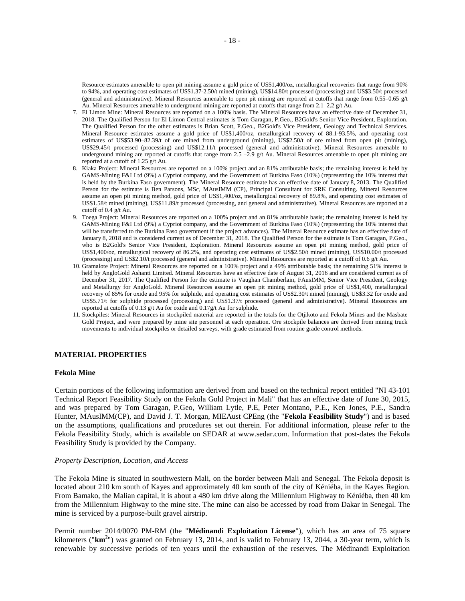Resource estimates amenable to open pit mining assume a gold price of US\$1,400/oz, metallurgical recoveries that range from 90% to 94%, and operating cost estimates of US\$1.37-2.50/t mined (mining), US\$14.80/t processed (processing) and US\$3.50/t processed (general and administrative). Mineral Resources amenable to open pit mining are reported at cutoffs that range from  $0.55-0.65$  g/t Au. Mineral Resources amenable to underground mining are reported at cutoffs that range from 2.1–2.2 g/t Au.

- 7. El Limon Mine: Mineral Resources are reported on a 100% basis. The Mineral Resources have an effective date of December 31, 2018. The Qualified Person for El Limon Central estimates is Tom Garagan, P.Geo., B2Gold's Senior Vice President, Exploration. The Qualified Person for the other estimates is Brian Scott, P.Geo., B2Gold's Vice President, Geology and Technical Services. Mineral Resource estimates assume a gold price of US\$1,400/oz, metallurgical recovery of 88.1-93.5%, and operating cost estimates of US\$53.90–82.39/t of ore mined from underground (mining), US\$2.50/t of ore mined from open pit (mining), US\$29.45/t processed (processing) and US\$12.11/t processed (general and administrative). Mineral Resources amenable to underground mining are reported at cutoffs that range from 2.5 –2.9 g/t Au. Mineral Resources amenable to open pit mining are reported at a cutoff of 1.25 g/t Au.
- 8. Kiaka Project: Mineral Resources are reported on a 100% project and an 81% attributable basis; the remaining interest is held by GAMS-Mining F&I Ltd (9%) a Cypriot company, and the Government of Burkina Faso (10%) (representing the 10% interest that is held by the Burkina Faso government). The Mineral Resource estimate has an effective date of January 8, 2013. The Qualified Person for the estimate is Ben Parsons, MSc, MAusIMM (CP), Principal Consultant for SRK Consulting. Mineral Resources assume an open pit mining method, gold price of US\$1,400/oz, metallurgical recovery of 89.8%, and operating cost estimates of US\$1.58/t mined (mining), US\$11.89/t processed (processing, and general and administrative). Mineral Resources are reported at a cutoff of 0.4 g/t Au.
- 9. Toega Project: Mineral Resources are reported on a 100% project and an 81% attributable basis; the remaining interest is held by GAMS-Mining F&I Ltd (9%) a Cypriot company, and the Government of Burkina Faso (10%) (representing the 10% interest that will be transferred to the Burkina Faso government if the project advances). The Mineral Resource estimate has an effective date of January 8, 2018 and is considered current as of December 31, 2018. The Qualified Person for the estimate is Tom Garagan, P.Geo., who is B2Gold's Senior Vice President, Exploration. Mineral Resources assume an open pit mining method, gold price of US\$1,400/oz, metallurgical recovery of 86.2%, and operating cost estimates of US\$2.50/t mined (mining), US\$10.00/t processed (processing) and US\$2.10/t processed (general and administrative). Mineral Resources are reported at a cutoff of 0.6 g/t Au.
- 10. Gramalote Project: Mineral Resources are reported on a 100% project and a 49% attributable basis; the remaining 51% interest is held by AngloGold Ashanti Limited. Mineral Resources have an effective date of August 31, 2016 and are considered current as of December 31, 2017. The Qualified Person for the estimate is Vaughan Chamberlain, FAusIMM, Senior Vice President, Geology and Metallurgy for AngloGold. Mineral Resources assume an open pit mining method, gold price of US\$1,400, metallurgical recovery of 85% for oxide and 95% for sulphide, and operating cost estimates of US\$2.30/t mined (mining), US\$3.32 for oxide and US\$5.71/t for sulphide processed (processing) and US\$1.37/t processed (general and administrative). Mineral Resources are reported at cutoffs of 0.13 g/t Au for oxide and 0.17g/t Au for sulphide.
- 11. Stockpiles: Mineral Resources in stockpiled material are reported in the totals for the Otjikoto and Fekola Mines and the Masbate Gold Project, and were prepared by mine site personnel at each operation. Ore stockpile balances are derived from mining truck movements to individual stockpiles or detailed surveys, with grade estimated from routine grade control methods.

# <span id="page-20-0"></span>**MATERIAL PROPERTIES**

#### <span id="page-20-1"></span>**Fekola Mine**

Certain portions of the following information are derived from and based on the technical report entitled "NI 43-101 Technical Report Feasibility Study on the Fekola Gold Project in Mali" that has an effective date of June 30, 2015, and was prepared by Tom Garagan, P.Geo, William Lytle, P.E, Peter Montano, P.E., Ken Jones, P.E., Sandra Hunter, MAusIMM(CP), and David J. T. Morgan, MIEAust CPEng (the "**Fekola Feasibility Study**") and is based on the assumptions, qualifications and procedures set out therein. For additional information, please refer to the Fekola Feasibility Study, which is available on SEDAR at [www.sedar.com.](http://www.sedar.com/) Information that post-dates the Fekola Feasibility Study is provided by the Company.

#### *Property Description, Location, and Access*

The Fekola Mine is situated in southwestern Mali, on the border between Mali and Senegal. The Fekola deposit is located about 210 km south of Kayes and approximately 40 km south of the city of Kéniéba, in the Kayes Region. From Bamako, the Malian capital, it is about a 480 km drive along the Millennium Highway to Kéniéba, then 40 km from the Millennium Highway to the mine site. The mine can also be accessed by road from Dakar in Senegal. The mine is serviced by a purpose-built gravel airstrip.

Permit number 2014/0070 PM-RM (the "**Médinandi Exploitation License**"), which has an area of 75 square kilometers ("km<sup>2</sup>") was granted on February 13, 2014, and is valid to February 13, 2044, a 30-year term, which is renewable by successive periods of ten years until the exhaustion of the reserves. The Médinandi Exploitation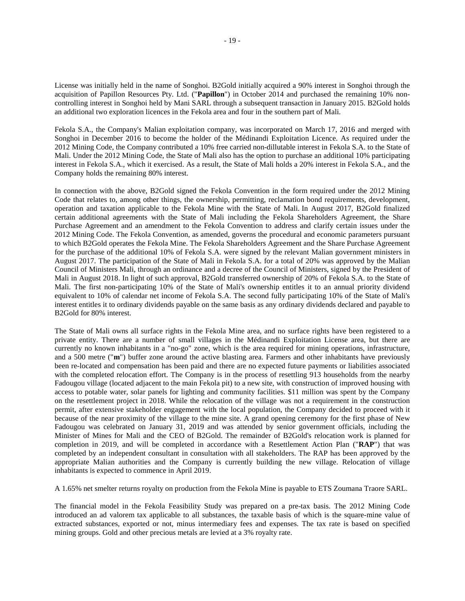License was initially held in the name of Songhoi. B2Gold initially acquired a 90% interest in Songhoi through the acquisition of Papillon Resources Pty. Ltd. ("**Papillon**") in October 2014 and purchased the remaining 10% noncontrolling interest in Songhoi held by Mani SARL through a subsequent transaction in January 2015. B2Gold holds an additional two exploration licences in the Fekola area and four in the southern part of Mali.

Fekola S.A., the Company's Malian exploitation company, was incorporated on March 17, 2016 and merged with Songhoi in December 2016 to become the holder of the Médinandi Exploitation Licence. As required under the 2012 Mining Code, the Company contributed a 10% free carried non-dillutable interest in Fekola S.A. to the State of Mali. Under the 2012 Mining Code, the State of Mali also has the option to purchase an additional 10% participating interest in Fekola S.A., which it exercised. As a result, the State of Mali holds a 20% interest in Fekola S.A., and the Company holds the remaining 80% interest.

In connection with the above, B2Gold signed the Fekola Convention in the form required under the 2012 Mining Code that relates to, among other things, the ownership, permitting, reclamation bond requirements, development, operation and taxation applicable to the Fekola Mine with the State of Mali. In August 2017, B2Gold finalized certain additional agreements with the State of Mali including the Fekola Shareholders Agreement, the Share Purchase Agreement and an amendment to the Fekola Convention to address and clarify certain issues under the 2012 Mining Code. The Fekola Convention, as amended, governs the procedural and economic parameters pursuant to which B2Gold operates the Fekola Mine. The Fekola Shareholders Agreement and the Share Purchase Agreement for the purchase of the additional 10% of Fekola S.A. were signed by the relevant Malian government ministers in August 2017. The participation of the State of Mali in Fekola S.A. for a total of 20% was approved by the Malian Council of Ministers Mali, through an ordinance and a decree of the Council of Ministers, signed by the President of Mali in August 2018. In light of such approval, B2Gold transferred ownership of 20% of Fekola S.A. to the State of Mali. The first non-participating 10% of the State of Mali's ownership entitles it to an annual priority dividend equivalent to 10% of calendar net income of Fekola S.A. The second fully participating 10% of the State of Mali's interest entitles it to ordinary dividends payable on the same basis as any ordinary dividends declared and payable to B2Gold for 80% interest.

The State of Mali owns all surface rights in the Fekola Mine area, and no surface rights have been registered to a private entity. There are a number of small villages in the Médinandi Exploitation License area, but there are currently no known inhabitants in a "no-go" zone, which is the area required for mining operations, infrastructure, and a 500 metre ("**m**") buffer zone around the active blasting area. Farmers and other inhabitants have previously been re-located and compensation has been paid and there are no expected future payments or liabilities associated with the completed relocation effort. The Company is in the process of resettling 913 households from the nearby Fadougou village (located adjacent to the main Fekola pit) to a new site, with construction of improved housing with access to potable water, solar panels for lighting and community facilities. \$11 million was spent by the Company on the resettlement project in 2018. While the relocation of the village was not a requirement in the construction permit, after extensive stakeholder engagement with the local population, the Company decided to proceed with it because of the near proximity of the village to the mine site. A grand opening ceremony for the first phase of New Fadougou was celebrated on January 31, 2019 and was attended by senior government officials, including the Minister of Mines for Mali and the CEO of B2Gold. The remainder of B2Gold's relocation work is planned for completion in 2019, and will be completed in accordance with a Resettlement Action Plan ("**RAP**") that was completed by an independent consultant in consultation with all stakeholders. The RAP has been approved by the appropriate Malian authorities and the Company is currently building the new village. Relocation of village inhabitants is expected to commence in April 2019.

A 1.65% net smelter returns royalty on production from the Fekola Mine is payable to ETS Zoumana Traore SARL.

The financial model in the Fekola Feasibility Study was prepared on a pre-tax basis. The 2012 Mining Code introduced an ad valorem tax applicable to all substances, the taxable basis of which is the square-mine value of extracted substances, exported or not, minus intermediary fees and expenses. The tax rate is based on specified mining groups. Gold and other precious metals are levied at a 3% royalty rate.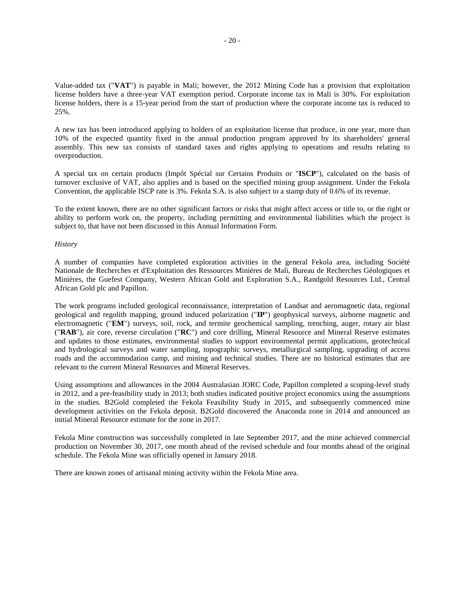Value-added tax ("**VAT**") is payable in Mali; however, the 2012 Mining Code has a provision that exploitation license holders have a three-year VAT exemption period. Corporate income tax in Mali is 30%. For exploitation license holders, there is a 15-year period from the start of production where the corporate income tax is reduced to 25%.

A new tax has been introduced applying to holders of an exploitation license that produce, in one year, more than 10% of the expected quantity fixed in the annual production program approved by its shareholders' general assembly. This new tax consists of standard taxes and rights applying to operations and results relating to overproduction.

A special tax on certain products (Impôt Spécial sur Certains Produits or "**ISCP**"), calculated on the basis of turnover exclusive of VAT, also applies and is based on the specified mining group assignment. Under the Fekola Convention, the applicable ISCP rate is 3%. Fekola S.A. is also subject to a stamp duty of 0.6% of its revenue.

To the extent known, there are no other significant factors or risks that might affect access or title to, or the right or ability to perform work on, the property, including permitting and environmental liabilities which the project is subject to, that have not been discussed in this Annual Information Form.

# *History*

A number of companies have completed exploration activities in the general Fekola area, including Société Nationale de Recherches et d'Exploitation des Ressources Minières de Mali, Bureau de Recherches Géologiques et Minières, the Guefest Company, Western African Gold and Exploration S.A., Randgold Resources Ltd., Central African Gold plc and Papillon.

The work programs included geological reconnaissance, interpretation of Landsat and aeromagnetic data, regional geological and regolith mapping, ground induced polarization ("**IP**") geophysical surveys, airborne magnetic and electromagnetic ("**EM**") surveys, soil, rock, and termite geochemical sampling, trenching, auger, rotary air blast ("**RAB**"), air core, reverse circulation ("**RC**") and core drilling, Mineral Resource and Mineral Reserve estimates and updates to those estimates, environmental studies to support environmental permit applications, geotechnical and hydrological surveys and water sampling, topographic surveys, metallurgical sampling, upgrading of access roads and the accommodation camp, and mining and technical studies. There are no historical estimates that are relevant to the current Mineral Resources and Mineral Reserves.

Using assumptions and allowances in the 2004 Australasian JORC Code, Papillon completed a scoping-level study in 2012, and a pre-feasibility study in 2013; both studies indicated positive project economics using the assumptions in the studies. B2Gold completed the Fekola Feasibility Study in 2015, and subsequently commenced mine development activities on the Fekola deposit. B2Gold discovered the Anaconda zone in 2014 and announced an initial Mineral Resource estimate for the zone in 2017.

Fekola Mine construction was successfully completed in late September 2017, and the mine achieved commercial production on November 30, 2017, one month ahead of the revised schedule and four months ahead of the original schedule. The Fekola Mine was officially opened in January 2018.

There are known zones of artisanal mining activity within the Fekola Mine area.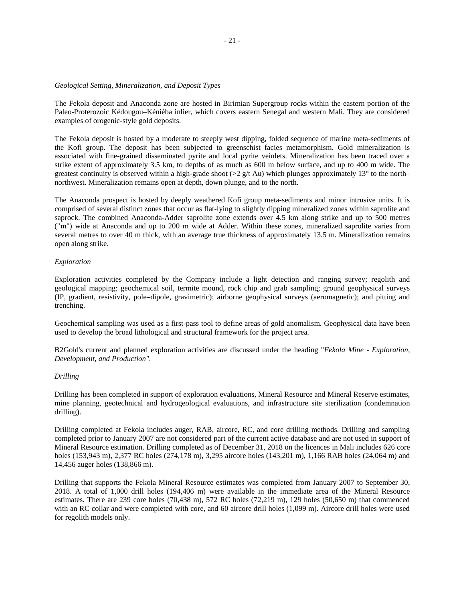# *Geological Setting, Mineralization, and Deposit Types*

The Fekola deposit and Anaconda zone are hosted in Birimian Supergroup rocks within the eastern portion of the Paleo-Proterozoic Kédougou–Kéniéba inlier, which covers eastern Senegal and western Mali. They are considered examples of orogenic-style gold deposits.

The Fekola deposit is hosted by a moderate to steeply west dipping, folded sequence of marine meta-sediments of the Kofi group. The deposit has been subjected to greenschist facies metamorphism. Gold mineralization is associated with fine-grained disseminated pyrite and local pyrite veinlets. Mineralization has been traced over a strike extent of approximately 3.5 km, to depths of as much as 600 m below surface, and up to 400 m wide. The greatest continuity is observed within a high-grade shoot ( $>2$  g/t Au) which plunges approximately 13° to the north– northwest. Mineralization remains open at depth, down plunge, and to the north.

The Anaconda prospect is hosted by deeply weathered Kofi group meta-sediments and minor intrusive units. It is comprised of several distinct zones that occur as flat-lying to slightly dipping mineralized zones within saprolite and saprock. The combined Anaconda-Adder saprolite zone extends over 4.5 km along strike and up to 500 metres ("**m**") wide at Anaconda and up to 200 m wide at Adder. Within these zones, mineralized saprolite varies from several metres to over 40 m thick, with an average true thickness of approximately 13.5 m. Mineralization remains open along strike.

# *Exploration*

Exploration activities completed by the Company include a light detection and ranging survey; regolith and geological mapping; geochemical soil, termite mound, rock chip and grab sampling; ground geophysical surveys (IP, gradient, resistivity, pole–dipole, gravimetric); airborne geophysical surveys (aeromagnetic); and pitting and trenching.

Geochemical sampling was used as a first-pass tool to define areas of gold anomalism. Geophysical data have been used to develop the broad lithological and structural framework for the project area.

B2Gold's current and planned exploration activities are discussed under the heading "*Fekola Mine - Exploration, Development, and Production".*

#### *Drilling*

Drilling has been completed in support of exploration evaluations, Mineral Resource and Mineral Reserve estimates, mine planning, geotechnical and hydrogeological evaluations, and infrastructure site sterilization (condemnation drilling).

Drilling completed at Fekola includes auger, RAB, aircore, RC, and core drilling methods. Drilling and sampling completed prior to January 2007 are not considered part of the current active database and are not used in support of Mineral Resource estimation. Drilling completed as of December 31, 2018 on the licences in Mali includes 626 core holes (153,943 m), 2,377 RC holes (274,178 m), 3,295 aircore holes (143,201 m), 1,166 RAB holes (24,064 m) and 14,456 auger holes (138,866 m).

Drilling that supports the Fekola Mineral Resource estimates was completed from January 2007 to September 30, 2018. A total of 1,000 drill holes (194,406 m) were available in the immediate area of the Mineral Resource estimates. There are 239 core holes (70,438 m), 572 RC holes (72,219 m), 129 holes (50,650 m) that commenced with an RC collar and were completed with core, and 60 aircore drill holes (1,099 m). Aircore drill holes were used for regolith models only.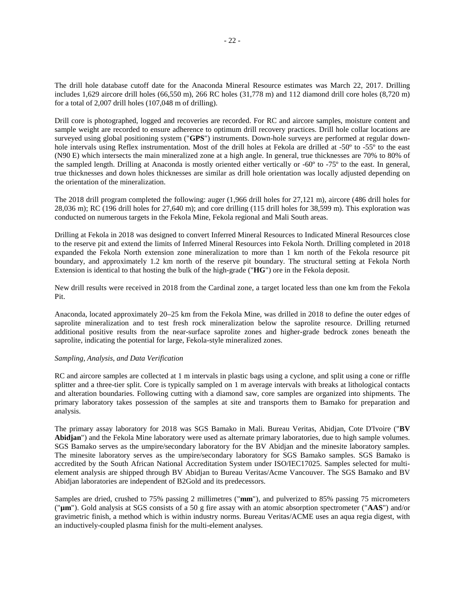The drill hole database cutoff date for the Anaconda Mineral Resource estimates was March 22, 2017. Drilling includes 1,629 aircore drill holes (66,550 m), 266 RC holes (31,778 m) and 112 diamond drill core holes (8,720 m) for a total of 2,007 drill holes (107,048 m of drilling).

Drill core is photographed, logged and recoveries are recorded. For RC and aircore samples, moisture content and sample weight are recorded to ensure adherence to optimum drill recovery practices. Drill hole collar locations are surveyed using global positioning system ("**GPS**") instruments. Down-hole surveys are performed at regular downhole intervals using Reflex instrumentation. Most of the drill holes at Fekola are drilled at -50° to -55° to the east (N90 E) which intersects the main mineralized zone at a high angle. In general, true thicknesses are 70% to 80% of the sampled length. Drilling at Anaconda is mostly oriented either vertically or -60º to -75º to the east. In general, true thicknesses and down holes thicknesses are similar as drill hole orientation was locally adjusted depending on the orientation of the mineralization.

The 2018 drill program completed the following: auger (1,966 drill holes for 27,121 m), aircore (486 drill holes for 28,036 m); RC (196 drill holes for 27,640 m); and core drilling (115 drill holes for 38,599 m). This exploration was conducted on numerous targets in the Fekola Mine, Fekola regional and Mali South areas.

Drilling at Fekola in 2018 was designed to convert Inferred Mineral Resources to Indicated Mineral Resources close to the reserve pit and extend the limits of Inferred Mineral Resources into Fekola North. Drilling completed in 2018 expanded the Fekola North extension zone mineralization to more than 1 km north of the Fekola resource pit boundary, and approximately 1.2 km north of the reserve pit boundary. The structural setting at Fekola North Extension is identical to that hosting the bulk of the high-grade ("**HG**") ore in the Fekola deposit.

New drill results were received in 2018 from the Cardinal zone, a target located less than one km from the Fekola Pit.

Anaconda, located approximately 20–25 km from the Fekola Mine, was drilled in 2018 to define the outer edges of saprolite mineralization and to test fresh rock mineralization below the saprolite resource. Drilling returned additional positive results from the near-surface saprolite zones and higher-grade bedrock zones beneath the saprolite, indicating the potential for large, Fekola-style mineralized zones.

# *Sampling, Analysis, and Data Verification*

RC and aircore samples are collected at 1 m intervals in plastic bags using a cyclone, and split using a cone or riffle splitter and a three-tier split. Core is typically sampled on 1 m average intervals with breaks at lithological contacts and alteration boundaries. Following cutting with a diamond saw, core samples are organized into shipments. The primary laboratory takes possession of the samples at site and transports them to Bamako for preparation and analysis.

The primary assay laboratory for 2018 was SGS Bamako in Mali. Bureau Veritas, Abidjan, Cote D'Ivoire ("**BV Abidjan**") and the Fekola Mine laboratory were used as alternate primary laboratories, due to high sample volumes. SGS Bamako serves as the umpire/secondary laboratory for the BV Abidjan and the minesite laboratory samples. The minesite laboratory serves as the umpire/secondary laboratory for SGS Bamako samples. SGS Bamako is accredited by the South African National Accreditation System under ISO/IEC17025. Samples selected for multielement analysis are shipped through BV Abidjan to Bureau Veritas/Acme Vancouver. The SGS Bamako and BV Abidjan laboratories are independent of B2Gold and its predecessors.

Samples are dried, crushed to 75% passing 2 millimetres ("**mm**"), and pulverized to 85% passing 75 micrometers ("**µm**"). Gold analysis at SGS consists of a 50 g fire assay with an atomic absorption spectrometer ("**AAS**") and/or gravimetric finish, a method which is within industry norms. Bureau Veritas/ACME uses an aqua regia digest, with an inductively-coupled plasma finish for the multi-element analyses.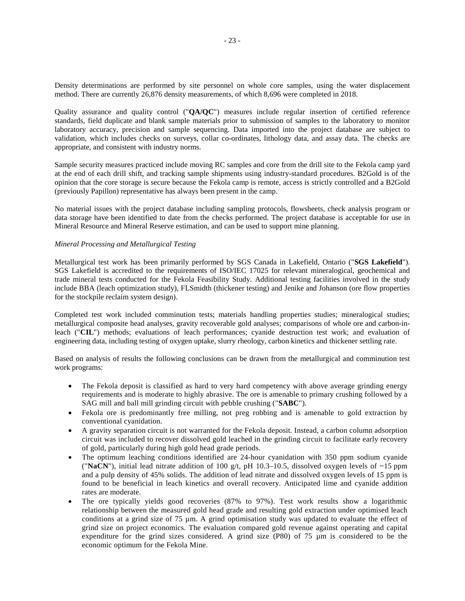Density determinations are performed by site personnel on whole core samples, using the water displacement method. There are currently 26,876 density measurements, of which 8,696 were completed in 2018.

Quality assurance and quality control ("**QA/QC**") measures include regular insertion of certified reference standards, field duplicate and blank sample materials prior to submission of samples to the laboratory to monitor laboratory accuracy, precision and sample sequencing. Data imported into the project database are subject to validation, which includes checks on surveys, collar co-ordinates, lithology data, and assay data. The checks are appropriate, and consistent with industry norms.

Sample security measures practiced include moving RC samples and core from the drill site to the Fekola camp yard at the end of each drill shift, and tracking sample shipments using industry-standard procedures. B2Gold is of the opinion that the core storage is secure because the Fekola camp is remote, access is strictly controlled and a B2Gold (previously Papillon) representative has always been present in the camp.

No material issues with the project database including sampling protocols, flowsheets, check analysis program or data storage have been identified to date from the checks performed. The project database is acceptable for use in Mineral Resource and Mineral Reserve estimation, and can be used to support mine planning.

# *Mineral Processing and Metallurgical Testing*

Metallurgical test work has been primarily performed by SGS Canada in Lakefield, Ontario ("**SGS Lakefield**"). SGS Lakefield is accredited to the requirements of ISO/IEC 17025 for relevant mineralogical, geochemical and trade mineral tests conducted for the Fekola Feasibility Study. Additional testing facilities involved in the study include BBA (leach optimization study), FLSmidth (thickener testing) and Jenike and Johanson (ore flow properties for the stockpile reclaim system design).

Completed test work included comminution tests; materials handling properties studies; mineralogical studies; metallurgical composite head analyses, gravity recoverable gold analyses; comparisons of whole ore and carbon-inleach ("**CIL**") methods; evaluations of leach performances; cyanide destruction test work; and evaluation of engineering data, including testing of oxygen uptake, slurry rheology, carbon kinetics and thickener settling rate.

Based on analysis of results the following conclusions can be drawn from the metallurgical and comminution test work programs:

- The Fekola deposit is classified as hard to very hard competency with above average grinding energy requirements and is moderate to highly abrasive. The ore is amenable to primary crushing followed by a SAG mill and ball mill grinding circuit with pebble crushing ("**SABC**").
- Fekola ore is predominantly free milling, not preg robbing and is amenable to gold extraction by conventional cyanidation.
- A gravity separation circuit is not warranted for the Fekola deposit. Instead, a carbon column adsorption circuit was included to recover dissolved gold leached in the grinding circuit to facilitate early recovery of gold, particularly during high gold head grade periods.
- The optimum leaching conditions identified are 24-hour cyanidation with 350 ppm sodium cyanide ("**NaCN**"), initial lead nitrate addition of 100 g/t, pH 10.3–10.5, dissolved oxygen levels of ~15 ppm and a pulp density of 45% solids. The addition of lead nitrate and dissolved oxygen levels of 15 ppm is found to be beneficial in leach kinetics and overall recovery. Anticipated lime and cyanide addition rates are moderate.
- The ore typically yields good recoveries (87% to 97%). Test work results show a logarithmic relationship between the measured gold head grade and resulting gold extraction under optimised leach conditions at a grind size of 75 µm. A grind optimisation study was updated to evaluate the effect of grind size on project economics. The evaluation compared gold revenue against operating and capital expenditure for the grind sizes considered. A grind size (P80) of 75 µm is considered to be the economic optimum for the Fekola Mine.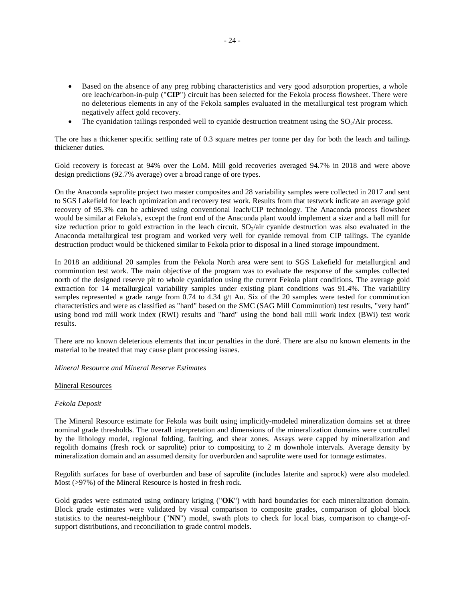- Based on the absence of any preg robbing characteristics and very good adsorption properties, a whole ore leach/carbon-in-pulp ("**CIP**") circuit has been selected for the Fekola process flowsheet. There were no deleterious elements in any of the Fekola samples evaluated in the metallurgical test program which negatively affect gold recovery.
- The cyanidation tailings responded well to cyanide destruction treatment using the  $SO_2/A$ ir process.

The ore has a thickener specific settling rate of 0.3 square metres per tonne per day for both the leach and tailings thickener duties.

Gold recovery is forecast at 94% over the LoM. Mill gold recoveries averaged 94.7% in 2018 and were above design predictions (92.7% average) over a broad range of ore types.

On the Anaconda saprolite project two master composites and 28 variability samples were collected in 2017 and sent to SGS Lakefield for leach optimization and recovery test work. Results from that testwork indicate an average gold recovery of 95.3% can be achieved using conventional leach/CIP technology. The Anaconda process flowsheet would be similar at Fekola's, except the front end of the Anaconda plant would implement a sizer and a ball mill for size reduction prior to gold extraction in the leach circuit.  $SO_2/\text{air}$  cyanide destruction was also evaluated in the Anaconda metallurgical test program and worked very well for cyanide removal from CIP tailings. The cyanide destruction product would be thickened similar to Fekola prior to disposal in a lined storage impoundment.

In 2018 an additional 20 samples from the Fekola North area were sent to SGS Lakefield for metallurgical and comminution test work. The main objective of the program was to evaluate the response of the samples collected north of the designed reserve pit to whole cyanidation using the current Fekola plant conditions. The average gold extraction for 14 metallurgical variability samples under existing plant conditions was 91.4%. The variability samples represented a grade range from 0.74 to 4.34 g/t Au. Six of the 20 samples were tested for comminution characteristics and were as classified as "hard" based on the SMC (SAG Mill Comminution) test results, "very hard" using bond rod mill work index (RWI) results and "hard" using the bond ball mill work index (BWi) test work results.

There are no known deleterious elements that incur penalties in the doré. There are also no known elements in the material to be treated that may cause plant processing issues.

# *Mineral Resource and Mineral Reserve Estimates*

#### Mineral Resources

# *Fekola Deposit*

The Mineral Resource estimate for Fekola was built using implicitly-modeled mineralization domains set at three nominal grade thresholds. The overall interpretation and dimensions of the mineralization domains were controlled by the lithology model, regional folding, faulting, and shear zones. Assays were capped by mineralization and regolith domains (fresh rock or saprolite) prior to compositing to 2 m downhole intervals. Average density by mineralization domain and an assumed density for overburden and saprolite were used for tonnage estimates.

Regolith surfaces for base of overburden and base of saprolite (includes laterite and saprock) were also modeled. Most (>97%) of the Mineral Resource is hosted in fresh rock.

Gold grades were estimated using ordinary kriging ("**OK**") with hard boundaries for each mineralization domain. Block grade estimates were validated by visual comparison to composite grades, comparison of global block statistics to the nearest-neighbour ("**NN**") model, swath plots to check for local bias, comparison to change-ofsupport distributions, and reconciliation to grade control models.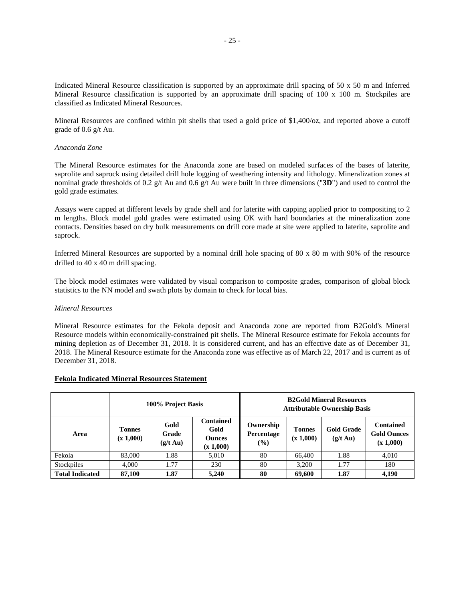Indicated Mineral Resource classification is supported by an approximate drill spacing of 50 x 50 m and Inferred Mineral Resource classification is supported by an approximate drill spacing of 100 x 100 m. Stockpiles are classified as Indicated Mineral Resources.

Mineral Resources are confined within pit shells that used a gold price of \$1,400/oz, and reported above a cutoff grade of 0.6 g/t Au.

# *Anaconda Zone*

The Mineral Resource estimates for the Anaconda zone are based on modeled surfaces of the bases of laterite, saprolite and saprock using detailed drill hole logging of weathering intensity and lithology. Mineralization zones at nominal grade thresholds of 0.2 g/t Au and 0.6 g/t Au were built in three dimensions ("**3D**") and used to control the gold grade estimates.

Assays were capped at different levels by grade shell and for laterite with capping applied prior to compositing to 2 m lengths. Block model gold grades were estimated using OK with hard boundaries at the mineralization zone contacts. Densities based on dry bulk measurements on drill core made at site were applied to laterite, saprolite and saprock.

Inferred Mineral Resources are supported by a nominal drill hole spacing of 80 x 80 m with 90% of the resource drilled to 40 x 40 m drill spacing.

The block model estimates were validated by visual comparison to composite grades, comparison of global block statistics to the NN model and swath plots by domain to check for local bias.

#### *Mineral Resources*

Mineral Resource estimates for the Fekola deposit and Anaconda zone are reported from B2Gold's Mineral Resource models within economically-constrained pit shells. The Mineral Resource estimate for Fekola accounts for mining depletion as of December 31, 2018. It is considered current, and has an effective date as of December 31, 2018. The Mineral Resource estimate for the Anaconda zone was effective as of March 22, 2017 and is current as of December 31, 2018.

#### **Fekola Indicated Mineral Resources Statement**

|                        | 100% Project Basis         |                                     |                                                        |                                          |                            | <b>B2Gold Mineral Resources</b><br><b>Attributable Ownership Basis</b> |                                                     |
|------------------------|----------------------------|-------------------------------------|--------------------------------------------------------|------------------------------------------|----------------------------|------------------------------------------------------------------------|-----------------------------------------------------|
| Area                   | <b>Tonnes</b><br>(x 1,000) | Gold<br>Grade<br>$(g/t \text{ Au})$ | <b>Contained</b><br>Gold<br><b>Ounces</b><br>(x 1,000) | Ownership<br>Percentage<br>$\frac{6}{6}$ | <b>Tonnes</b><br>(x 1,000) | <b>Gold Grade</b><br>$(g/t \text{ Au})$                                | <b>Contained</b><br><b>Gold Ounces</b><br>(x 1,000) |
| Fekola                 | 83,000                     | 1.88                                | 5,010                                                  | 80                                       | 66,400                     | 1.88                                                                   | 4,010                                               |
| Stockpiles             | 4.000                      | 1.77                                | 230                                                    | 80                                       | 3.200                      | 1.77                                                                   | 180                                                 |
| <b>Total Indicated</b> | 87,100                     | 1.87                                | 5,240                                                  | 80                                       | 69,600                     | 1.87                                                                   | 4,190                                               |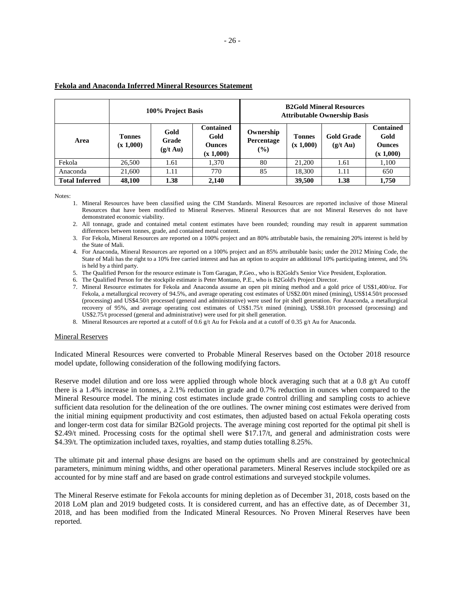|                       | 100% Project Basis         |                                     |                                                        |                                          |                            | <b>B2Gold Mineral Resources</b><br><b>Attributable Ownership Basis</b> |                                                        |
|-----------------------|----------------------------|-------------------------------------|--------------------------------------------------------|------------------------------------------|----------------------------|------------------------------------------------------------------------|--------------------------------------------------------|
| Area                  | <b>Tonnes</b><br>(x 1,000) | Gold<br>Grade<br>$(g/t \text{ Au})$ | <b>Contained</b><br>Gold<br><b>Ounces</b><br>(x 1,000) | Ownership<br>Percentage<br>$\frac{9}{6}$ | <b>Tonnes</b><br>(x 1,000) | <b>Gold Grade</b><br>$(g/t \text{ Au})$                                | <b>Contained</b><br>Gold<br><b>Ounces</b><br>(x 1,000) |
| Fekola                | 26,500                     | 1.61                                | 1,370                                                  | 80                                       | 21,200                     | 1.61                                                                   | 1,100                                                  |
| Anaconda              | 21,600                     | 1.11                                | 770                                                    | 85                                       | 18.300                     | 1.11                                                                   | 650                                                    |
| <b>Total Inferred</b> | 48,100                     | 1.38                                | 2.140                                                  |                                          | 39,500                     | 1.38                                                                   | 1.750                                                  |

# **Fekola and Anaconda Inferred Mineral Resources Statement**

Notes:

- 1. Mineral Resources have been classified using the CIM Standards. Mineral Resources are reported inclusive of those Mineral Resources that have been modified to Mineral Reserves. Mineral Resources that are not Mineral Reserves do not have demonstrated economic viability.
- 2. All tonnage, grade and contained metal content estimates have been rounded; rounding may result in apparent summation differences between tonnes, grade, and contained metal content.
- 3. For Fekola, Mineral Resources are reported on a 100% project and an 80% attributable basis, the remaining 20% interest is held by the State of Mali.
- 4. For Anaconda, Mineral Resources are reported on a 100% project and an 85% attributable basis; under the 2012 Mining Code, the State of Mali has the right to a 10% free carried interest and has an option to acquire an additional 10% participating interest, and 5% is held by a third party.
- 5. The Qualified Person for the resource estimate is Tom Garagan, P.Geo., who is B2Gold's Senior Vice President, Exploration.
- 6. The Qualified Person for the stockpile estimate is Peter Montano, P.E., who is B2Gold's Project Director.
- 7. Mineral Resource estimates for Fekola and Anaconda assume an open pit mining method and a gold price of US\$1,400/oz. For Fekola, a metallurgical recovery of 94.5%, and average operating cost estimates of US\$2.00/t mined (mining), US\$14.50/t processed (processing) and US\$4.50/t processed (general and administrative) were used for pit shell generation. For Anaconda, a metallurgical recovery of 95%, and average operating cost estimates of US\$1.75/t mined (mining), US\$8.10/t processed (processing) and US\$2.75/t processed (general and administrative) were used for pit shell generation.
- 8. Mineral Resources are reported at a cutoff of 0.6 g/t Au for Fekola and at a cutoff of 0.35 g/t Au for Anaconda.

#### Mineral Reserves

Indicated Mineral Resources were converted to Probable Mineral Reserves based on the October 2018 resource model update, following consideration of the following modifying factors.

Reserve model dilution and ore loss were applied through whole block averaging such that at a 0.8 g/t Au cutoff there is a 1.4% increase in tonnes, a 2.1% reduction in grade and 0.7% reduction in ounces when compared to the Mineral Resource model. The mining cost estimates include grade control drilling and sampling costs to achieve sufficient data resolution for the delineation of the ore outlines. The owner mining cost estimates were derived from the initial mining equipment productivity and cost estimates, then adjusted based on actual Fekola operating costs and longer-term cost data for similar B2Gold projects. The average mining cost reported for the optimal pit shell is \$2.49/t mined. Processing costs for the optimal shell were \$17.17/t, and general and administration costs were \$4.39/t. The optimization included taxes, royalties, and stamp duties totalling 8.25%.

The ultimate pit and internal phase designs are based on the optimum shells and are constrained by geotechnical parameters, minimum mining widths, and other operational parameters. Mineral Reserves include stockpiled ore as accounted for by mine staff and are based on grade control estimations and surveyed stockpile volumes.

The Mineral Reserve estimate for Fekola accounts for mining depletion as of December 31, 2018, costs based on the 2018 LoM plan and 2019 budgeted costs. It is considered current, and has an effective date, as of December 31, 2018, and has been modified from the Indicated Mineral Resources. No Proven Mineral Reserves have been reported.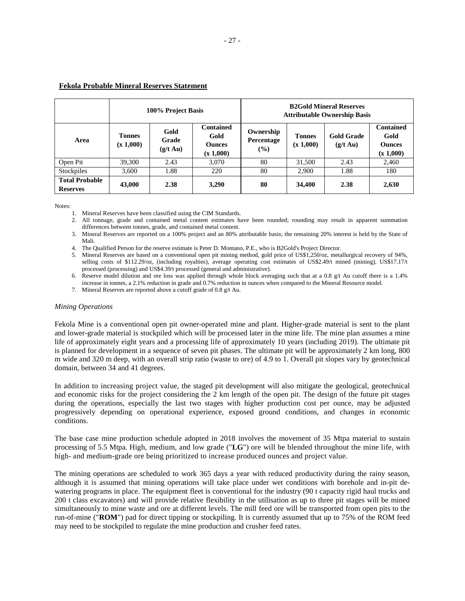# **Fekola Probable Mineral Reserves Statement**

|                                          | 100% Project Basis         |                                     |                                                        | <b>B2Gold Mineral Reserves</b><br><b>Attributable Ownership Basis</b> |                            |                                         |                                                        |
|------------------------------------------|----------------------------|-------------------------------------|--------------------------------------------------------|-----------------------------------------------------------------------|----------------------------|-----------------------------------------|--------------------------------------------------------|
| Area                                     | <b>Tonnes</b><br>(x 1,000) | Gold<br>Grade<br>$(g/t \text{ Au})$ | <b>Contained</b><br>Gold<br><b>Ounces</b><br>(x 1,000) | Ownership<br><b>Percentage</b><br>$\frac{6}{6}$                       | <b>Tonnes</b><br>(x 1,000) | <b>Gold Grade</b><br>$(g/t \text{ Au})$ | <b>Contained</b><br>Gold<br><b>Ounces</b><br>(x 1,000) |
| Open Pit                                 | 39,300                     | 2.43                                | 3.070                                                  | 80                                                                    | 31,500                     | 2.43                                    | 2,460                                                  |
| Stockpiles                               | 3.600                      | 1.88                                | 220                                                    | 80                                                                    | 2.900                      | 1.88                                    | 180                                                    |
| <b>Total Probable</b><br><b>Reserves</b> | 43,000                     | 2.38                                | 3,290                                                  | 80                                                                    | 34,400                     | 2.38                                    | 2,630                                                  |

Notes:

- 1. Mineral Reserves have been classified using the CIM Standards.
- 2. All tonnage, grade and contained metal content estimates have been rounded; rounding may result in apparent summation differences between tonnes, grade, and contained metal content.
- 3. Mineral Reserves are reported on a 100% project and an 80% attributable basis; the remaining 20% interest is held by the State of Mali.
- 4. The Qualified Person for the reserve estimate is Peter D. Montano, P.E., who is B2Gold's Project Director.
- 5. Mineral Reserves are based on a conventional open pit mining method, gold price of US\$1,250/oz, metallurgical recovery of 94%, selling costs of \$112.29/oz, (including royalties), average operating cost estimates of US\$2.49/t mined (mining), US\$17.17/t processed (processing) and US\$4.39/t processed (general and administrative).
- 6. Reserve model dilution and ore loss was applied through whole block averaging such that at a 0.8 g/t Au cutoff there is a 1.4% increase in tonnes, a 2.1% reduction in grade and 0.7% reduction in ounces when compared to the Mineral Resource model.
- 7. Mineral Reserves are reported above a cutoff grade of 0.8 g/t Au.

#### *Mining Operations*

Fekola Mine is a conventional open pit owner-operated mine and plant. Higher-grade material is sent to the plant and lower-grade material is stockpiled which will be processed later in the mine life. The mine plan assumes a mine life of approximately eight years and a processing life of approximately 10 years (including 2019). The ultimate pit is planned for development in a sequence of seven pit phases. The ultimate pit will be approximately 2 km long, 800 m wide and 320 m deep, with an overall strip ratio (waste to ore) of 4.9 to 1. Overall pit slopes vary by geotechnical domain, between 34 and 41 degrees.

In addition to increasing project value, the staged pit development will also mitigate the geological, geotechnical and economic risks for the project considering the 2 km length of the open pit. The design of the future pit stages during the operations, especially the last two stages with higher production cost per ounce, may be adjusted progressively depending on operational experience, exposed ground conditions, and changes in economic conditions.

The base case mine production schedule adopted in 2018 involves the movement of 35 Mtpa material to sustain processing of 5.5 Mtpa. High, medium, and low grade ("**LG**") ore will be blended throughout the mine life, with high- and medium-grade ore being prioritized to increase produced ounces and project value.

The mining operations are scheduled to work 365 days a year with reduced productivity during the rainy season, although it is assumed that mining operations will take place under wet conditions with borehole and in-pit dewatering programs in place. The equipment fleet is conventional for the industry (90 t capacity rigid haul trucks and 200 t class excavators) and will provide relative flexibility in the utilisation as up to three pit stages will be mined simultaneously to mine waste and ore at different levels. The mill feed ore will be transported from open pits to the run-of-mine ("**ROM**") pad for direct tipping or stockpiling. It is currently assumed that up to 75% of the ROM feed may need to be stockpiled to regulate the mine production and crusher feed rates.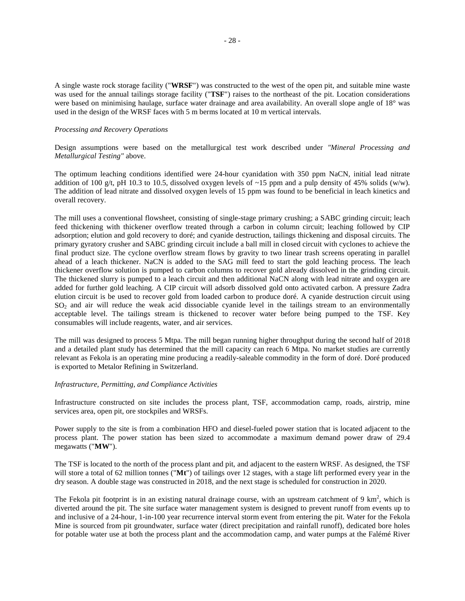A single waste rock storage facility ("**WRSF**") was constructed to the west of the open pit, and suitable mine waste was used for the annual tailings storage facility ("**TSF**") raises to the northeast of the pit. Location considerations were based on minimising haulage, surface water drainage and area availability. An overall slope angle of 18° was used in the design of the WRSF faces with 5 m berms located at 10 m vertical intervals.

#### *Processing and Recovery Operations*

Design assumptions were based on the metallurgical test work described under *"Mineral Processing and Metallurgical Testing"* above.

The optimum leaching conditions identified were 24-hour cyanidation with 350 ppm NaCN, initial lead nitrate addition of 100 g/t, pH 10.3 to 10.5, dissolved oxygen levels of  $\sim$ 15 ppm and a pulp density of 45% solids (w/w). The addition of lead nitrate and dissolved oxygen levels of 15 ppm was found to be beneficial in leach kinetics and overall recovery.

The mill uses a conventional flowsheet, consisting of single-stage primary crushing; a SABC grinding circuit; leach feed thickening with thickener overflow treated through a carbon in column circuit; leaching followed by CIP adsorption; elution and gold recovery to doré; and cyanide destruction, tailings thickening and disposal circuits. The primary gyratory crusher and SABC grinding circuit include a ball mill in closed circuit with cyclones to achieve the final product size. The cyclone overflow stream flows by gravity to two linear trash screens operating in parallel ahead of a leach thickener. NaCN is added to the SAG mill feed to start the gold leaching process. The leach thickener overflow solution is pumped to carbon columns to recover gold already dissolved in the grinding circuit. The thickened slurry is pumped to a leach circuit and then additional NaCN along with lead nitrate and oxygen are added for further gold leaching. A CIP circuit will adsorb dissolved gold onto activated carbon. A pressure Zadra elution circuit is be used to recover gold from loaded carbon to produce doré. A cyanide destruction circuit using  $SO<sub>2</sub>$  and air will reduce the weak acid dissociable cyanide level in the tailings stream to an environmentally acceptable level. The tailings stream is thickened to recover water before being pumped to the TSF. Key consumables will include reagents, water, and air services.

The mill was designed to process 5 Mtpa. The mill began running higher throughput during the second half of 2018 and a detailed plant study has determined that the mill capacity can reach 6 Mtpa. No market studies are currently relevant as Fekola is an operating mine producing a readily-saleable commodity in the form of doré. Doré produced is exported to Metalor Refining in Switzerland.

#### *Infrastructure, Permitting, and Compliance Activities*

Infrastructure constructed on site includes the process plant, TSF, accommodation camp, roads, airstrip, mine services area, open pit, ore stockpiles and WRSFs.

Power supply to the site is from a combination HFO and diesel-fueled power station that is located adjacent to the process plant. The power station has been sized to accommodate a maximum demand power draw of 29.4 megawatts ("**MW**").

The TSF is located to the north of the process plant and pit, and adjacent to the eastern WRSF. As designed, the TSF will store a total of 62 million tonnes ("**Mt**") of tailings over 12 stages, with a stage lift performed every year in the dry season. A double stage was constructed in 2018, and the next stage is scheduled for construction in 2020.

The Fekola pit footprint is in an existing natural drainage course, with an upstream catchment of 9 km<sup>2</sup>, which is diverted around the pit. The site surface water management system is designed to prevent runoff from events up to and inclusive of a 24-hour, 1-in-100 year recurrence interval storm event from entering the pit. Water for the Fekola Mine is sourced from pit groundwater, surface water (direct precipitation and rainfall runoff), dedicated bore holes for potable water use at both the process plant and the accommodation camp, and water pumps at the Falémé River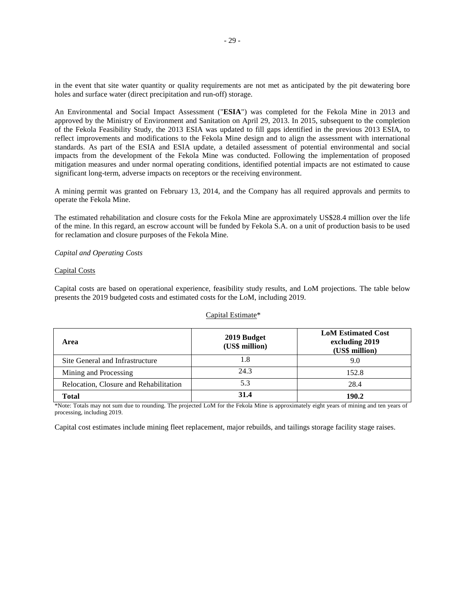in the event that site water quantity or quality requirements are not met as anticipated by the pit dewatering bore holes and surface water (direct precipitation and run-off) storage.

An Environmental and Social Impact Assessment ("**ESIA**") was completed for the Fekola Mine in 2013 and approved by the Ministry of Environment and Sanitation on April 29, 2013. In 2015, subsequent to the completion of the Fekola Feasibility Study, the 2013 ESIA was updated to fill gaps identified in the previous 2013 ESIA, to reflect improvements and modifications to the Fekola Mine design and to align the assessment with international standards. As part of the ESIA and ESIA update, a detailed assessment of potential environmental and social impacts from the development of the Fekola Mine was conducted. Following the implementation of proposed mitigation measures and under normal operating conditions, identified potential impacts are not estimated to cause significant long-term, adverse impacts on receptors or the receiving environment.

A mining permit was granted on February 13, 2014, and the Company has all required approvals and permits to operate the Fekola Mine.

The estimated rehabilitation and closure costs for the Fekola Mine are approximately US\$28.4 million over the life of the mine. In this regard, an escrow account will be funded by Fekola S.A. on a unit of production basis to be used for reclamation and closure purposes of the Fekola Mine.

#### *Capital and Operating Costs*

# Capital Costs

Capital costs are based on operational experience, feasibility study results, and LoM projections. The table below presents the 2019 budgeted costs and estimated costs for the LoM, including 2019.

| Area                                   | 2019 Budget<br>(US\$ million) | <b>LoM Estimated Cost</b><br>excluding 2019<br>(US\$ million) |
|----------------------------------------|-------------------------------|---------------------------------------------------------------|
| Site General and Infrastructure        | 1.8                           | 9.0                                                           |
| Mining and Processing                  | 24.3                          | 152.8                                                         |
| Relocation, Closure and Rehabilitation | 5.3                           | 28.4                                                          |
| Total                                  | 31.4                          | 190.2                                                         |

#### Capital Estimate\*

\*Note: Totals may not sum due to rounding. The projected LoM for the Fekola Mine is approximately eight years of mining and ten years of processing, including 2019.

Capital cost estimates include mining fleet replacement, major rebuilds, and tailings storage facility stage raises.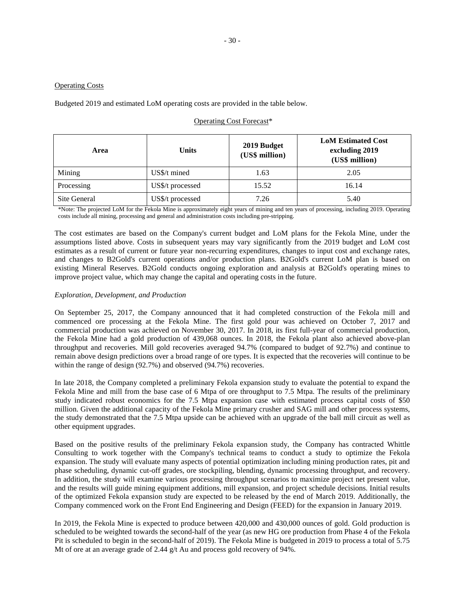# Operating Costs

Budgeted 2019 and estimated LoM operating costs are provided in the table below.

| Area         | <b>Units</b>     | 2019 Budget<br>(US\$ million) | <b>LoM Estimated Cost</b><br>excluding 2019<br>(US\$ million) |
|--------------|------------------|-------------------------------|---------------------------------------------------------------|
| Mining       | US\$/t mined     | 1.63                          | 2.05                                                          |
| Processing   | US\$/t processed | 15.52                         | 16.14                                                         |
| Site General | US\$/t processed | 7.26                          | 5.40                                                          |

# Operating Cost Forecast\*

\*Note: The projected LoM for the Fekola Mine is approximately eight years of mining and ten years of processing, including 2019. Operating costs include all mining, processing and general and administration costs including pre-stripping.

The cost estimates are based on the Company's current budget and LoM plans for the Fekola Mine, under the assumptions listed above. Costs in subsequent years may vary significantly from the 2019 budget and LoM cost estimates as a result of current or future year non-recurring expenditures, changes to input cost and exchange rates, and changes to B2Gold's current operations and/or production plans. B2Gold's current LoM plan is based on existing Mineral Reserves. B2Gold conducts ongoing exploration and analysis at B2Gold's operating mines to improve project value, which may change the capital and operating costs in the future.

# *Exploration, Development, and Production*

On September 25, 2017, the Company announced that it had completed construction of the Fekola mill and commenced ore processing at the Fekola Mine. The first gold pour was achieved on October 7, 2017 and commercial production was achieved on November 30, 2017. In 2018, its first full-year of commercial production, the Fekola Mine had a gold production of 439,068 ounces. In 2018, the Fekola plant also achieved above-plan throughput and recoveries. Mill gold recoveries averaged 94.7% (compared to budget of 92.7%) and continue to remain above design predictions over a broad range of ore types. It is expected that the recoveries will continue to be within the range of design (92.7%) and observed (94.7%) recoveries.

In late 2018, the Company completed a preliminary Fekola expansion study to evaluate the potential to expand the Fekola Mine and mill from the base case of 6 Mtpa of ore throughput to 7.5 Mtpa. The results of the preliminary study indicated robust economics for the 7.5 Mtpa expansion case with estimated process capital costs of \$50 million. Given the additional capacity of the Fekola Mine primary crusher and SAG mill and other process systems, the study demonstrated that the 7.5 Mtpa upside can be achieved with an upgrade of the ball mill circuit as well as other equipment upgrades.

Based on the positive results of the preliminary Fekola expansion study, the Company has contracted Whittle Consulting to work together with the Company's technical teams to conduct a study to optimize the Fekola expansion. The study will evaluate many aspects of potential optimization including mining production rates, pit and phase scheduling, dynamic cut-off grades, ore stockpiling, blending, dynamic processing throughput, and recovery. In addition, the study will examine various processing throughput scenarios to maximize project net present value, and the results will guide mining equipment additions, mill expansion, and project schedule decisions. Initial results of the optimized Fekola expansion study are expected to be released by the end of March 2019. Additionally, the Company commenced work on the Front End Engineering and Design (FEED) for the expansion in January 2019.

In 2019, the Fekola Mine is expected to produce between 420,000 and 430,000 ounces of gold. Gold production is scheduled to be weighted towards the second-half of the year (as new HG ore production from Phase 4 of the Fekola Pit is scheduled to begin in the second-half of 2019). The Fekola Mine is budgeted in 2019 to process a total of 5.75 Mt of ore at an average grade of 2.44 g/t Au and process gold recovery of 94%.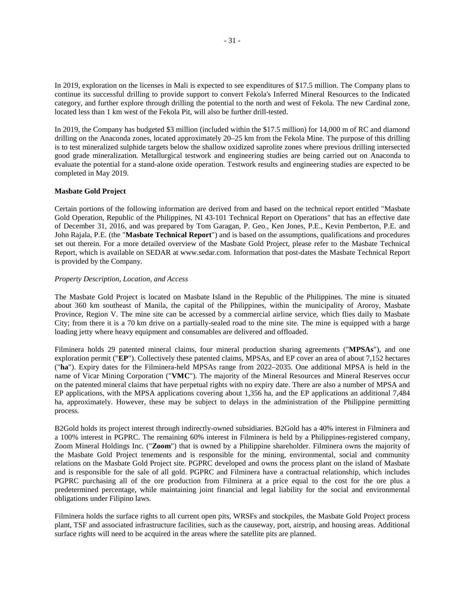In 2019, exploration on the licenses in Mali is expected to see expenditures of \$17.5 million. The Company plans to continue its successful drilling to provide support to convert Fekola's Inferred Mineral Resources to the Indicated category, and further explore through drilling the potential to the north and west of Fekola. The new Cardinal zone, located less than 1 km west of the Fekola Pit, will also be further drill-tested.

In 2019, the Company has budgeted \$3 million (included within the \$17.5 million) for 14,000 m of RC and diamond drilling on the Anaconda zones, located approximately 20–25 km from the Fekola Mine. The purpose of this drilling is to test mineralized sulphide targets below the shallow oxidized saprolite zones where previous drilling intersected good grade mineralization. Metallurgical testwork and engineering studies are being carried out on Anaconda to evaluate the potential for a stand-alone oxide operation. Testwork results and engineering studies are expected to be completed in May 2019.

# <span id="page-33-0"></span>**Masbate Gold Project**

Certain portions of the following information are derived from and based on the technical report entitled "Masbate Gold Operation, Republic of the Philippines, NI 43-101 Technical Report on Operations" that has an effective date of December 31, 2016, and was prepared by Tom Garagan, P. Geo., Ken Jones, P.E., Kevin Pemberton, P.E. and John Rajala, P.E. (the "**Masbate Technical Report**") and is based on the assumptions, qualifications and procedures set out therein. For a more detailed overview of the Masbate Gold Project, please refer to the Masbate Technical Report, which is available on SEDAR at [www.sedar.com.](http://www.sedar.com/) Information that post-dates the Masbate Technical Report is provided by the Company.

# *Property Description, Location, and Access*

The Masbate Gold Project is located on Masbate Island in the Republic of the Philippines. The mine is situated about 360 km southeast of Manila, the capital of the Philippines, within the municipality of Aroroy, Masbate Province, Region V. The mine site can be accessed by a commercial airline service, which flies daily to Masbate City; from there it is a 70 km drive on a partially-sealed road to the mine site. The mine is equipped with a barge loading jetty where heavy equipment and consumables are delivered and offloaded.

Filminera holds 29 patented mineral claims, four mineral production sharing agreements ("**MPSAs**"), and one exploration permit ("**EP**"). Collectively these patented claims, MPSAs, and EP cover an area of about 7,152 hectares ("**ha**"). Expiry dates for the Filminera-held MPSAs range from 2022–2035. One additional MPSA is held in the name of Vicar Mining Corporation ("**VMC**"). The majority of the Mineral Resources and Mineral Reserves occur on the patented mineral claims that have perpetual rights with no expiry date. There are also a number of MPSA and EP applications, with the MPSA applications covering about 1,356 ha, and the EP applications an additional 7,484 ha, approximately. However, these may be subject to delays in the administration of the Philippine permitting process.

B2Gold holds its project interest through indirectly-owned subsidiaries. B2Gold has a 40% interest in Filminera and a 100% interest in PGPRC. The remaining 60% interest in Filminera is held by a Philippines-registered company, Zoom Mineral Holdings Inc. ("**Zoom**") that is owned by a Philippine shareholder. Filminera owns the majority of the Masbate Gold Project tenements and is responsible for the mining, environmental, social and community relations on the Masbate Gold Project site. PGPRC developed and owns the process plant on the island of Masbate and is responsible for the sale of all gold. PGPRC and Filminera have a contractual relationship, which includes PGPRC purchasing all of the ore production from Filminera at a price equal to the cost for the ore plus a predetermined percentage, while maintaining joint financial and legal liability for the social and environmental obligations under Filipino laws.

Filminera holds the surface rights to all current open pits, WRSFs and stockpiles, the Masbate Gold Project process plant, TSF and associated infrastructure facilities, such as the causeway, port, airstrip, and housing areas. Additional surface rights will need to be acquired in the areas where the satellite pits are planned.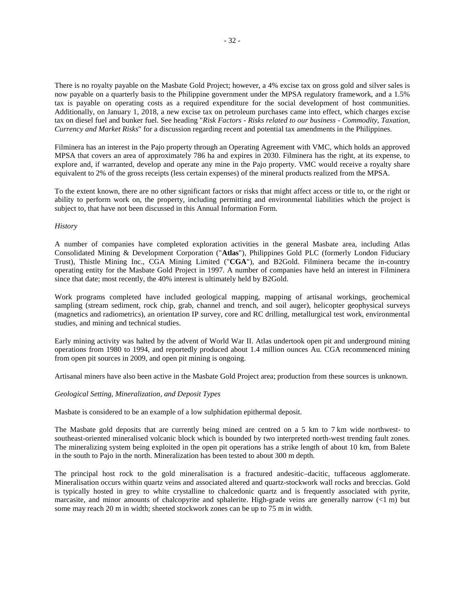There is no royalty payable on the Masbate Gold Project; however, a 4% excise tax on gross gold and silver sales is now payable on a quarterly basis to the Philippine government under the MPSA regulatory framework, and a 1.5% tax is payable on operating costs as a required expenditure for the social development of host communities. Additionally, on January 1, 2018, a new excise tax on petroleum purchases came into effect, which charges excise tax on diesel fuel and bunker fuel. See heading "*Risk Factors - Risks related to our business - Commodity, Taxation, Currency and Market Risks*" for a discussion regarding recent and potential tax amendments in the Philippines.

Filminera has an interest in the Pajo property through an Operating Agreement with VMC, which holds an approved MPSA that covers an area of approximately 786 ha and expires in 2030. Filminera has the right, at its expense, to explore and, if warranted, develop and operate any mine in the Pajo property. VMC would receive a royalty share equivalent to 2% of the gross receipts (less certain expenses) of the mineral products realized from the MPSA.

To the extent known, there are no other significant factors or risks that might affect access or title to, or the right or ability to perform work on, the property, including permitting and environmental liabilities which the project is subject to, that have not been discussed in this Annual Information Form.

#### *History*

A number of companies have completed exploration activities in the general Masbate area, including Atlas Consolidated Mining & Development Corporation ("**Atlas**"), Philippines Gold PLC (formerly London Fiduciary Trust), Thistle Mining Inc., CGA Mining Limited ("**CGA**"), and B2Gold. Filminera became the in-country operating entity for the Masbate Gold Project in 1997. A number of companies have held an interest in Filminera since that date; most recently, the 40% interest is ultimately held by B2Gold.

Work programs completed have included geological mapping, mapping of artisanal workings, geochemical sampling (stream sediment, rock chip, grab, channel and trench, and soil auger), helicopter geophysical surveys (magnetics and radiometrics), an orientation IP survey, core and RC drilling, metallurgical test work, environmental studies, and mining and technical studies.

Early mining activity was halted by the advent of World War II. Atlas undertook open pit and underground mining operations from 1980 to 1994, and reportedly produced about 1.4 million ounces Au. CGA recommenced mining from open pit sources in 2009, and open pit mining is ongoing.

Artisanal miners have also been active in the Masbate Gold Project area; production from these sources is unknown.

# *Geological Setting, Mineralization, and Deposit Types*

Masbate is considered to be an example of a low sulphidation epithermal deposit.

The Masbate gold deposits that are currently being mined are centred on a 5 km to 7 km wide northwest- to southeast-oriented mineralised volcanic block which is bounded by two interpreted north-west trending fault zones. The mineralizing system being exploited in the open pit operations has a strike length of about 10 km, from Balete in the south to Pajo in the north. Mineralization has been tested to about 300 m depth.

The principal host rock to the gold mineralisation is a fractured andesitic–dacitic, tuffaceous agglomerate. Mineralisation occurs within quartz veins and associated altered and quartz-stockwork wall rocks and breccias. Gold is typically hosted in grey to white crystalline to chalcedonic quartz and is frequently associated with pyrite, marcasite, and minor amounts of chalcopyrite and sphalerite. High-grade veins are generally narrow (<1 m) but some may reach 20 m in width; sheeted stockwork zones can be up to 75 m in width.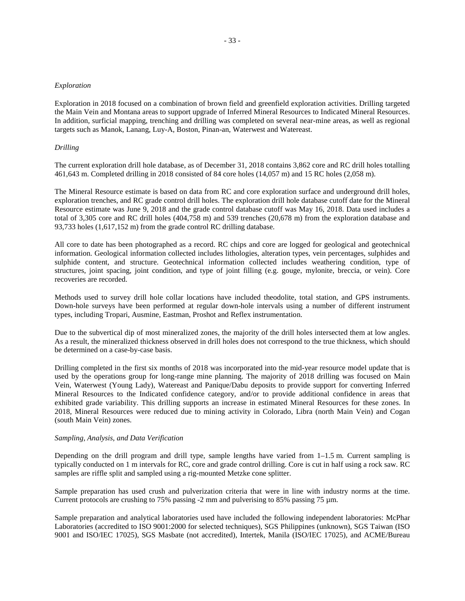#### *Exploration*

Exploration in 2018 focused on a combination of brown field and greenfield exploration activities. Drilling targeted the Main Vein and Montana areas to support upgrade of Inferred Mineral Resources to Indicated Mineral Resources. In addition, surficial mapping, trenching and drilling was completed on several near-mine areas, as well as regional targets such as Manok, Lanang, Luy-A, Boston, Pinan-an, Waterwest and Watereast.

# *Drilling*

The current exploration drill hole database, as of December 31, 2018 contains 3,862 core and RC drill holes totalling 461,643 m. Completed drilling in 2018 consisted of 84 core holes (14,057 m) and 15 RC holes (2,058 m).

The Mineral Resource estimate is based on data from RC and core exploration surface and underground drill holes, exploration trenches, and RC grade control drill holes. The exploration drill hole database cutoff date for the Mineral Resource estimate was June 9, 2018 and the grade control database cutoff was May 16, 2018. Data used includes a total of 3,305 core and RC drill holes (404,758 m) and 539 trenches (20,678 m) from the exploration database and 93,733 holes (1,617,152 m) from the grade control RC drilling database.

All core to date has been photographed as a record. RC chips and core are logged for geological and geotechnical information. Geological information collected includes lithologies, alteration types, vein percentages, sulphides and sulphide content, and structure. Geotechnical information collected includes weathering condition, type of structures, joint spacing, joint condition, and type of joint filling (e.g. gouge, mylonite, breccia, or vein). Core recoveries are recorded.

Methods used to survey drill hole collar locations have included theodolite, total station, and GPS instruments. Down-hole surveys have been performed at regular down-hole intervals using a number of different instrument types, including Tropari, Ausmine, Eastman, Proshot and Reflex instrumentation.

Due to the subvertical dip of most mineralized zones, the majority of the drill holes intersected them at low angles. As a result, the mineralized thickness observed in drill holes does not correspond to the true thickness, which should be determined on a case-by-case basis.

Drilling completed in the first six months of 2018 was incorporated into the mid-year resource model update that is used by the operations group for long-range mine planning. The majority of 2018 drilling was focused on Main Vein, Waterwest (Young Lady), Watereast and Panique/Dabu deposits to provide support for converting Inferred Mineral Resources to the Indicated confidence category, and/or to provide additional confidence in areas that exhibited grade variability. This drilling supports an increase in estimated Mineral Resources for these zones. In 2018, Mineral Resources were reduced due to mining activity in Colorado, Libra (north Main Vein) and Cogan (south Main Vein) zones.

#### *Sampling, Analysis, and Data Verification*

Depending on the drill program and drill type, sample lengths have varied from 1–1.5 m. Current sampling is typically conducted on 1 m intervals for RC, core and grade control drilling. Core is cut in half using a rock saw. RC samples are riffle split and sampled using a rig-mounted Metzke cone splitter.

Sample preparation has used crush and pulverization criteria that were in line with industry norms at the time. Current protocols are crushing to 75% passing -2 mm and pulverising to 85% passing 75 µm.

Sample preparation and analytical laboratories used have included the following independent laboratories: McPhar Laboratories (accredited to ISO 9001:2000 for selected techniques), SGS Philippines (unknown), SGS Taiwan (ISO 9001 and ISO/IEC 17025), SGS Masbate (not accredited), Intertek, Manila (ISO/IEC 17025), and ACME/Bureau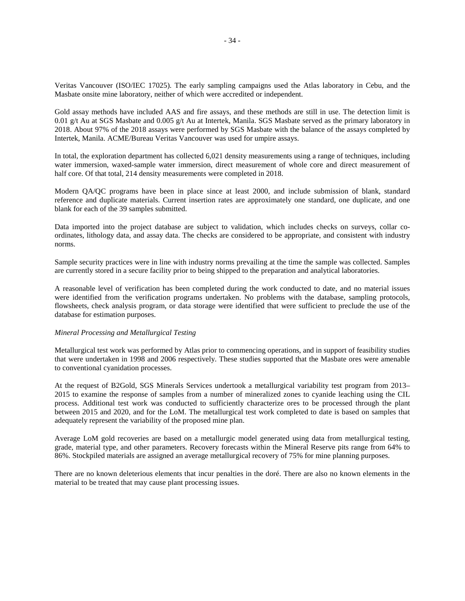Veritas Vancouver (ISO/IEC 17025). The early sampling campaigns used the Atlas laboratory in Cebu, and the Masbate onsite mine laboratory, neither of which were accredited or independent.

Gold assay methods have included AAS and fire assays, and these methods are still in use. The detection limit is 0.01 g/t Au at SGS Masbate and 0.005 g/t Au at Intertek, Manila. SGS Masbate served as the primary laboratory in 2018. About 97% of the 2018 assays were performed by SGS Masbate with the balance of the assays completed by Intertek, Manila. ACME/Bureau Veritas Vancouver was used for umpire assays.

In total, the exploration department has collected 6,021 density measurements using a range of techniques, including water immersion, waxed-sample water immersion, direct measurement of whole core and direct measurement of half core. Of that total, 214 density measurements were completed in 2018.

Modern QA/QC programs have been in place since at least 2000, and include submission of blank, standard reference and duplicate materials. Current insertion rates are approximately one standard, one duplicate, and one blank for each of the 39 samples submitted.

Data imported into the project database are subject to validation, which includes checks on surveys, collar coordinates, lithology data, and assay data. The checks are considered to be appropriate, and consistent with industry norms.

Sample security practices were in line with industry norms prevailing at the time the sample was collected. Samples are currently stored in a secure facility prior to being shipped to the preparation and analytical laboratories.

A reasonable level of verification has been completed during the work conducted to date, and no material issues were identified from the verification programs undertaken. No problems with the database, sampling protocols, flowsheets, check analysis program, or data storage were identified that were sufficient to preclude the use of the database for estimation purposes.

## *Mineral Processing and Metallurgical Testing*

Metallurgical test work was performed by Atlas prior to commencing operations, and in support of feasibility studies that were undertaken in 1998 and 2006 respectively. These studies supported that the Masbate ores were amenable to conventional cyanidation processes.

At the request of B2Gold, SGS Minerals Services undertook a metallurgical variability test program from 2013– 2015 to examine the response of samples from a number of mineralized zones to cyanide leaching using the CIL process. Additional test work was conducted to sufficiently characterize ores to be processed through the plant between 2015 and 2020, and for the LoM. The metallurgical test work completed to date is based on samples that adequately represent the variability of the proposed mine plan.

Average LoM gold recoveries are based on a metallurgic model generated using data from metallurgical testing, grade, material type, and other parameters. Recovery forecasts within the Mineral Reserve pits range from 64% to 86%. Stockpiled materials are assigned an average metallurgical recovery of 75% for mine planning purposes.

There are no known deleterious elements that incur penalties in the doré. There are also no known elements in the material to be treated that may cause plant processing issues.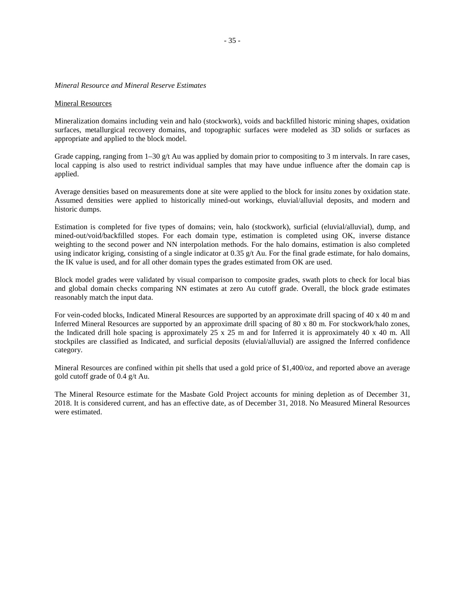### *Mineral Resource and Mineral Reserve Estimates*

#### Mineral Resources

Mineralization domains including vein and halo (stockwork), voids and backfilled historic mining shapes, oxidation surfaces, metallurgical recovery domains, and topographic surfaces were modeled as 3D solids or surfaces as appropriate and applied to the block model.

Grade capping, ranging from 1–30 g/t Au was applied by domain prior to compositing to 3 m intervals. In rare cases, local capping is also used to restrict individual samples that may have undue influence after the domain cap is applied.

Average densities based on measurements done at site were applied to the block for insitu zones by oxidation state. Assumed densities were applied to historically mined-out workings, eluvial/alluvial deposits, and modern and historic dumps.

Estimation is completed for five types of domains; vein, halo (stockwork), surficial (eluvial/alluvial), dump, and mined-out/void/backfilled stopes. For each domain type, estimation is completed using OK, inverse distance weighting to the second power and NN interpolation methods. For the halo domains, estimation is also completed using indicator kriging, consisting of a single indicator at  $0.35$  g/t Au. For the final grade estimate, for halo domains, the IK value is used, and for all other domain types the grades estimated from OK are used.

Block model grades were validated by visual comparison to composite grades, swath plots to check for local bias and global domain checks comparing NN estimates at zero Au cutoff grade. Overall, the block grade estimates reasonably match the input data.

For vein-coded blocks, Indicated Mineral Resources are supported by an approximate drill spacing of 40 x 40 m and Inferred Mineral Resources are supported by an approximate drill spacing of 80 x 80 m. For stockwork/halo zones, the Indicated drill hole spacing is approximately 25 x 25 m and for Inferred it is approximately 40 x 40 m. All stockpiles are classified as Indicated, and surficial deposits (eluvial/alluvial) are assigned the Inferred confidence category.

Mineral Resources are confined within pit shells that used a gold price of \$1,400/oz, and reported above an average gold cutoff grade of 0.4 g/t Au.

The Mineral Resource estimate for the Masbate Gold Project accounts for mining depletion as of December 31, 2018. It is considered current, and has an effective date, as of December 31, 2018. No Measured Mineral Resources were estimated.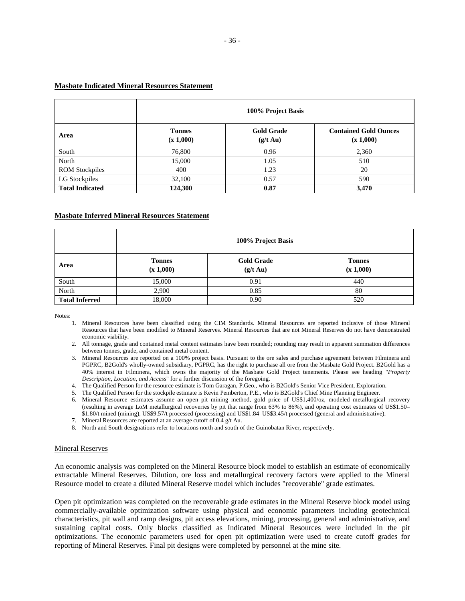# **Masbate Indicated Mineral Resources Statement**

|                        | 100% Project Basis         |                                         |                                           |  |  |
|------------------------|----------------------------|-----------------------------------------|-------------------------------------------|--|--|
| Area                   | <b>Tonnes</b><br>(x 1,000) | <b>Gold Grade</b><br>$(g/t \text{ Au})$ | <b>Contained Gold Ounces</b><br>(x 1,000) |  |  |
| South                  | 76,800                     | 0.96                                    | 2,360                                     |  |  |
| North                  | 15,000                     | 1.05                                    | 510                                       |  |  |
| <b>ROM Stockpiles</b>  | 400                        | 1.23                                    | 20                                        |  |  |
| LG Stockpiles          | 32,100                     | 0.57                                    | 590                                       |  |  |
| <b>Total Indicated</b> | 124,300                    | 0.87                                    | 3,470                                     |  |  |

## **Masbate Inferred Mineral Resources Statement**

|                       | 100% Project Basis         |                                         |                            |  |  |  |
|-----------------------|----------------------------|-----------------------------------------|----------------------------|--|--|--|
| Area                  | <b>Tonnes</b><br>(x 1,000) | <b>Gold Grade</b><br>$(g/t \text{ Au})$ | <b>Tonnes</b><br>(x 1,000) |  |  |  |
| South                 | 15,000                     | 0.91                                    | 440                        |  |  |  |
| North                 | 2,900                      | 0.85                                    | 80                         |  |  |  |
| <b>Total Inferred</b> | 18,000                     | 0.90                                    | 520                        |  |  |  |

Notes:

- 1. Mineral Resources have been classified using the CIM Standards. Mineral Resources are reported inclusive of those Mineral Resources that have been modified to Mineral Reserves. Mineral Resources that are not Mineral Reserves do not have demonstrated economic viability.
- 2. All tonnage, grade and contained metal content estimates have been rounded; rounding may result in apparent summation differences between tonnes, grade, and contained metal content.
- 3. Mineral Resources are reported on a 100% project basis. Pursuant to the ore sales and purchase agreement between Filminera and PGPRC, B2Gold's wholly-owned subsidiary, PGPRC, has the right to purchase all ore from the Masbate Gold Project. B2Gold has a 40% interest in Filminera, which owns the majority of the Masbate Gold Project tenements. Please see heading "*Property Description, Location, and Access*" for a further discussion of the foregoing.
- 4. The Qualified Person for the resource estimate is Tom Garagan, P.Geo., who is B2Gold's Senior Vice President, Exploration.
- 5. The Qualified Person for the stockpile estimate is Kevin Pemberton, P.E., who is B2Gold's Chief Mine Planning Engineer.
- 6. Mineral Resource estimates assume an open pit mining method, gold price of US\$1,400/oz, modeled metallurgical recovery (resulting in average LoM metallurgical recoveries by pit that range from 63% to 86%), and operating cost estimates of US\$1.50– \$1.80/t mined (mining), US\$9.57/t processed (processing) and US\$1.84–US\$3.45/t processed (general and administrative).
- 7. Mineral Resources are reported at an average cutoff of 0.4 g/t Au.
- 8. North and South designations refer to locations north and south of the Guinobatan River, respectively.

### Mineral Reserves

An economic analysis was completed on the Mineral Resource block model to establish an estimate of economically extractable Mineral Reserves. Dilution, ore loss and metallurgical recovery factors were applied to the Mineral Resource model to create a diluted Mineral Reserve model which includes "recoverable" grade estimates.

Open pit optimization was completed on the recoverable grade estimates in the Mineral Reserve block model using commercially-available optimization software using physical and economic parameters including geotechnical characteristics, pit wall and ramp designs, pit access elevations, mining, processing, general and administrative, and sustaining capital costs. Only blocks classified as Indicated Mineral Resources were included in the pit optimizations. The economic parameters used for open pit optimization were used to create cutoff grades for reporting of Mineral Reserves. Final pit designs were completed by personnel at the mine site.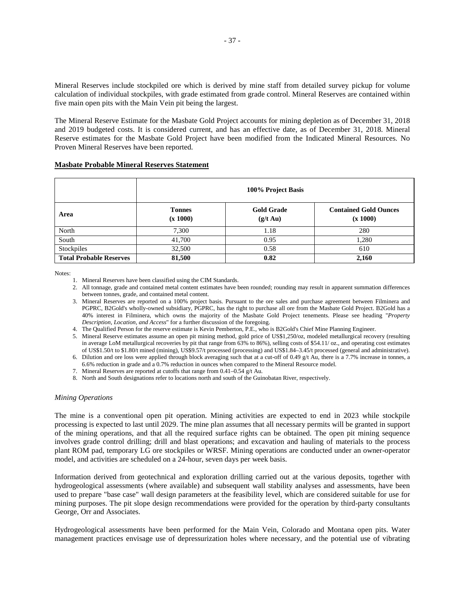Mineral Reserves include stockpiled ore which is derived by mine staff from detailed survey pickup for volume calculation of individual stockpiles, with grade estimated from grade control. Mineral Reserves are contained within five main open pits with the Main Vein pit being the largest.

The Mineral Reserve Estimate for the Masbate Gold Project accounts for mining depletion as of December 31, 2018 and 2019 budgeted costs. It is considered current, and has an effective date, as of December 31, 2018. Mineral Reserve estimates for the Masbate Gold Project have been modified from the Indicated Mineral Resources. No Proven Mineral Reserves have been reported.

## **Masbate Probable Mineral Reserves Statement**

|                                | 100% Project Basis        |                                         |                                          |  |  |
|--------------------------------|---------------------------|-----------------------------------------|------------------------------------------|--|--|
| Area                           | <b>Tonnes</b><br>(x 1000) | <b>Gold Grade</b><br>$(g/t \text{ Au})$ | <b>Contained Gold Ounces</b><br>(x 1000) |  |  |
| North                          | 7,300                     | 1.18                                    | 280                                      |  |  |
| South                          | 41,700                    | 0.95                                    | 1,280                                    |  |  |
| Stockpiles                     | 32,500                    | 0.58                                    | 610                                      |  |  |
| <b>Total Probable Reserves</b> | 81,500                    | 0.82                                    | 2,160                                    |  |  |

Notes:

- 1. Mineral Reserves have been classified using the CIM Standards.
- 2. All tonnage, grade and contained metal content estimates have been rounded; rounding may result in apparent summation differences between tonnes, grade, and contained metal content.
- 3. Mineral Reserves are reported on a 100% project basis. Pursuant to the ore sales and purchase agreement between Filminera and PGPRC, B2Gold's wholly-owned subsidiary, PGPRC, has the right to purchase all ore from the Masbate Gold Project. B2Gold has a 40% interest in Filminera, which owns the majority of the Masbate Gold Project tenements. Please see heading "*Property Description, Location, and Access*" for a further discussion of the foregoing.
- 4. The Qualified Person for the reserve estimate is Kevin Pemberton, P.E., who is B2Gold's Chief Mine Planning Engineer.
- 5. Mineral Reserve estimates assume an open pit mining method, gold price of US\$1,250/oz, modeled metallurgical recovery (resulting in average LoM metallurgical recoveries by pit that range from 63% to 86%), selling costs of \$54.11/ oz., and operating cost estimates of US\$1.50/t to \$1.80/t mined (mining), US\$9.57/t processed (processing) and US\$1.84–3.45/t processed (general and administrative).
- 6. Dilution and ore loss were applied through block averaging such that at a cut-off of 0.49 g/t Au, there is a 7.7% increase in tonnes, a 6.6% reduction in grade and a 0.7% reduction in ounces when compared to the Mineral Resource model.
- 7. Mineral Reserves are reported at cutoffs that range from 0.41–0.54 g/t Au.
- 8. North and South designations refer to locations north and south of the Guinobatan River, respectively.

### *Mining Operations*

The mine is a conventional open pit operation. Mining activities are expected to end in 2023 while stockpile processing is expected to last until 2029. The mine plan assumes that all necessary permits will be granted in support of the mining operations, and that all the required surface rights can be obtained. The open pit mining sequence involves grade control drilling; drill and blast operations; and excavation and hauling of materials to the process plant ROM pad, temporary LG ore stockpiles or WRSF. Mining operations are conducted under an owner-operator model, and activities are scheduled on a 24-hour, seven days per week basis.

Information derived from geotechnical and exploration drilling carried out at the various deposits, together with hydrogeological assessments (where available) and subsequent wall stability analyses and assessments, have been used to prepare "base case" wall design parameters at the feasibility level, which are considered suitable for use for mining purposes. The pit slope design recommendations were provided for the operation by third-party consultants George, Orr and Associates.

Hydrogeological assessments have been performed for the Main Vein, Colorado and Montana open pits. Water management practices envisage use of depressurization holes where necessary, and the potential use of vibrating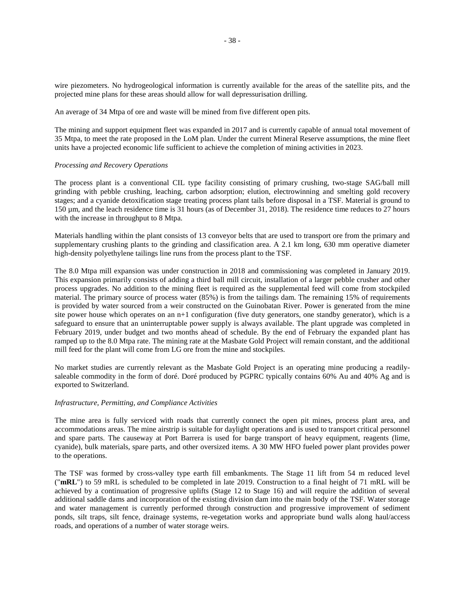wire piezometers. No hydrogeological information is currently available for the areas of the satellite pits, and the projected mine plans for these areas should allow for wall depressurisation drilling.

An average of 34 Mtpa of ore and waste will be mined from five different open pits.

The mining and support equipment fleet was expanded in 2017 and is currently capable of annual total movement of 35 Mtpa, to meet the rate proposed in the LoM plan. Under the current Mineral Reserve assumptions, the mine fleet units have a projected economic life sufficient to achieve the completion of mining activities in 2023.

## *Processing and Recovery Operations*

The process plant is a conventional CIL type facility consisting of primary crushing, two-stage SAG/ball mill grinding with pebble crushing, leaching, carbon adsorption; elution, electrowinning and smelting gold recovery stages; and a cyanide detoxification stage treating process plant tails before disposal in a TSF. Material is ground to 150 µm, and the leach residence time is 31 hours (as of December 31, 2018). The residence time reduces to 27 hours with the increase in throughput to 8 Mtpa.

Materials handling within the plant consists of 13 conveyor belts that are used to transport ore from the primary and supplementary crushing plants to the grinding and classification area. A 2.1 km long, 630 mm operative diameter high-density polyethylene tailings line runs from the process plant to the TSF.

The 8.0 Mtpa mill expansion was under construction in 2018 and commissioning was completed in January 2019. This expansion primarily consists of adding a third ball mill circuit, installation of a larger pebble crusher and other process upgrades. No addition to the mining fleet is required as the supplemental feed will come from stockpiled material. The primary source of process water (85%) is from the tailings dam. The remaining 15% of requirements is provided by water sourced from a weir constructed on the Guinobatan River. Power is generated from the mine site power house which operates on an n+1 configuration (five duty generators, one standby generator), which is a safeguard to ensure that an uninterruptable power supply is always available. The plant upgrade was completed in February 2019, under budget and two months ahead of schedule. By the end of February the expanded plant has ramped up to the 8.0 Mtpa rate. The mining rate at the Masbate Gold Project will remain constant, and the additional mill feed for the plant will come from LG ore from the mine and stockpiles.

No market studies are currently relevant as the Masbate Gold Project is an operating mine producing a readilysaleable commodity in the form of doré. Doré produced by PGPRC typically contains 60% Au and 40% Ag and is exported to Switzerland.

## *Infrastructure, Permitting, and Compliance Activities*

The mine area is fully serviced with roads that currently connect the open pit mines, process plant area, and accommodations areas. The mine airstrip is suitable for daylight operations and is used to transport critical personnel and spare parts. The causeway at Port Barrera is used for barge transport of heavy equipment, reagents (lime, cyanide), bulk materials, spare parts, and other oversized items. A 30 MW HFO fueled power plant provides power to the operations.

The TSF was formed by cross-valley type earth fill embankments. The Stage 11 lift from 54 m reduced level ("**mRL**") to 59 mRL is scheduled to be completed in late 2019. Construction to a final height of 71 mRL will be achieved by a continuation of progressive uplifts (Stage 12 to Stage 16) and will require the addition of several additional saddle dams and incorporation of the existing division dam into the main body of the TSF. Water storage and water management is currently performed through construction and progressive improvement of sediment ponds, silt traps, silt fence, drainage systems, re-vegetation works and appropriate bund walls along haul/access roads, and operations of a number of water storage weirs.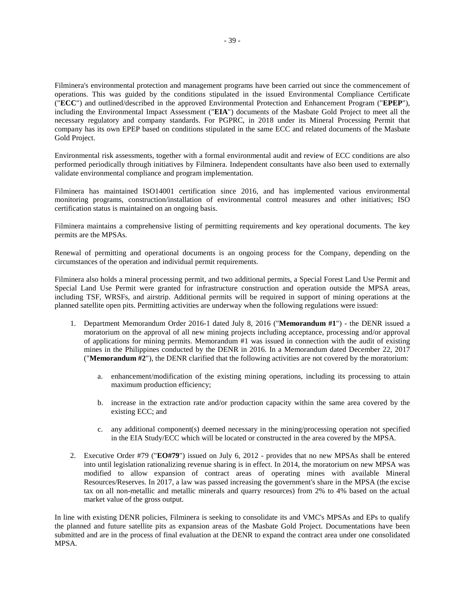Filminera's environmental protection and management programs have been carried out since the commencement of operations. This was guided by the conditions stipulated in the issued Environmental Compliance Certificate ("**ECC**") and outlined/described in the approved Environmental Protection and Enhancement Program ("**EPEP**"), including the Environmental Impact Assessment ("**EIA**") documents of the Masbate Gold Project to meet all the necessary regulatory and company standards. For PGPRC, in 2018 under its Mineral Processing Permit that company has its own EPEP based on conditions stipulated in the same ECC and related documents of the Masbate Gold Project.

Environmental risk assessments, together with a formal environmental audit and review of ECC conditions are also performed periodically through initiatives by Filminera. Independent consultants have also been used to externally validate environmental compliance and program implementation.

Filminera has maintained ISO14001 certification since 2016, and has implemented various environmental monitoring programs, construction/installation of environmental control measures and other initiatives; ISO certification status is maintained on an ongoing basis.

Filminera maintains a comprehensive listing of permitting requirements and key operational documents. The key permits are the MPSAs.

Renewal of permitting and operational documents is an ongoing process for the Company, depending on the circumstances of the operation and individual permit requirements.

Filminera also holds a mineral processing permit, and two additional permits, a Special Forest Land Use Permit and Special Land Use Permit were granted for infrastructure construction and operation outside the MPSA areas, including TSF, WRSFs, and airstrip. Additional permits will be required in support of mining operations at the planned satellite open pits. Permitting activities are underway when the following regulations were issued:

- 1. Department Memorandum Order 2016-1 dated July 8, 2016 ("**Memorandum #1**") the DENR issued a moratorium on the approval of all new mining projects including acceptance, processing and/or approval of applications for mining permits. Memorandum #1 was issued in connection with the audit of existing mines in the Philippines conducted by the DENR in 2016. In a Memorandum dated December 22, 2017 ("**Memorandum #2**"), the DENR clarified that the following activities are not covered by the moratorium:
	- a. enhancement/modification of the existing mining operations, including its processing to attain maximum production efficiency;
	- b. increase in the extraction rate and/or production capacity within the same area covered by the existing ECC; and
	- c. any additional component(s) deemed necessary in the mining/processing operation not specified in the EIA Study/ECC which will be located or constructed in the area covered by the MPSA.
- 2. Executive Order #79 ("**EO#79**") issued on July 6, 2012 provides that no new MPSAs shall be entered into until legislation rationalizing revenue sharing is in effect. In 2014, the moratorium on new MPSA was modified to allow expansion of contract areas of operating mines with available Mineral Resources/Reserves. In 2017, a law was passed increasing the government's share in the MPSA (the excise tax on all non-metallic and metallic minerals and quarry resources) from 2% to 4% based on the actual market value of the gross output.

In line with existing DENR policies, Filminera is seeking to consolidate its and VMC's MPSAs and EPs to qualify the planned and future satellite pits as expansion areas of the Masbate Gold Project. Documentations have been submitted and are in the process of final evaluation at the DENR to expand the contract area under one consolidated MPSA.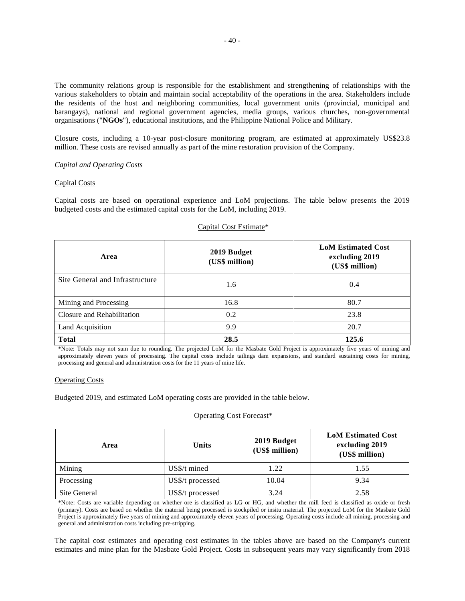The community relations group is responsible for the establishment and strengthening of relationships with the various stakeholders to obtain and maintain social acceptability of the operations in the area. Stakeholders include the residents of the host and neighboring communities, local government units (provincial, municipal and barangays), national and regional government agencies, media groups, various churches, non-governmental organisations ("**NGOs**"), educational institutions, and the Philippine National Police and Military.

Closure costs, including a 10-year post-closure monitoring program, are estimated at approximately US\$23.8 million. These costs are revised annually as part of the mine restoration provision of the Company.

## *Capital and Operating Costs*

## Capital Costs

Capital costs are based on operational experience and LoM projections. The table below presents the 2019 budgeted costs and the estimated capital costs for the LoM, including 2019.

| Area                            | 2019 Budget<br>(US\$ million) | <b>LoM Estimated Cost</b><br>excluding 2019<br>(US\$ million) |  |
|---------------------------------|-------------------------------|---------------------------------------------------------------|--|
| Site General and Infrastructure | 1.6                           | 0.4                                                           |  |
| Mining and Processing           | 16.8                          | 80.7                                                          |  |
| Closure and Rehabilitation      | 0.2                           | 23.8                                                          |  |
| Land Acquisition                | 9.9                           | 20.7                                                          |  |
| <b>Total</b>                    | 28.5                          | 125.6                                                         |  |

## Capital Cost Estimate\*

\*Note: Totals may not sum due to rounding. The projected LoM for the Masbate Gold Project is approximately five years of mining and approximately eleven years of processing. The capital costs include tailings dam expansions, and standard sustaining costs for mining, processing and general and administration costs for the 11 years of mine life.

## **Operating Costs**

Budgeted 2019, and estimated LoM operating costs are provided in the table below.

## Operating Cost Forecast\*

| Area         | <b>Units</b>     | 2019 Budget<br>(US\$ million) | <b>LoM Estimated Cost</b><br>excluding 2019<br>(US\$ million) |
|--------------|------------------|-------------------------------|---------------------------------------------------------------|
| Mining       | US\$/t mined     | 1.22                          | 1.55                                                          |
| Processing   | US\$/t processed | 10.04                         | 9.34                                                          |
| Site General | US\$/t processed | 3.24                          | 2.58                                                          |

\*Note: Costs are variable depending on whether ore is classified as LG or HG, and whether the mill feed is classified as oxide or fresh (primary). Costs are based on whether the material being processed is stockpiled or insitu material. The projected LoM for the Masbate Gold Project is approximately five years of mining and approximately eleven years of processing. Operating costs include all mining, processing and general and administration costs including pre-stripping.

The capital cost estimates and operating cost estimates in the tables above are based on the Company's current estimates and mine plan for the Masbate Gold Project. Costs in subsequent years may vary significantly from 2018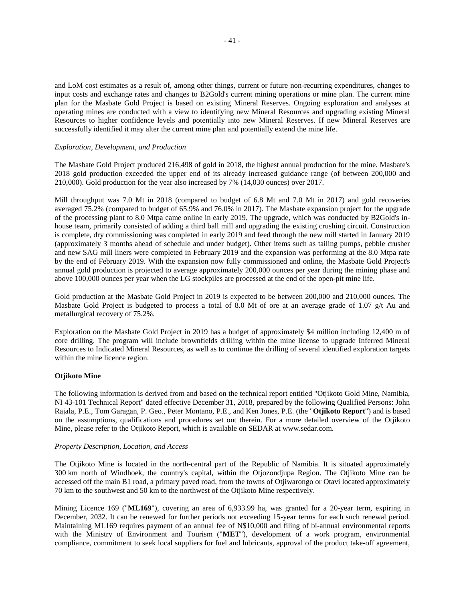and LoM cost estimates as a result of, among other things, current or future non-recurring expenditures, changes to input costs and exchange rates and changes to B2Gold's current mining operations or mine plan. The current mine plan for the Masbate Gold Project is based on existing Mineral Reserves. Ongoing exploration and analyses at operating mines are conducted with a view to identifying new Mineral Resources and upgrading existing Mineral Resources to higher confidence levels and potentially into new Mineral Reserves. If new Mineral Reserves are successfully identified it may alter the current mine plan and potentially extend the mine life.

## *Exploration, Development, and Production*

The Masbate Gold Project produced 216,498 of gold in 2018, the highest annual production for the mine. Masbate's 2018 gold production exceeded the upper end of its already increased guidance range (of between 200,000 and 210,000). Gold production for the year also increased by 7% (14,030 ounces) over 2017.

Mill throughput was 7.0 Mt in 2018 (compared to budget of 6.8 Mt and 7.0 Mt in 2017) and gold recoveries averaged 75.2% (compared to budget of 65.9% and 76.0% in 2017). The Masbate expansion project for the upgrade of the processing plant to 8.0 Mtpa came online in early 2019. The upgrade, which was conducted by B2Gold's inhouse team, primarily consisted of adding a third ball mill and upgrading the existing crushing circuit. Construction is complete, dry commissioning was completed in early 2019 and feed through the new mill started in January 2019 (approximately 3 months ahead of schedule and under budget). Other items such as tailing pumps, pebble crusher and new SAG mill liners were completed in February 2019 and the expansion was performing at the 8.0 Mtpa rate by the end of February 2019. With the expansion now fully commissioned and online, the Masbate Gold Project's annual gold production is projected to average approximately 200,000 ounces per year during the mining phase and above 100,000 ounces per year when the LG stockpiles are processed at the end of the open-pit mine life.

Gold production at the Masbate Gold Project in 2019 is expected to be between 200,000 and 210,000 ounces. The Masbate Gold Project is budgeted to process a total of 8.0 Mt of ore at an average grade of 1.07  $g/t$  Au and metallurgical recovery of 75.2%.

Exploration on the Masbate Gold Project in 2019 has a budget of approximately \$4 million including 12,400 m of core drilling. The program will include brownfields drilling within the mine license to upgrade Inferred Mineral Resources to Indicated Mineral Resources, as well as to continue the drilling of several identified exploration targets within the mine licence region.

# **Otjikoto Mine**

The following information is derived from and based on the technical report entitled "Otjikoto Gold Mine, Namibia, NI 43-101 Technical Report" dated effective December 31, 2018, prepared by the following Qualified Persons: John Rajala, P.E., Tom Garagan, P. Geo., Peter Montano, P.E., and Ken Jones, P.E. (the "**Otjikoto Report**") and is based on the assumptions, qualifications and procedures set out therein. For a more detailed overview of the Otjikoto Mine, please refer to the Otjikoto Report, which is available on SEDAR at [www.sedar.com.](http://www.sedar.com/)

## *Property Description, Location, and Access*

The Otjikoto Mine is located in the north-central part of the Republic of Namibia. It is situated approximately 300 km north of Windhoek, the country's capital, within the Otjozondjupa Region. The Otjikoto Mine can be accessed off the main B1 road, a primary paved road, from the towns of Otjiwarongo or Otavi located approximately 70 km to the southwest and 50 km to the northwest of the Otjikoto Mine respectively.

Mining Licence 169 ("**ML169**"), covering an area of 6,933.99 ha, was granted for a 20-year term, expiring in December, 2032. It can be renewed for further periods not exceeding 15-year terms for each such renewal period. Maintaining ML169 requires payment of an annual fee of N\$10,000 and filing of bi-annual environmental reports with the Ministry of Environment and Tourism ("**MET**"), development of a work program, environmental compliance, commitment to seek local suppliers for fuel and lubricants, approval of the product take-off agreement,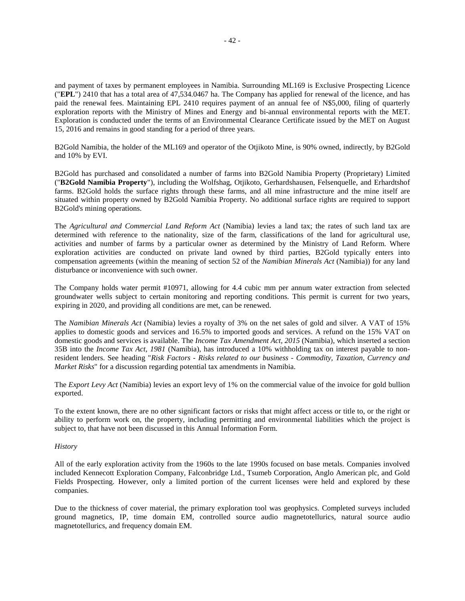and payment of taxes by permanent employees in Namibia. Surrounding ML169 is Exclusive Prospecting Licence ("**EPL**") 2410 that has a total area of 47,534.0467 ha. The Company has applied for renewal of the licence, and has paid the renewal fees. Maintaining EPL 2410 requires payment of an annual fee of N\$5,000, filing of quarterly exploration reports with the Ministry of Mines and Energy and bi-annual environmental reports with the MET. Exploration is conducted under the terms of an Environmental Clearance Certificate issued by the MET on August 15, 2016 and remains in good standing for a period of three years.

B2Gold Namibia, the holder of the ML169 and operator of the Otjikoto Mine, is 90% owned, indirectly, by B2Gold and 10% by EVI.

B2Gold has purchased and consolidated a number of farms into B2Gold Namibia Property (Proprietary) Limited ("**B2Gold Namibia Property**"), including the Wolfshag, Otjikoto, Gerhardshausen, Felsenquelle, and Erhardtshof farms. B2Gold holds the surface rights through these farms, and all mine infrastructure and the mine itself are situated within property owned by B2Gold Namibia Property. No additional surface rights are required to support B2Gold's mining operations.

The *Agricultural and Commercial Land Reform Act* (Namibia) levies a land tax; the rates of such land tax are determined with reference to the nationality, size of the farm, classifications of the land for agricultural use, activities and number of farms by a particular owner as determined by the Ministry of Land Reform. Where exploration activities are conducted on private land owned by third parties, B2Gold typically enters into compensation agreements (within the meaning of section 52 of the *Namibian Minerals Act* (Namibia)) for any land disturbance or inconvenience with such owner.

The Company holds water permit #10971, allowing for 4.4 cubic mm per annum water extraction from selected groundwater wells subject to certain monitoring and reporting conditions. This permit is current for two years, expiring in 2020, and providing all conditions are met, can be renewed.

The *Namibian Minerals Act* (Namibia) levies a royalty of 3% on the net sales of gold and silver. A VAT of 15% applies to domestic goods and services and 16.5% to imported goods and services. A refund on the 15% VAT on domestic goods and services is available. The *Income Tax Amendment Act, 2015* (Namibia), which inserted a section 35B into the *Income Tax Act, 1981* (Namibia), has introduced a 10% withholding tax on interest payable to nonresident lenders. See heading "*Risk Factors - Risks related to our business - Commodity, Taxation, Currency and Market Risks*" for a discussion regarding potential tax amendments in Namibia.

The *Export Levy Act* (Namibia) levies an export levy of 1% on the commercial value of the invoice for gold bullion exported.

To the extent known, there are no other significant factors or risks that might affect access or title to, or the right or ability to perform work on, the property, including permitting and environmental liabilities which the project is subject to, that have not been discussed in this Annual Information Form.

## *History*

All of the early exploration activity from the 1960s to the late 1990s focused on base metals. Companies involved included Kennecott Exploration Company, Falconbridge Ltd., Tsumeb Corporation, Anglo American plc, and Gold Fields Prospecting. However, only a limited portion of the current licenses were held and explored by these companies.

Due to the thickness of cover material, the primary exploration tool was geophysics. Completed surveys included ground magnetics, IP, time domain EM, controlled source audio magnetotellurics, natural source audio magnetotellurics, and frequency domain EM.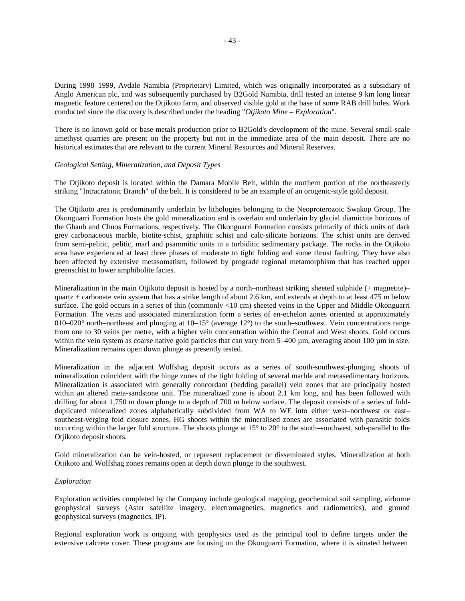During 1998–1999, Avdale Namibia (Proprietary) Limited, which was originally incorporated as a subsidiary of Anglo American plc, and was subsequently purchased by B2Gold Namibia, drill tested an intense 9 km long linear magnetic feature centered on the Otjikoto farm, and observed visible gold at the base of some RAB drill holes. Work conducted since the discovery is described under the heading "*Otjikoto Mine – Exploration*".

There is no known gold or base metals production prior to B2Gold's development of the mine. Several small-scale amethyst quarries are present on the property but not in the immediate area of the main deposit. There are no historical estimates that are relevant to the current Mineral Resources and Mineral Reserves.

## *Geological Setting, Mineralization, and Deposit Types*

The Otjikoto deposit is located within the Damara Mobile Belt, within the northern portion of the northeasterly striking "Intracratonic Branch" of the belt. It is considered to be an example of an orogenic-style gold deposit.

The Otjikoto area is predominantly underlain by lithologies belonging to the Neoproterozoic Swakop Group. The Okonguarri Formation hosts the gold mineralization and is overlain and underlain by glacial diamictite horizons of the Ghaub and Chuos Formations, respectively. The Okonguarri Formation consists primarily of thick units of dark grey carbonaceous marble, biotite-schist, graphitic schist and calc-silicate horizons. The schist units are derived from semi-pelitic, pelitic, marl and psammitic units in a turbiditic sedimentary package. The rocks in the Otjikoto area have experienced at least three phases of moderate to tight folding and some thrust faulting. They have also been affected by extensive metasomatism, followed by prograde regional metamorphism that has reached upper greenschist to lower amphibolite facies.

Mineralization in the main Otjikoto deposit is hosted by a north–northeast striking sheeted sulphide (+ magnetite)– quartz + carbonate vein system that has a strike length of about 2.6 km, and extends at depth to at least 475 m below surface. The gold occurs in a series of thin (commonly <10 cm) sheeted veins in the Upper and Middle Okonguarri Formation. The veins and associated mineralization form a series of en-echelon zones oriented at approximately 010–020° north–northeast and plunging at 10–15° (average 12°) to the south–southwest. Vein concentrations range from one to 30 veins per metre, with a higher vein concentration within the Central and West shoots. Gold occurs within the vein system as coarse native gold particles that can vary from 5–400  $\mu$ m, averaging about 100  $\mu$ m in size. Mineralization remains open down plunge as presently tested.

Mineralization in the adjacent Wolfshag deposit occurs as a series of south-southwest-plunging shoots of mineralization coincident with the hinge zones of the tight folding of several marble and metasedimentary horizons. Mineralization is associated with generally concordant (bedding parallel) vein zones that are principally hosted within an altered meta-sandstone unit. The mineralized zone is about 2.1 km long, and has been followed with drilling for about 1,750 m down plunge to a depth of 700 m below surface. The deposit consists of a series of foldduplicated mineralized zones alphabetically subdivided from WA to WE into either west–northwest or east– southeast-verging fold closure zones. HG shoots within the mineralised zones are associated with parasitic folds occurring within the larger fold structure. The shoots plunge at 15° to 20° to the south–southwest, sub-parallel to the Otjikoto deposit shoots.

Gold mineralization can be vein-hosted, or represent replacement or disseminated styles. Mineralization at both Otjikoto and Wolfshag zones remains open at depth down plunge to the southwest.

### *Exploration*

Exploration activities completed by the Company include geological mapping, geochemical soil sampling, airborne geophysical surveys (Aster satellite imagery, electromagnetics, magnetics and radiometrics), and ground geophysical surveys (magnetics, IP).

Regional exploration work is ongoing with geophysics used as the principal tool to define targets under the extensive calcrete cover. These programs are focusing on the Okonguarri Formation, where it is situated between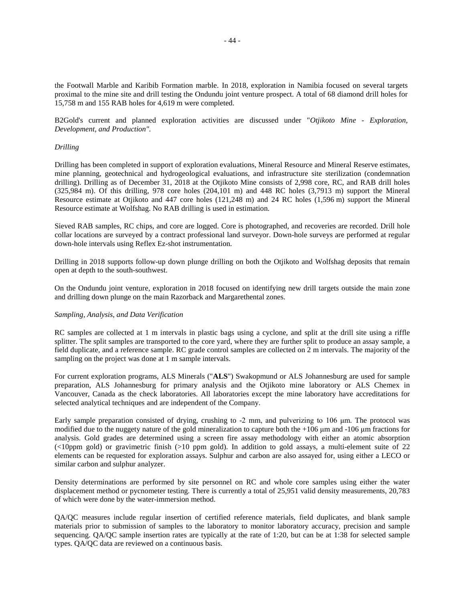the Footwall Marble and Karibib Formation marble. In 2018, exploration in Namibia focused on several targets proximal to the mine site and drill testing the Ondundu joint venture prospect. A total of 68 diamond drill holes for 15,758 m and 155 RAB holes for 4,619 m were completed.

B2Gold's current and planned exploration activities are discussed under "*Otjikoto Mine - Exploration, Development, and Production".*

### *Drilling*

Drilling has been completed in support of exploration evaluations, Mineral Resource and Mineral Reserve estimates, mine planning, geotechnical and hydrogeological evaluations, and infrastructure site sterilization (condemnation drilling). Drilling as of December 31, 2018 at the Otjikoto Mine consists of 2,998 core, RC, and RAB drill holes (325,984 m). Of this drilling, 978 core holes (204,101 m) and 448 RC holes (3,7913 m) support the Mineral Resource estimate at Otjikoto and 447 core holes (121,248 m) and 24 RC holes (1,596 m) support the Mineral Resource estimate at Wolfshag. No RAB drilling is used in estimation.

Sieved RAB samples, RC chips, and core are logged. Core is photographed, and recoveries are recorded. Drill hole collar locations are surveyed by a contract professional land surveyor. Down-hole surveys are performed at regular down-hole intervals using Reflex Ez-shot instrumentation.

Drilling in 2018 supports follow-up down plunge drilling on both the Otjikoto and Wolfshag deposits that remain open at depth to the south-southwest.

On the Ondundu joint venture, exploration in 2018 focused on identifying new drill targets outside the main zone and drilling down plunge on the main Razorback and Margarethental zones.

### *Sampling, Analysis, and Data Verification*

RC samples are collected at 1 m intervals in plastic bags using a cyclone, and split at the drill site using a riffle splitter. The split samples are transported to the core yard, where they are further split to produce an assay sample, a field duplicate, and a reference sample. RC grade control samples are collected on 2 m intervals. The majority of the sampling on the project was done at 1 m sample intervals.

For current exploration programs, ALS Minerals ("**ALS**") Swakopmund or ALS Johannesburg are used for sample preparation, ALS Johannesburg for primary analysis and the Otjikoto mine laboratory or ALS Chemex in Vancouver, Canada as the check laboratories. All laboratories except the mine laboratory have accreditations for selected analytical techniques and are independent of the Company.

Early sample preparation consisted of drying, crushing to -2 mm, and pulverizing to 106 μm. The protocol was modified due to the nuggety nature of the gold mineralization to capture both the +106 μm and -106 μm fractions for analysis. Gold grades are determined using a screen fire assay methodology with either an atomic absorption  $\overline{z}$  (<10ppm gold) or gravimetric finish (>10 ppm gold). In addition to gold assays, a multi-element suite of 22 elements can be requested for exploration assays. Sulphur and carbon are also assayed for, using either a LECO or similar carbon and sulphur analyzer.

Density determinations are performed by site personnel on RC and whole core samples using either the water displacement method or pycnometer testing. There is currently a total of 25,951 valid density measurements, 20,783 of which were done by the water-immersion method.

QA/QC measures include regular insertion of certified reference materials, field duplicates, and blank sample materials prior to submission of samples to the laboratory to monitor laboratory accuracy, precision and sample sequencing. QA/QC sample insertion rates are typically at the rate of 1:20, but can be at 1:38 for selected sample types. QA/QC data are reviewed on a continuous basis.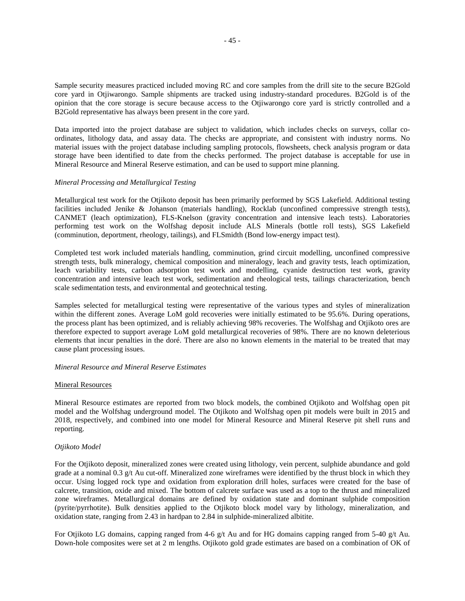Sample security measures practiced included moving RC and core samples from the drill site to the secure B2Gold core yard in Otjiwarongo. Sample shipments are tracked using industry-standard procedures. B2Gold is of the opinion that the core storage is secure because access to the Otjiwarongo core yard is strictly controlled and a B2Gold representative has always been present in the core yard.

Data imported into the project database are subject to validation, which includes checks on surveys, collar coordinates, lithology data, and assay data. The checks are appropriate, and consistent with industry norms. No material issues with the project database including sampling protocols, flowsheets, check analysis program or data storage have been identified to date from the checks performed. The project database is acceptable for use in Mineral Resource and Mineral Reserve estimation, and can be used to support mine planning.

## *Mineral Processing and Metallurgical Testing*

Metallurgical test work for the Otjikoto deposit has been primarily performed by SGS Lakefield. Additional testing facilities included Jenike & Johanson (materials handling), Rocklab (unconfined compressive strength tests), CANMET (leach optimization), FLS-Knelson (gravity concentration and intensive leach tests). Laboratories performing test work on the Wolfshag deposit include ALS Minerals (bottle roll tests), SGS Lakefield (comminution, deportment, rheology, tailings), and FLSmidth (Bond low-energy impact test).

Completed test work included materials handling, comminution, grind circuit modelling, unconfined compressive strength tests, bulk mineralogy, chemical composition and mineralogy, leach and gravity tests, leach optimization, leach variability tests, carbon adsorption test work and modelling, cyanide destruction test work, gravity concentration and intensive leach test work, sedimentation and rheological tests, tailings characterization, bench scale sedimentation tests, and environmental and geotechnical testing.

Samples selected for metallurgical testing were representative of the various types and styles of mineralization within the different zones. Average LoM gold recoveries were initially estimated to be 95.6%. During operations, the process plant has been optimized, and is reliably achieving 98% recoveries. The Wolfshag and Otjikoto ores are therefore expected to support average LoM gold metallurgical recoveries of 98%. There are no known deleterious elements that incur penalties in the doré. There are also no known elements in the material to be treated that may cause plant processing issues.

## *Mineral Resource and Mineral Reserve Estimates*

### Mineral Resources

Mineral Resource estimates are reported from two block models, the combined Otjikoto and Wolfshag open pit model and the Wolfshag underground model. The Otjikoto and Wolfshag open pit models were built in 2015 and 2018, respectively, and combined into one model for Mineral Resource and Mineral Reserve pit shell runs and reporting.

## *Otjikoto Model*

For the Otjikoto deposit, mineralized zones were created using lithology, vein percent, sulphide abundance and gold grade at a nominal 0.3 g/t Au cut-off. Mineralized zone wireframes were identified by the thrust block in which they occur. Using logged rock type and oxidation from exploration drill holes, surfaces were created for the base of calcrete, transition, oxide and mixed. The bottom of calcrete surface was used as a top to the thrust and mineralized zone wireframes. Metallurgical domains are defined by oxidation state and dominant sulphide composition (pyrite/pyrrhotite). Bulk densities applied to the Otjikoto block model vary by lithology, mineralization, and oxidation state, ranging from 2.43 in hardpan to 2.84 in sulphide-mineralized albitite.

For Otjikoto LG domains, capping ranged from 4-6 g/t Au and for HG domains capping ranged from 5-40 g/t Au. Down-hole composites were set at 2 m lengths. Otjikoto gold grade estimates are based on a combination of OK of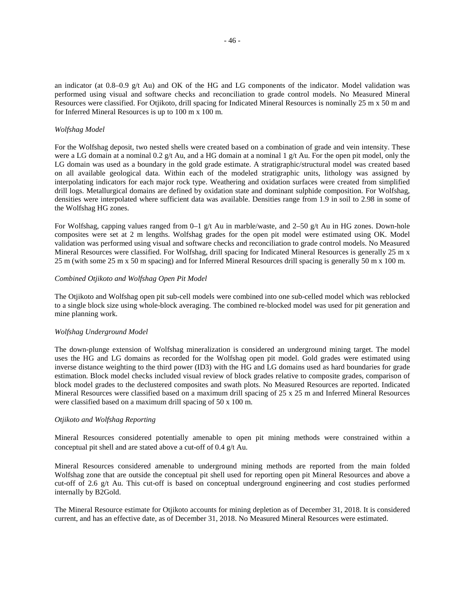an indicator (at  $0.8-0.9$  g/t Au) and OK of the HG and LG components of the indicator. Model validation was performed using visual and software checks and reconciliation to grade control models. No Measured Mineral Resources were classified. For Otjikoto, drill spacing for Indicated Mineral Resources is nominally 25 m x 50 m and for Inferred Mineral Resources is up to 100 m x 100 m.

## *Wolfshag Model*

For the Wolfshag deposit, two nested shells were created based on a combination of grade and vein intensity. These were a LG domain at a nominal 0.2 g/t Au, and a HG domain at a nominal 1 g/t Au. For the open pit model, only the LG domain was used as a boundary in the gold grade estimate. A stratigraphic/structural model was created based on all available geological data. Within each of the modeled stratigraphic units, lithology was assigned by interpolating indicators for each major rock type. Weathering and oxidation surfaces were created from simplified drill logs. Metallurgical domains are defined by oxidation state and dominant sulphide composition. For Wolfshag, densities were interpolated where sufficient data was available. Densities range from 1.9 in soil to 2.98 in some of the Wolfshag HG zones.

For Wolfshag, capping values ranged from 0–1  $g/t$  Au in marble/waste, and 2–50  $g/t$  Au in HG zones. Down-hole composites were set at 2 m lengths. Wolfshag grades for the open pit model were estimated using OK. Model validation was performed using visual and software checks and reconciliation to grade control models. No Measured Mineral Resources were classified. For Wolfshag, drill spacing for Indicated Mineral Resources is generally 25 m x 25 m (with some 25 m x 50 m spacing) and for Inferred Mineral Resources drill spacing is generally 50 m x 100 m.

# *Combined Otjikoto and Wolfshag Open Pit Model*

The Otjikoto and Wolfshag open pit sub-cell models were combined into one sub-celled model which was reblocked to a single block size using whole-block averaging. The combined re-blocked model was used for pit generation and mine planning work.

### *Wolfshag Underground Model*

The down-plunge extension of Wolfshag mineralization is considered an underground mining target. The model uses the HG and LG domains as recorded for the Wolfshag open pit model. Gold grades were estimated using inverse distance weighting to the third power (ID3) with the HG and LG domains used as hard boundaries for grade estimation. Block model checks included visual review of block grades relative to composite grades, comparison of block model grades to the declustered composites and swath plots. No Measured Resources are reported. Indicated Mineral Resources were classified based on a maximum drill spacing of 25 x 25 m and Inferred Mineral Resources were classified based on a maximum drill spacing of 50 x 100 m.

### *Otjikoto and Wolfshag Reporting*

Mineral Resources considered potentially amenable to open pit mining methods were constrained within a conceptual pit shell and are stated above a cut-off of 0.4 g/t Au.

Mineral Resources considered amenable to underground mining methods are reported from the main folded Wolfshag zone that are outside the conceptual pit shell used for reporting open pit Mineral Resources and above a cut-off of 2.6 g/t Au. This cut-off is based on conceptual underground engineering and cost studies performed internally by B2Gold.

The Mineral Resource estimate for Otjikoto accounts for mining depletion as of December 31, 2018. It is considered current, and has an effective date, as of December 31, 2018. No Measured Mineral Resources were estimated.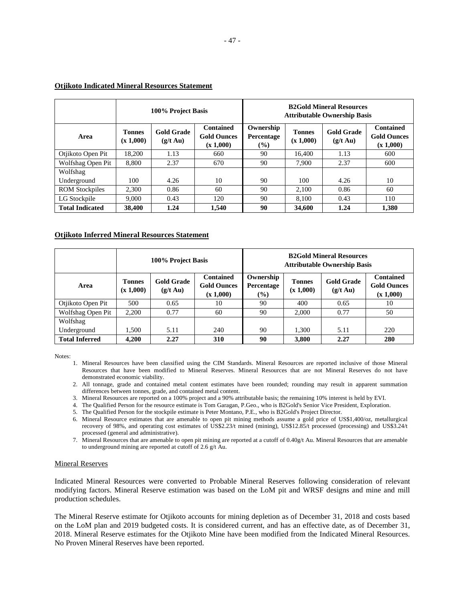|                        | 100% Project Basis         |                                         |                                              | <b>B2Gold Mineral Resources</b><br><b>Attributable Ownership Basis</b> |                            |                                         |                                              |
|------------------------|----------------------------|-----------------------------------------|----------------------------------------------|------------------------------------------------------------------------|----------------------------|-----------------------------------------|----------------------------------------------|
| Area                   | <b>Tonnes</b><br>(x 1,000) | <b>Gold Grade</b><br>$(g/t \text{ Au})$ | Contained<br><b>Gold Ounces</b><br>(x 1,000) | Ownership<br>Percentage<br>$\frac{9}{6}$                               | <b>Tonnes</b><br>(x 1,000) | <b>Gold Grade</b><br>$(g/t \text{ Au})$ | Contained<br><b>Gold Ounces</b><br>(x 1,000) |
| Otjikoto Open Pit      | 18.200                     | 1.13                                    | 660                                          | 90                                                                     | 16.400                     | 1.13                                    | 600                                          |
| Wolfshag Open Pit      | 8.800                      | 2.37                                    | 670                                          | 90                                                                     | 7.900                      | 2.37                                    | 600                                          |
| Wolfshag               |                            |                                         |                                              |                                                                        |                            |                                         |                                              |
| Underground            | 100                        | 4.26                                    | 10                                           | 90                                                                     | 100                        | 4.26                                    | 10                                           |
| <b>ROM Stockpiles</b>  | 2.300                      | 0.86                                    | 60                                           | 90                                                                     | 2.100                      | 0.86                                    | 60                                           |
| LG Stockpile           | 9.000                      | 0.43                                    | 120                                          | 90                                                                     | 8.100                      | 0.43                                    | 110                                          |
| <b>Total Indicated</b> | 38,400                     | 1.24                                    | 1,540                                        | 90                                                                     | 34,600                     | 1.24                                    | 1,380                                        |

# **Otjikoto Indicated Mineral Resources Statement**

## **Otjikoto Inferred Mineral Resources Statement**

|                         | 100% Project Basis         |                                         |                                                     |                                   | <b>B2Gold Mineral Resources</b><br><b>Attributable Ownership Basis</b> |                                         |                                                     |
|-------------------------|----------------------------|-----------------------------------------|-----------------------------------------------------|-----------------------------------|------------------------------------------------------------------------|-----------------------------------------|-----------------------------------------------------|
| Area                    | <b>Tonnes</b><br>(x 1,000) | <b>Gold Grade</b><br>$(g/t \text{ Au})$ | <b>Contained</b><br><b>Gold Ounces</b><br>(x 1,000) | Ownership<br>Percentage<br>$(\%)$ | <b>Tonnes</b><br>(x 1,000)                                             | <b>Gold Grade</b><br>$(g/t \text{ Au})$ | <b>Contained</b><br><b>Gold Ounces</b><br>(x 1,000) |
| Otjikoto Open Pit       | 500                        | 0.65                                    | 10                                                  | 90                                | 400                                                                    | 0.65                                    | 10                                                  |
| Wolfshag Open Pit       | 2,200                      | 0.77                                    | 60                                                  | 90                                | 2,000                                                                  | 0.77                                    | 50                                                  |
| Wolfshag<br>Underground | 1.500                      | 5.11                                    | 240                                                 | 90                                | 1,300                                                                  | 5.11                                    | 220                                                 |
| <b>Total Inferred</b>   | 4,200                      | 2.27                                    | 310                                                 | 90                                | 3,800                                                                  | 2.27                                    | 280                                                 |

Notes:

- 1. Mineral Resources have been classified using the CIM Standards. Mineral Resources are reported inclusive of those Mineral Resources that have been modified to Mineral Reserves. Mineral Resources that are not Mineral Reserves do not have demonstrated economic viability.
- 2. All tonnage, grade and contained metal content estimates have been rounded; rounding may result in apparent summation differences between tonnes, grade, and contained metal content.
- 3. Mineral Resources are reported on a 100% project and a 90% attributable basis; the remaining 10% interest is held by EVI.
- 4. The Qualified Person for the resource estimate is Tom Garagan, P.Geo., who is B2Gold's Senior Vice President, Exploration.
- 5. The Qualified Person for the stockpile estimate is Peter Montano, P.E., who is B2Gold's Project Director.
- 6. Mineral Resource estimates that are amenable to open pit mining methods assume a gold price of US\$1,400/oz, metallurgical recovery of 98%, and operating cost estimates of US\$2.23/t mined (mining), US\$12.85/t processed (processing) and US\$3.24/t processed (general and administrative).
- 7. Mineral Resources that are amenable to open pit mining are reported at a cutoff of 0.40g/t Au. Mineral Resources that are amenable to underground mining are reported at cutoff of 2.6 g/t Au.

### Mineral Reserves

Indicated Mineral Resources were converted to Probable Mineral Reserves following consideration of relevant modifying factors. Mineral Reserve estimation was based on the LoM pit and WRSF designs and mine and mill production schedules.

The Mineral Reserve estimate for Otjikoto accounts for mining depletion as of December 31, 2018 and costs based on the LoM plan and 2019 budgeted costs. It is considered current, and has an effective date, as of December 31, 2018. Mineral Reserve estimates for the Otjikoto Mine have been modified from the Indicated Mineral Resources. No Proven Mineral Reserves have been reported.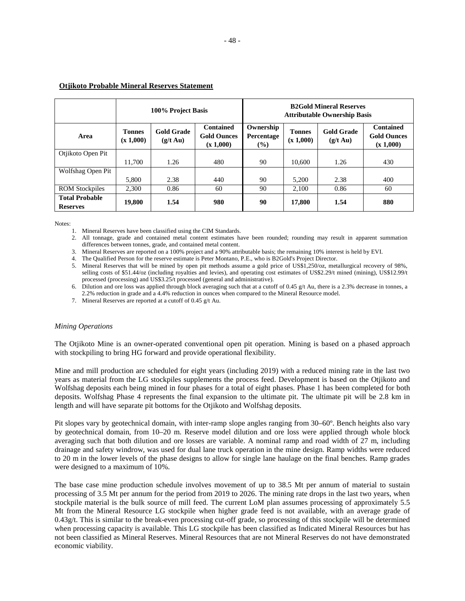# **Otjikoto Probable Mineral Reserves Statement**

|                                          | 100% Project Basis         |                                         |                                                     | <b>B2Gold Mineral Reserves</b><br><b>Attributable Ownership Basis</b> |                            |                                         |                                                     |
|------------------------------------------|----------------------------|-----------------------------------------|-----------------------------------------------------|-----------------------------------------------------------------------|----------------------------|-----------------------------------------|-----------------------------------------------------|
| Area                                     | <b>Tonnes</b><br>(x 1,000) | <b>Gold Grade</b><br>$(g/t \text{ Au})$ | <b>Contained</b><br><b>Gold Ounces</b><br>(x 1,000) | Ownership<br>Percentage<br>$(\%)$                                     | <b>Tonnes</b><br>(x 1,000) | <b>Gold Grade</b><br>$(g/t \text{ Au})$ | <b>Contained</b><br><b>Gold Ounces</b><br>(x 1,000) |
| Otjikoto Open Pit                        |                            |                                         |                                                     |                                                                       |                            |                                         |                                                     |
|                                          | 11.700                     | 1.26                                    | 480                                                 | 90                                                                    | 10.600                     | 1.26                                    | 430                                                 |
| Wolfshag Open Pit                        |                            |                                         |                                                     |                                                                       |                            |                                         |                                                     |
|                                          | 5.800                      | 2.38                                    | 440                                                 | 90                                                                    | 5.200                      | 2.38                                    | 400                                                 |
| <b>ROM Stockpiles</b>                    | 2.300                      | 0.86                                    | 60                                                  | 90                                                                    | 2.100                      | 0.86                                    | 60                                                  |
| <b>Total Probable</b><br><b>Reserves</b> | 19,800                     | 1.54                                    | 980                                                 | 90                                                                    | 17,800                     | 1.54                                    | 880                                                 |

Notes:

- 1. Mineral Reserves have been classified using the CIM Standards.
- 2. All tonnage, grade and contained metal content estimates have been rounded; rounding may result in apparent summation differences between tonnes, grade, and contained metal content.
- 3. Mineral Reserves are reported on a 100% project and a 90% attributable basis; the remaining 10% interest is held by EVI.
- 4. The Qualified Person for the reserve estimate is Peter Montano, P.E., who is B2Gold's Project Director.
- 5. Mineral Reserves that will be mined by open pit methods assume a gold price of US\$1,250/oz, metallurgical recovery of 98%, selling costs of \$51.44/oz (including royalties and levies), and operating cost estimates of US\$2.29/t mined (mining), US\$12.99/t processed (processing) and US\$3.25/t processed (general and administrative).
- 6. Dilution and ore loss was applied through block averaging such that at a cutoff of 0.45 g/t Au, there is a 2.3% decrease in tonnes, a 2.2% reduction in grade and a 4.4% reduction in ounces when compared to the Mineral Resource model.
- 7. Mineral Reserves are reported at a cutoff of 0.45 g/t Au.

## *Mining Operations*

The Otjikoto Mine is an owner-operated conventional open pit operation. Mining is based on a phased approach with stockpiling to bring HG forward and provide operational flexibility.

Mine and mill production are scheduled for eight years (including 2019) with a reduced mining rate in the last two years as material from the LG stockpiles supplements the process feed. Development is based on the Otjikoto and Wolfshag deposits each being mined in four phases for a total of eight phases. Phase 1 has been completed for both deposits. Wolfshag Phase 4 represents the final expansion to the ultimate pit. The ultimate pit will be 2.8 km in length and will have separate pit bottoms for the Otjikoto and Wolfshag deposits.

Pit slopes vary by geotechnical domain, with inter-ramp slope angles ranging from 30–60º. Bench heights also vary by geotechnical domain, from 10–20 m. Reserve model dilution and ore loss were applied through whole block averaging such that both dilution and ore losses are variable. A nominal ramp and road width of 27 m, including drainage and safety windrow, was used for dual lane truck operation in the mine design. Ramp widths were reduced to 20 m in the lower levels of the phase designs to allow for single lane haulage on the final benches. Ramp grades were designed to a maximum of 10%.

The base case mine production schedule involves movement of up to 38.5 Mt per annum of material to sustain processing of 3.5 Mt per annum for the period from 2019 to 2026. The mining rate drops in the last two years, when stockpile material is the bulk source of mill feed. The current LoM plan assumes processing of approximately 5.5 Mt from the Mineral Resource LG stockpile when higher grade feed is not available, with an average grade of  $0.43g/t$ . This is similar to the break-even processing cut-off grade, so processing of this stockpile will be determined when processing capacity is available. This LG stockpile has been classified as Indicated Mineral Resources but has not been classified as Mineral Reserves. Mineral Resources that are not Mineral Reserves do not have demonstrated economic viability.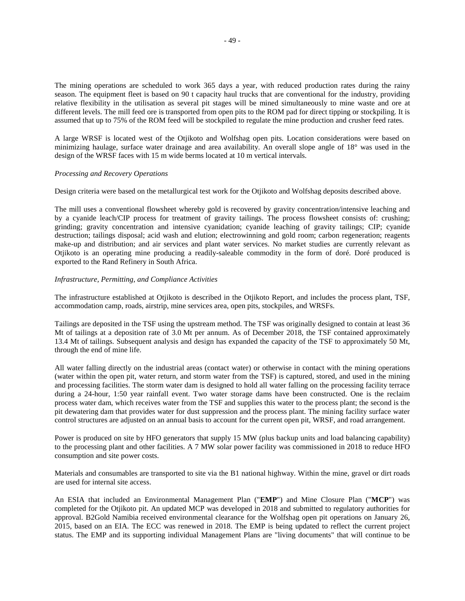The mining operations are scheduled to work 365 days a year, with reduced production rates during the rainy season. The equipment fleet is based on 90 t capacity haul trucks that are conventional for the industry, providing relative flexibility in the utilisation as several pit stages will be mined simultaneously to mine waste and ore at different levels. The mill feed ore is transported from open pits to the ROM pad for direct tipping or stockpiling. It is assumed that up to 75% of the ROM feed will be stockpiled to regulate the mine production and crusher feed rates.

A large WRSF is located west of the Otjikoto and Wolfshag open pits. Location considerations were based on minimizing haulage, surface water drainage and area availability. An overall slope angle of 18° was used in the design of the WRSF faces with 15 m wide berms located at 10 m vertical intervals.

## *Processing and Recovery Operations*

Design criteria were based on the metallurgical test work for the Otjikoto and Wolfshag deposits described above.

The mill uses a conventional flowsheet whereby gold is recovered by gravity concentration/intensive leaching and by a cyanide leach/CIP process for treatment of gravity tailings. The process flowsheet consists of: crushing; grinding; gravity concentration and intensive cyanidation; cyanide leaching of gravity tailings; CIP; cyanide destruction; tailings disposal; acid wash and elution; electrowinning and gold room; carbon regeneration; reagents make-up and distribution; and air services and plant water services. No market studies are currently relevant as Otjikoto is an operating mine producing a readily-saleable commodity in the form of doré. Doré produced is exported to the Rand Refinery in South Africa.

# *Infrastructure, Permitting, and Compliance Activities*

The infrastructure established at Otjikoto is described in the Otjikoto Report, and includes the process plant, TSF, accommodation camp, roads, airstrip, mine services area, open pits, stockpiles, and WRSFs.

Tailings are deposited in the TSF using the upstream method. The TSF was originally designed to contain at least 36 Mt of tailings at a deposition rate of 3.0 Mt per annum. As of December 2018, the TSF contained approximately 13.4 Mt of tailings. Subsequent analysis and design has expanded the capacity of the TSF to approximately 50 Mt, through the end of mine life.

All water falling directly on the industrial areas (contact water) or otherwise in contact with the mining operations (water within the open pit, water return, and storm water from the TSF) is captured, stored, and used in the mining and processing facilities. The storm water dam is designed to hold all water falling on the processing facility terrace during a 24-hour, 1:50 year rainfall event. Two water storage dams have been constructed. One is the reclaim process water dam, which receives water from the TSF and supplies this water to the process plant; the second is the pit dewatering dam that provides water for dust suppression and the process plant. The mining facility surface water control structures are adjusted on an annual basis to account for the current open pit, WRSF, and road arrangement.

Power is produced on site by HFO generators that supply 15 MW (plus backup units and load balancing capability) to the processing plant and other facilities. A 7 MW solar power facility was commissioned in 2018 to reduce HFO consumption and site power costs.

Materials and consumables are transported to site via the B1 national highway. Within the mine, gravel or dirt roads are used for internal site access.

An ESIA that included an Environmental Management Plan ("**EMP**") and Mine Closure Plan ("**MCP**") was completed for the Otjikoto pit. An updated MCP was developed in 2018 and submitted to regulatory authorities for approval. B2Gold Namibia received environmental clearance for the Wolfshag open pit operations on January 26, 2015, based on an EIA. The ECC was renewed in 2018. The EMP is being updated to reflect the current project status. The EMP and its supporting individual Management Plans are "living documents" that will continue to be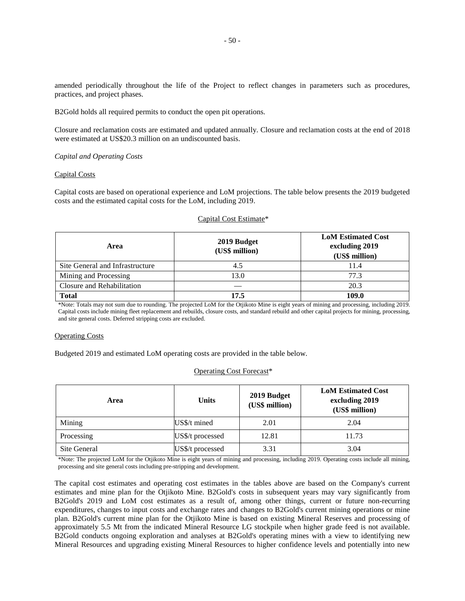amended periodically throughout the life of the Project to reflect changes in parameters such as procedures, practices, and project phases.

B2Gold holds all required permits to conduct the open pit operations.

Closure and reclamation costs are estimated and updated annually. Closure and reclamation costs at the end of 2018 were estimated at US\$20.3 million on an undiscounted basis.

## *Capital and Operating Costs*

## Capital Costs

Capital costs are based on operational experience and LoM projections. The table below presents the 2019 budgeted costs and the estimated capital costs for the LoM, including 2019.

| Area                            | 2019 Budget<br>(US\$ million) | <b>LoM Estimated Cost</b><br>excluding 2019<br>(US\$ million) |
|---------------------------------|-------------------------------|---------------------------------------------------------------|
| Site General and Infrastructure | 4.5                           | 11.4                                                          |
| Mining and Processing           | 13.0                          | 77.3                                                          |
| Closure and Rehabilitation      |                               | 20.3                                                          |
| <b>Total</b>                    | 17.5                          | 109.0                                                         |

#### Capital Cost Estimate\*

\*Note: Totals may not sum due to rounding. The projected LoM for the Otjikoto Mine is eight years of mining and processing, including 2019. Capital costs include mining fleet replacement and rebuilds, closure costs, and standard rebuild and other capital projects for mining, processing, and site general costs. Deferred stripping costs are excluded.

### Operating Costs

Budgeted 2019 and estimated LoM operating costs are provided in the table below.

# Operating Cost Forecast\*

| Area         | Units            | 2019 Budget<br>(US\$ million) | <b>LoM Estimated Cost</b><br>excluding 2019<br>(US\$ million) |
|--------------|------------------|-------------------------------|---------------------------------------------------------------|
| Mining       | US\$/t mined     | 2.01                          | 2.04                                                          |
| Processing   | US\$/t processed | 12.81                         | 11.73                                                         |
| Site General | US\$/t processed | 3.31                          | 3.04                                                          |

\*Note: The projected LoM for the Otjikoto Mine is eight years of mining and processing, including 2019. Operating costs include all mining, processing and site general costs including pre-stripping and development.

The capital cost estimates and operating cost estimates in the tables above are based on the Company's current estimates and mine plan for the Otjikoto Mine. B2Gold's costs in subsequent years may vary significantly from B2Gold's 2019 and LoM cost estimates as a result of, among other things, current or future non-recurring expenditures, changes to input costs and exchange rates and changes to B2Gold's current mining operations or mine plan. B2Gold's current mine plan for the Otjikoto Mine is based on existing Mineral Reserves and processing of approximately 5.5 Mt from the indicated Mineral Resource LG stockpile when higher grade feed is not available. B2Gold conducts ongoing exploration and analyses at B2Gold's operating mines with a view to identifying new Mineral Resources and upgrading existing Mineral Resources to higher confidence levels and potentially into new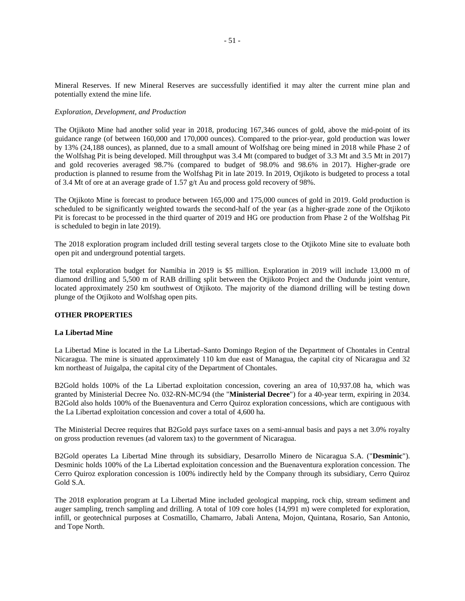Mineral Reserves. If new Mineral Reserves are successfully identified it may alter the current mine plan and potentially extend the mine life.

## *Exploration, Development, and Production*

The Otjikoto Mine had another solid year in 2018, producing 167,346 ounces of gold, above the mid-point of its guidance range (of between 160,000 and 170,000 ounces). Compared to the prior-year, gold production was lower by 13% (24,188 ounces), as planned, due to a small amount of Wolfshag ore being mined in 2018 while Phase 2 of the Wolfshag Pit is being developed. Mill throughput was 3.4 Mt (compared to budget of 3.3 Mt and 3.5 Mt in 2017) and gold recoveries averaged 98.7% (compared to budget of 98.0% and 98.6% in 2017). Higher-grade ore production is planned to resume from the Wolfshag Pit in late 2019. In 2019, Otjikoto is budgeted to process a total of 3.4 Mt of ore at an average grade of 1.57 g/t Au and process gold recovery of 98%.

The Otjikoto Mine is forecast to produce between 165,000 and 175,000 ounces of gold in 2019. Gold production is scheduled to be significantly weighted towards the second-half of the year (as a higher-grade zone of the Otjikoto Pit is forecast to be processed in the third quarter of 2019 and HG ore production from Phase 2 of the Wolfshag Pit is scheduled to begin in late 2019).

The 2018 exploration program included drill testing several targets close to the Otjikoto Mine site to evaluate both open pit and underground potential targets.

The total exploration budget for Namibia in 2019 is \$5 million. Exploration in 2019 will include 13,000 m of diamond drilling and 5,500 m of RAB drilling split between the Otjikoto Project and the Ondundu joint venture, located approximately 250 km southwest of Otjikoto. The majority of the diamond drilling will be testing down plunge of the Otjikoto and Wolfshag open pits.

## **OTHER PROPERTIES**

## **La Libertad Mine**

La Libertad Mine is located in the La Libertad–Santo Domingo Region of the Department of Chontales in Central Nicaragua. The mine is situated approximately 110 km due east of Managua, the capital city of Nicaragua and 32 km northeast of Juigalpa, the capital city of the Department of Chontales.

B2Gold holds 100% of the La Libertad exploitation concession, covering an area of 10,937.08 ha, which was granted by Ministerial Decree No. 032-RN-MC/94 (the "**Ministerial Decree**") for a 40-year term, expiring in 2034. B2Gold also holds 100% of the Buenaventura and Cerro Quiroz exploration concessions, which are contiguous with the La Libertad exploitation concession and cover a total of 4,600 ha.

The Ministerial Decree requires that B2Gold pays surface taxes on a semi-annual basis and pays a net 3.0% royalty on gross production revenues (ad valorem tax) to the government of Nicaragua.

B2Gold operates La Libertad Mine through its subsidiary, Desarrollo Minero de Nicaragua S.A. ("**Desminic**"). Desminic holds 100% of the La Libertad exploitation concession and the Buenaventura exploration concession. The Cerro Quiroz exploration concession is 100% indirectly held by the Company through its subsidiary, Cerro Quiroz Gold S.A.

The 2018 exploration program at La Libertad Mine included geological mapping, rock chip, stream sediment and auger sampling, trench sampling and drilling. A total of 109 core holes (14,991 m) were completed for exploration, infill, or geotechnical purposes at Cosmatillo, Chamarro, Jabali Antena, Mojon, Quintana, Rosario, San Antonio, and Tope North.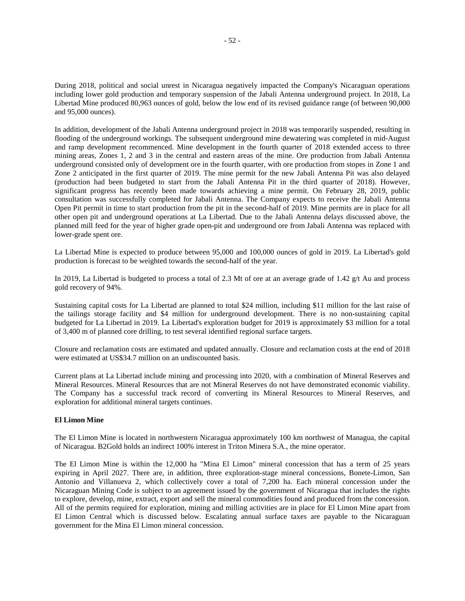During 2018, political and social unrest in Nicaragua negatively impacted the Company's Nicaraguan operations including lower gold production and temporary suspension of the Jabali Antenna underground project. In 2018, La Libertad Mine produced 80,963 ounces of gold, below the low end of its revised guidance range (of between 90,000 and 95,000 ounces).

In addition, development of the Jabali Antenna underground project in 2018 was temporarily suspended, resulting in flooding of the underground workings. The subsequent underground mine dewatering was completed in mid-August and ramp development recommenced. Mine development in the fourth quarter of 2018 extended access to three mining areas, Zones 1, 2 and 3 in the central and eastern areas of the mine. Ore production from Jabali Antenna underground consisted only of development ore in the fourth quarter, with ore production from stopes in Zone 1 and Zone 2 anticipated in the first quarter of 2019. The mine permit for the new Jabali Antenna Pit was also delayed (production had been budgeted to start from the Jabali Antenna Pit in the third quarter of 2018). However, significant progress has recently been made towards achieving a mine permit. On February 28, 2019, public consultation was successfully completed for Jabali Antenna. The Company expects to receive the Jabali Antenna Open Pit permit in time to start production from the pit in the second-half of 2019. Mine permits are in place for all other open pit and underground operations at La Libertad. Due to the Jabali Antenna delays discussed above, the planned mill feed for the year of higher grade open-pit and underground ore from Jabali Antenna was replaced with lower-grade spent ore.

La Libertad Mine is expected to produce between 95,000 and 100,000 ounces of gold in 2019. La Libertad's gold production is forecast to be weighted towards the second-half of the year.

In 2019, La Libertad is budgeted to process a total of 2.3 Mt of ore at an average grade of 1.42 g/t Au and process gold recovery of 94%.

Sustaining capital costs for La Libertad are planned to total \$24 million, including \$11 million for the last raise of the tailings storage facility and \$4 million for underground development. There is no non-sustaining capital budgeted for La Libertad in 2019. La Libertad's exploration budget for 2019 is approximately \$3 million for a total of 3,400 m of planned core drilling, to test several identified regional surface targets.

Closure and reclamation costs are estimated and updated annually. Closure and reclamation costs at the end of 2018 were estimated at US\$34.7 million on an undiscounted basis.

Current plans at La Libertad include mining and processing into 2020, with a combination of Mineral Reserves and Mineral Resources. Mineral Resources that are not Mineral Reserves do not have demonstrated economic viability. The Company has a successful track record of converting its Mineral Resources to Mineral Reserves, and exploration for additional mineral targets continues.

# **El Limon Mine**

The El Limon Mine is located in northwestern Nicaragua approximately 100 km northwest of Managua, the capital of Nicaragua. B2Gold holds an indirect 100% interest in Triton Minera S.A., the mine operator.

The El Limon Mine is within the 12,000 ha "Mina El Limon" mineral concession that has a term of 25 years expiring in April 2027. There are, in addition, three exploration-stage mineral concessions, Bonete-Limon, San Antonio and Villanueva 2, which collectively cover a total of 7,200 ha. Each mineral concession under the Nicaraguan Mining Code is subject to an agreement issued by the government of Nicaragua that includes the rights to explore, develop, mine, extract, export and sell the mineral commodities found and produced from the concession. All of the permits required for exploration, mining and milling activities are in place for El Limon Mine apart from El Limon Central which is discussed below. Escalating annual surface taxes are payable to the Nicaraguan government for the Mina El Limon mineral concession.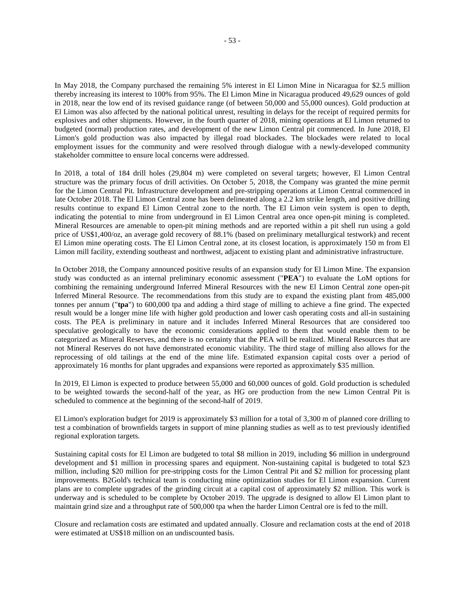In May 2018, the Company purchased the remaining 5% interest in El Limon Mine in Nicaragua for \$2.5 million thereby increasing its interest to 100% from 95%. The El Limon Mine in Nicaragua produced 49,629 ounces of gold in 2018, near the low end of its revised guidance range (of between 50,000 and 55,000 ounces). Gold production at El Limon was also affected by the national political unrest, resulting in delays for the receipt of required permits for explosives and other shipments. However, in the fourth quarter of 2018, mining operations at El Limon returned to budgeted (normal) production rates, and development of the new Limon Central pit commenced. In June 2018, El Limon's gold production was also impacted by illegal road blockades. The blockades were related to local employment issues for the community and were resolved through dialogue with a newly-developed community stakeholder committee to ensure local concerns were addressed.

In 2018, a total of 184 drill holes (29,804 m) were completed on several targets; however, El Limon Central structure was the primary focus of drill activities. On October 5, 2018, the Company was granted the mine permit for the Limon Central Pit. Infrastructure development and pre-stripping operations at Limon Central commenced in late October 2018. The El Limon Central zone has been delineated along a 2.2 km strike length, and positive drilling results continue to expand El Limon Central zone to the north. The El Limon vein system is open to depth, indicating the potential to mine from underground in El Limon Central area once open-pit mining is completed. Mineral Resources are amenable to open-pit mining methods and are reported within a pit shell run using a gold price of US\$1,400/oz, an average gold recovery of 88.1% (based on preliminary metallurgical testwork) and recent El Limon mine operating costs. The El Limon Central zone, at its closest location, is approximately 150 m from El Limon mill facility, extending southeast and northwest, adjacent to existing plant and administrative infrastructure.

In October 2018, the Company announced positive results of an expansion study for El Limon Mine. The expansion study was conducted as an internal preliminary economic assessment ("**PEA**") to evaluate the LoM options for combining the remaining underground Inferred Mineral Resources with the new El Limon Central zone open-pit Inferred Mineral Resource. The recommendations from this study are to expand the existing plant from 485,000 tonnes per annum ("**tpa**") to 600,000 tpa and adding a third stage of milling to achieve a fine grind. The expected result would be a longer mine life with higher gold production and lower cash operating costs and all-in sustaining costs. The PEA is preliminary in nature and it includes Inferred Mineral Resources that are considered too speculative geologically to have the economic considerations applied to them that would enable them to be categorized as Mineral Reserves, and there is no certainty that the PEA will be realized. Mineral Resources that are not Mineral Reserves do not have demonstrated economic viability. The third stage of milling also allows for the reprocessing of old tailings at the end of the mine life. Estimated expansion capital costs over a period of approximately 16 months for plant upgrades and expansions were reported as approximately \$35 million.

In 2019, El Limon is expected to produce between 55,000 and 60,000 ounces of gold. Gold production is scheduled to be weighted towards the second-half of the year, as HG ore production from the new Limon Central Pit is scheduled to commence at the beginning of the second-half of 2019.

El Limon's exploration budget for 2019 is approximately \$3 million for a total of 3,300 m of planned core drilling to test a combination of brownfields targets in support of mine planning studies as well as to test previously identified regional exploration targets.

Sustaining capital costs for El Limon are budgeted to total \$8 million in 2019, including \$6 million in underground development and \$1 million in processing spares and equipment. Non-sustaining capital is budgeted to total \$23 million, including \$20 million for pre-stripping costs for the Limon Central Pit and \$2 million for processing plant improvements. B2Gold's technical team is conducting mine optimization studies for El Limon expansion. Current plans are to complete upgrades of the grinding circuit at a capital cost of approximately \$2 million. This work is underway and is scheduled to be complete by October 2019. The upgrade is designed to allow El Limon plant to maintain grind size and a throughput rate of 500,000 tpa when the harder Limon Central ore is fed to the mill.

Closure and reclamation costs are estimated and updated annually. Closure and reclamation costs at the end of 2018 were estimated at US\$18 million on an undiscounted basis.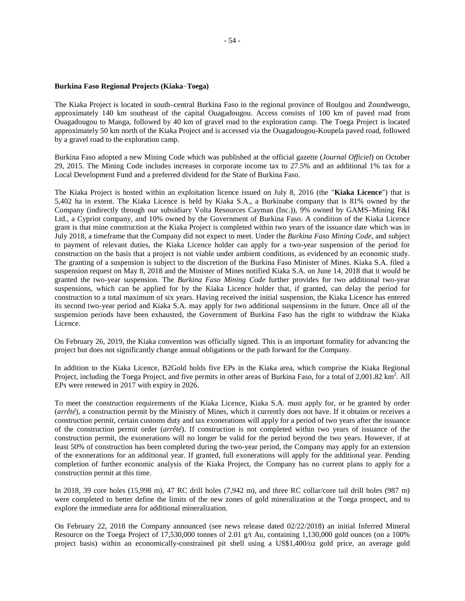### **Burkina Faso Regional Projects (Kiaka**–**Toega)**

The Kiaka Project is located in south–central Burkina Faso in the regional province of Boulgou and Zoundweogo, approximately 140 km southeast of the capital Ouagadougou. Access consists of 100 km of paved road from Ouagadougou to Manga, followed by 40 km of gravel road to the exploration camp. The Toega Project is located approximately 50 km north of the Kiaka Project and is accessed via the Ouagadougou-Koupela paved road, followed by a gravel road to the exploration camp.

Burkina Faso adopted a new Mining Code which was published at the official gazette (*Journal Officiel*) on October 29, 2015. The Mining Code includes increases in corporate income tax to 27.5% and an additional 1% tax for a Local Development Fund and a preferred dividend for the State of Burkina Faso.

The Kiaka Project is hosted within an exploitation licence issued on July 8, 2016 (the "**Kiaka Licence**") that is 5,402 ha in extent. The Kiaka Licence is held by Kiaka S.A., a Burkinabe company that is 81% owned by the Company (indirectly through our subsidiary Volta Resources Cayman (Inc.)), 9% owned by GAMS–Mining F&I Ltd., a Cypriot company, and 10% owned by the Government of Burkina Faso. A condition of the Kiaka Licence grant is that mine construction at the Kiaka Project is completed within two years of the issuance date which was in July 2018, a timeframe that the Company did not expect to meet. Under the *Burkina Faso Mining Code*, and subject to payment of relevant duties, the Kiaka Licence holder can apply for a two-year suspension of the period for construction on the basis that a project is not viable under ambient conditions, as evidenced by an economic study. The granting of a suspension is subject to the discretion of the Burkina Faso Minister of Mines. Kiaka S.A. filed a suspension request on May 8, 2018 and the Minister of Mines notified Kiaka S.A. on June 14, 2018 that it would be granted the two-year suspension. The *Burkina Faso Mining Code* further provides for two additional two-year suspensions, which can be applied for by the Kiaka Licence holder that, if granted, can delay the period for construction to a total maximum of six years. Having received the initial suspension, the Kiaka Licence has entered its second two-year period and Kiaka S.A. may apply for two additional suspensions in the future. Once all of the suspension periods have been exhausted, the Government of Burkina Faso has the right to withdraw the Kiaka Licence.

On February 26, 2019, the Kiaka convention was officially signed. This is an important formality for advancing the project but does not significantly change annual obligations or the path forward for the Company.

In addition to the Kiaka Licence, B2Gold holds five EPs in the Kiaka area, which comprise the Kiaka Regional Project, including the Toega Project, and five permits in other areas of Burkina Faso, for a total of 2,001.82  $\text{km}^2$ . All EPs were renewed in 2017 with expiry in 2026.

To meet the construction requirements of the Kiaka Licence, Kiaka S.A. must apply for, or be granted by order (*arrêté*), a construction permit by the Ministry of Mines, which it currently does not have. If it obtains or receives a construction permit, certain customs duty and tax exonerations will apply for a period of two years after the issuance of the construction permit order (*arrêté*). If construction is not completed within two years of issuance of the construction permit, the exonerations will no longer be valid for the period beyond the two years. However, if at least 50% of construction has been completed during the two-year period, the Company may apply for an extension of the exonerations for an additional year. If granted, full exonerations will apply for the additional year. Pending completion of further economic analysis of the Kiaka Project, the Company has no current plans to apply for a construction permit at this time.

In 2018, 39 core holes (15,998 m), 47 RC drill holes (7,942 m), and three RC collar/core tail drill holes (987 m) were completed to better define the limits of the new zones of gold mineralization at the Toega prospect, and to explore the immediate area for additional mineralization.

On February 22, 2018 the Company announced (see news release dated 02/22/2018) an initial Inferred Mineral Resource on the Toega Project of 17,530,000 tonnes of 2.01 g/t Au, containing 1,130,000 gold ounces (on a 100% project basis) within an economically-constrained pit shell using a US\$1,400/oz gold price, an average gold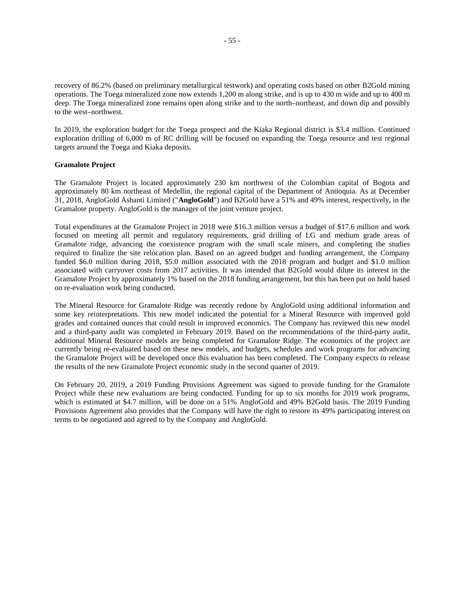recovery of 86.2% (based on preliminary metallurgical testwork) and operating costs based on other B2Gold mining operations. The Toega mineralized zone now extends 1,200 m along strike, and is up to 430 m wide and up to 400 m deep. The Toega mineralized zone remains open along strike and to the north–northeast, and down dip and possibly to the west–northwest.

In 2019, the exploration budget for the Toega prospect and the Kiaka Regional district is \$3.4 million. Continued exploration drilling of 6,000 m of RC drilling will be focused on expanding the Toega resource and test regional targets around the Toega and Kiaka deposits.

## **Gramalote Project**

The Gramalote Project is located approximately 230 km northwest of the Colombian capital of Bogota and approximately 80 km northeast of Medellin, the regional capital of the Department of Antioquia. As at December 31, 2018, AngloGold Ashanti Limited ("**AngloGold**") and B2Gold have a 51% and 49% interest, respectively, in the Gramalote property. AngloGold is the manager of the joint venture project.

Total expenditures at the Gramalote Project in 2018 were \$16.3 million versus a budget of \$17.6 million and work focused on meeting all permit and regulatory requirements, grid drilling of LG and medium grade areas of Gramalote ridge, advancing the coexistence program with the small scale miners, and completing the studies required to finalize the site relocation plan. Based on an agreed budget and funding arrangement, the Company funded \$6.0 million during 2018, \$5.0 million associated with the 2018 program and budget and \$1.0 million associated with carryover costs from 2017 activities. It was intended that B2Gold would dilute its interest in the Gramalote Project by approximately 1% based on the 2018 funding arrangement, but this has been put on hold based on re-evaluation work being conducted.

The Mineral Resource for Gramalote Ridge was recently redone by AngloGold using additional information and some key reinterpretations. This new model indicated the potential for a Mineral Resource with improved gold grades and contained ounces that could result in improved economics. The Company has reviewed this new model and a third-party audit was completed in February 2019. Based on the recommendations of the third-party audit, additional Mineral Resource models are being completed for Gramalote Ridge. The economics of the project are currently being re-evaluated based on these new models, and budgets, schedules and work programs for advancing the Gramalote Project will be developed once this evaluation has been completed. The Company expects to release the results of the new Gramalote Project economic study in the second quarter of 2019.

On February 20, 2019, a 2019 Funding Provisions Agreement was signed to provide funding for the Gramalote Project while these new evaluations are being conducted. Funding for up to six months for 2019 work programs, which is estimated at \$4.7 million, will be done on a 51% AngloGold and 49% B2Gold basis. The 2019 Funding Provisions Agreement also provides that the Company will have the right to restore its 49% participating interest on terms to be negotiated and agreed to by the Company and AngloGold.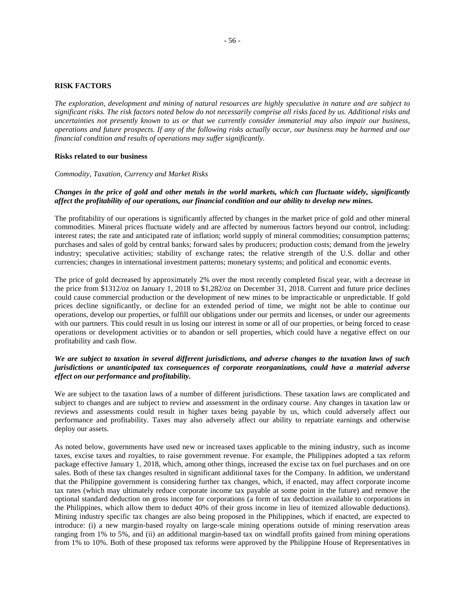## **RISK FACTORS**

*The exploration, development and mining of natural resources are highly speculative in nature and are subject to significant risks. The risk factors noted below do not necessarily comprise all risks faced by us. Additional risks and uncertainties not presently known to us or that we currently consider immaterial may also impair our business, operations and future prospects. If any of the following risks actually occur, our business may be harmed and our financial condition and results of operations may suffer significantly.* 

## **Risks related to our business**

*Commodity, Taxation, Currency and Market Risks*

# *Changes in the price of gold and other metals in the world markets, which can fluctuate widely, significantly affect the profitability of our operations, our financial condition and our ability to develop new mines.*

The profitability of our operations is significantly affected by changes in the market price of gold and other mineral commodities. Mineral prices fluctuate widely and are affected by numerous factors beyond our control, including: interest rates; the rate and anticipated rate of inflation; world supply of mineral commodities; consumption patterns; purchases and sales of gold by central banks; forward sales by producers; production costs; demand from the jewelry industry; speculative activities; stability of exchange rates; the relative strength of the U.S. dollar and other currencies; changes in international investment patterns; monetary systems; and political and economic events.

The price of gold decreased by approximately 2% over the most recently completed fiscal year, with a decrease in the price from \$1312/oz on January 1, 2018 to \$1,282/oz on December 31, 2018. Current and future price declines could cause commercial production or the development of new mines to be impracticable or unpredictable. If gold prices decline significantly, or decline for an extended period of time, we might not be able to continue our operations, develop our properties, or fulfill our obligations under our permits and licenses, or under our agreements with our partners. This could result in us losing our interest in some or all of our properties, or being forced to cease operations or development activities or to abandon or sell properties, which could have a negative effect on our profitability and cash flow.

# *We are subject to taxation in several different jurisdictions, and adverse changes to the taxation laws of such jurisdictions or unanticipated tax consequences of corporate reorganizations, could have a material adverse effect on our performance and profitability.*

We are subject to the taxation laws of a number of different jurisdictions. These taxation laws are complicated and subject to changes and are subject to review and assessment in the ordinary course. Any changes in taxation law or reviews and assessments could result in higher taxes being payable by us, which could adversely affect our performance and profitability. Taxes may also adversely affect our ability to repatriate earnings and otherwise deploy our assets.

As noted below, governments have used new or increased taxes applicable to the mining industry, such as income taxes, excise taxes and royalties, to raise government revenue. For example, the Philippines adopted a tax reform package effective January 1, 2018, which, among other things, increased the excise tax on fuel purchases and on ore sales. Both of these tax changes resulted in significant additional taxes for the Company. In addition, we understand that the Philippine government is considering further tax changes, which, if enacted, may affect corporate income tax rates (which may ultimately reduce corporate income tax payable at some point in the future) and remove the optional standard deduction on gross income for corporations (a form of tax deduction available to corporations in the Philippines, which allow them to deduct 40% of their gross income in lieu of itemized allowable deductions). Mining industry specific tax changes are also being proposed in the Philippines, which if enacted, are expected to introduce: (i) a new margin-based royalty on large-scale mining operations outside of mining reservation areas ranging from 1% to 5%, and (ii) an additional margin-based tax on windfall profits gained from mining operations from 1% to 10%. Both of these proposed tax reforms were approved by the Philippine House of Representatives in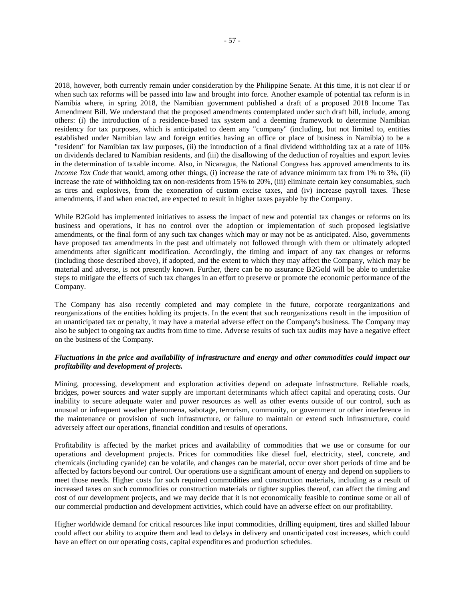2018, however, both currently remain under consideration by the Philippine Senate. At this time, it is not clear if or when such tax reforms will be passed into law and brought into force. Another example of potential tax reform is in Namibia where, in spring 2018, the Namibian government published a draft of a proposed 2018 Income Tax Amendment Bill. We understand that the proposed amendments contemplated under such draft bill, include, among others: (i) the introduction of a residence-based tax system and a deeming framework to determine Namibian residency for tax purposes, which is anticipated to deem any "company" (including, but not limited to, entities established under Namibian law and foreign entities having an office or place of business in Namibia) to be a "resident" for Namibian tax law purposes, (ii) the introduction of a final dividend withholding tax at a rate of 10% on dividends declared to Namibian residents, and (iii) the disallowing of the deduction of royalties and export levies in the determination of taxable income. Also, in Nicaragua, the National Congress has approved amendments to its *Income Tax Code* that would, among other things, (i) increase the rate of advance minimum tax from 1% to 3%, (ii) increase the rate of withholding tax on non-residents from 15% to 20%, (iii) eliminate certain key consumables, such as tires and explosives, from the exoneration of custom excise taxes, and (iv) increase payroll taxes. These amendments, if and when enacted, are expected to result in higher taxes payable by the Company.

While B2Gold has implemented initiatives to assess the impact of new and potential tax changes or reforms on its business and operations, it has no control over the adoption or implementation of such proposed legislative amendments, or the final form of any such tax changes which may or may not be as anticipated. Also, governments have proposed tax amendments in the past and ultimately not followed through with them or ultimately adopted amendments after significant modification. Accordingly, the timing and impact of any tax changes or reforms (including those described above), if adopted, and the extent to which they may affect the Company, which may be material and adverse, is not presently known. Further, there can be no assurance B2Gold will be able to undertake steps to mitigate the effects of such tax changes in an effort to preserve or promote the economic performance of the Company.

The Company has also recently completed and may complete in the future, corporate reorganizations and reorganizations of the entities holding its projects. In the event that such reorganizations result in the imposition of an unanticipated tax or penalty, it may have a material adverse effect on the Company's business. The Company may also be subject to ongoing tax audits from time to time. Adverse results of such tax audits may have a negative effect on the business of the Company.

# *Fluctuations in the price and availability of infrastructure and energy and other commodities could impact our profitability and development of projects.*

Mining, processing, development and exploration activities depend on adequate infrastructure. Reliable roads, bridges, power sources and water supply are important determinants which affect capital and operating costs. Our inability to secure adequate water and power resources as well as other events outside of our control, such as unusual or infrequent weather phenomena, sabotage, terrorism, community, or government or other interference in the maintenance or provision of such infrastructure, or failure to maintain or extend such infrastructure, could adversely affect our operations, financial condition and results of operations.

Profitability is affected by the market prices and availability of commodities that we use or consume for our operations and development projects. Prices for commodities like diesel fuel, electricity, steel, concrete, and chemicals (including cyanide) can be volatile, and changes can be material, occur over short periods of time and be affected by factors beyond our control. Our operations use a significant amount of energy and depend on suppliers to meet those needs. Higher costs for such required commodities and construction materials, including as a result of increased taxes on such commodities or construction materials or tighter supplies thereof, can affect the timing and cost of our development projects, and we may decide that it is not economically feasible to continue some or all of our commercial production and development activities, which could have an adverse effect on our profitability.

Higher worldwide demand for critical resources like input commodities, drilling equipment, tires and skilled labour could affect our ability to acquire them and lead to delays in delivery and unanticipated cost increases, which could have an effect on our operating costs, capital expenditures and production schedules.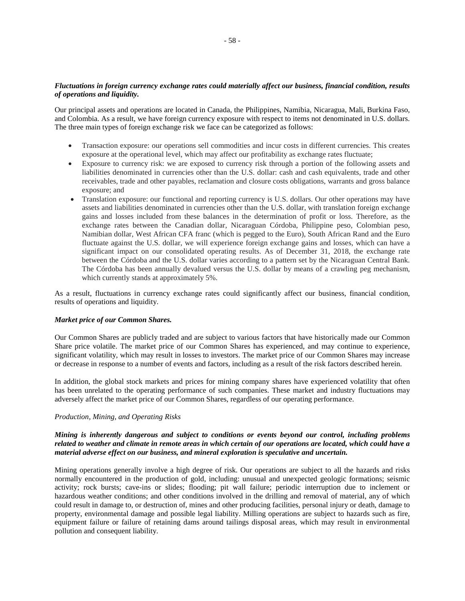# *Fluctuations in foreign currency exchange rates could materially affect our business, financial condition, results of operations and liquidity.*

Our principal assets and operations are located in Canada, the Philippines, Namibia, Nicaragua, Mali, Burkina Faso, and Colombia. As a result, we have foreign currency exposure with respect to items not denominated in U.S. dollars. The three main types of foreign exchange risk we face can be categorized as follows:

- Transaction exposure: our operations sell commodities and incur costs in different currencies. This creates exposure at the operational level, which may affect our profitability as exchange rates fluctuate;
- Exposure to currency risk: we are exposed to currency risk through a portion of the following assets and liabilities denominated in currencies other than the U.S. dollar: cash and cash equivalents, trade and other receivables, trade and other payables, reclamation and closure costs obligations, warrants and gross balance exposure; and
- Translation exposure: our functional and reporting currency is U.S. dollars. Our other operations may have assets and liabilities denominated in currencies other than the U.S. dollar, with translation foreign exchange gains and losses included from these balances in the determination of profit or loss. Therefore, as the exchange rates between the Canadian dollar, Nicaraguan Córdoba, Philippine peso, Colombian peso, Namibian dollar, West African CFA franc (which is pegged to the Euro), South African Rand and the Euro fluctuate against the U.S. dollar, we will experience foreign exchange gains and losses, which can have a significant impact on our consolidated operating results. As of December 31, 2018, the exchange rate between the Córdoba and the U.S. dollar varies according to a pattern set by the Nicaraguan Central Bank. The Córdoba has been annually devalued versus the U.S. dollar by means of a crawling peg mechanism, which currently stands at approximately 5%.

As a result, fluctuations in currency exchange rates could significantly affect our business, financial condition, results of operations and liquidity.

## *Market price of our Common Shares.*

Our Common Shares are publicly traded and are subject to various factors that have historically made our Common Share price volatile. The market price of our Common Shares has experienced, and may continue to experience, significant volatility, which may result in losses to investors. The market price of our Common Shares may increase or decrease in response to a number of events and factors, including as a result of the risk factors described herein.

In addition, the global stock markets and prices for mining company shares have experienced volatility that often has been unrelated to the operating performance of such companies. These market and industry fluctuations may adversely affect the market price of our Common Shares, regardless of our operating performance.

## *Production, Mining, and Operating Risks*

# *Mining is inherently dangerous and subject to conditions or events beyond our control, including problems related to weather and climate in remote areas in which certain of our operations are located, which could have a material adverse effect on our business, and mineral exploration is speculative and uncertain.*

Mining operations generally involve a high degree of risk. Our operations are subject to all the hazards and risks normally encountered in the production of gold, including: unusual and unexpected geologic formations; seismic activity; rock bursts; cave-ins or slides; flooding; pit wall failure; periodic interruption due to inclement or hazardous weather conditions; and other conditions involved in the drilling and removal of material, any of which could result in damage to, or destruction of, mines and other producing facilities, personal injury or death, damage to property, environmental damage and possible legal liability. Milling operations are subject to hazards such as fire, equipment failure or failure of retaining dams around tailings disposal areas, which may result in environmental pollution and consequent liability.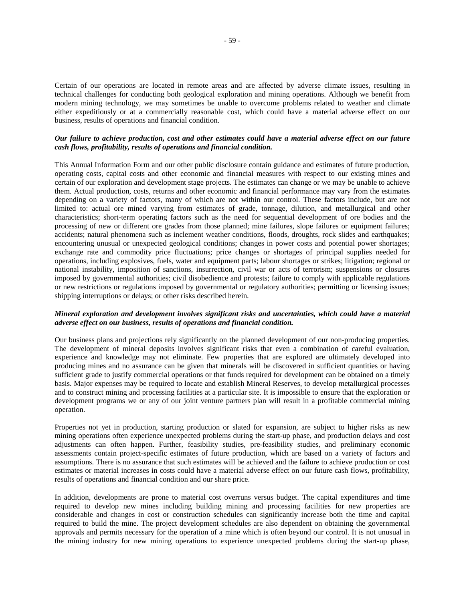Certain of our operations are located in remote areas and are affected by adverse climate issues, resulting in technical challenges for conducting both geological exploration and mining operations. Although we benefit from modern mining technology, we may sometimes be unable to overcome problems related to weather and climate either expeditiously or at a commercially reasonable cost, which could have a material adverse effect on our business, results of operations and financial condition.

# *Our failure to achieve production, cost and other estimates could have a material adverse effect on our future cash flows, profitability, results of operations and financial condition.*

This Annual Information Form and our other public disclosure contain guidance and estimates of future production, operating costs, capital costs and other economic and financial measures with respect to our existing mines and certain of our exploration and development stage projects. The estimates can change or we may be unable to achieve them. Actual production, costs, returns and other economic and financial performance may vary from the estimates depending on a variety of factors, many of which are not within our control. These factors include, but are not limited to: actual ore mined varying from estimates of grade, tonnage, dilution, and metallurgical and other characteristics; short-term operating factors such as the need for sequential development of ore bodies and the processing of new or different ore grades from those planned; mine failures, slope failures or equipment failures; accidents; natural phenomena such as inclement weather conditions, floods, droughts, rock slides and earthquakes; encountering unusual or unexpected geological conditions; changes in power costs and potential power shortages; exchange rate and commodity price fluctuations; price changes or shortages of principal supplies needed for operations, including explosives, fuels, water and equipment parts; labour shortages or strikes; litigation; regional or national instability, imposition of sanctions, insurrection, civil war or acts of terrorism; suspensions or closures imposed by governmental authorities; civil disobedience and protests; failure to comply with applicable regulations or new restrictions or regulations imposed by governmental or regulatory authorities; permitting or licensing issues; shipping interruptions or delays; or other risks described herein.

## *Mineral exploration and development involves significant risks and uncertainties, which could have a material adverse effect on our business, results of operations and financial condition.*

Our business plans and projections rely significantly on the planned development of our non-producing properties. The development of mineral deposits involves significant risks that even a combination of careful evaluation, experience and knowledge may not eliminate. Few properties that are explored are ultimately developed into producing mines and no assurance can be given that minerals will be discovered in sufficient quantities or having sufficient grade to justify commercial operations or that funds required for development can be obtained on a timely basis. Major expenses may be required to locate and establish Mineral Reserves, to develop metallurgical processes and to construct mining and processing facilities at a particular site. It is impossible to ensure that the exploration or development programs we or any of our joint venture partners plan will result in a profitable commercial mining operation.

Properties not yet in production, starting production or slated for expansion, are subject to higher risks as new mining operations often experience unexpected problems during the start-up phase, and production delays and cost adjustments can often happen. Further, feasibility studies, pre-feasibility studies, and preliminary economic assessments contain project-specific estimates of future production, which are based on a variety of factors and assumptions. There is no assurance that such estimates will be achieved and the failure to achieve production or cost estimates or material increases in costs could have a material adverse effect on our future cash flows, profitability, results of operations and financial condition and our share price.

In addition, developments are prone to material cost overruns versus budget. The capital expenditures and time required to develop new mines including building mining and processing facilities for new properties are considerable and changes in cost or construction schedules can significantly increase both the time and capital required to build the mine. The project development schedules are also dependent on obtaining the governmental approvals and permits necessary for the operation of a mine which is often beyond our control. It is not unusual in the mining industry for new mining operations to experience unexpected problems during the start-up phase,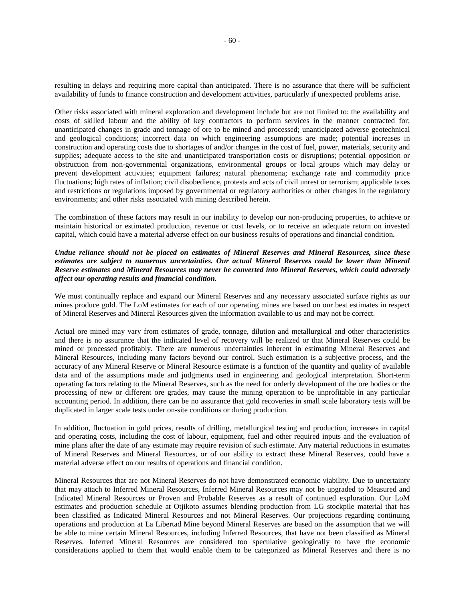resulting in delays and requiring more capital than anticipated. There is no assurance that there will be sufficient availability of funds to finance construction and development activities, particularly if unexpected problems arise.

Other risks associated with mineral exploration and development include but are not limited to: the availability and costs of skilled labour and the ability of key contractors to perform services in the manner contracted for; unanticipated changes in grade and tonnage of ore to be mined and processed; unanticipated adverse geotechnical and geological conditions; incorrect data on which engineering assumptions are made; potential increases in construction and operating costs due to shortages of and/or changes in the cost of fuel, power, materials, security and supplies; adequate access to the site and unanticipated transportation costs or disruptions; potential opposition or obstruction from non-governmental organizations, environmental groups or local groups which may delay or prevent development activities; equipment failures; natural phenomena; exchange rate and commodity price fluctuations; high rates of inflation; civil disobedience, protests and acts of civil unrest or terrorism; applicable taxes and restrictions or regulations imposed by governmental or regulatory authorities or other changes in the regulatory environments; and other risks associated with mining described herein.

The combination of these factors may result in our inability to develop our non-producing properties, to achieve or maintain historical or estimated production, revenue or cost levels, or to receive an adequate return on invested capital, which could have a material adverse effect on our business results of operations and financial condition.

# *Undue reliance should not be placed on estimates of Mineral Reserves and Mineral Resources, since these estimates are subject to numerous uncertainties. Our actual Mineral Reserves could be lower than Mineral Reserve estimates and Mineral Resources may never be converted into Mineral Reserves, which could adversely affect our operating results and financial condition.*

We must continually replace and expand our Mineral Reserves and any necessary associated surface rights as our mines produce gold. The LoM estimates for each of our operating mines are based on our best estimates in respect of Mineral Reserves and Mineral Resources given the information available to us and may not be correct.

Actual ore mined may vary from estimates of grade, tonnage, dilution and metallurgical and other characteristics and there is no assurance that the indicated level of recovery will be realized or that Mineral Reserves could be mined or processed profitably. There are numerous uncertainties inherent in estimating Mineral Reserves and Mineral Resources, including many factors beyond our control. Such estimation is a subjective process, and the accuracy of any Mineral Reserve or Mineral Resource estimate is a function of the quantity and quality of available data and of the assumptions made and judgments used in engineering and geological interpretation. Short-term operating factors relating to the Mineral Reserves, such as the need for orderly development of the ore bodies or the processing of new or different ore grades, may cause the mining operation to be unprofitable in any particular accounting period. In addition, there can be no assurance that gold recoveries in small scale laboratory tests will be duplicated in larger scale tests under on-site conditions or during production.

In addition, fluctuation in gold prices, results of drilling, metallurgical testing and production, increases in capital and operating costs, including the cost of labour, equipment, fuel and other required inputs and the evaluation of mine plans after the date of any estimate may require revision of such estimate. Any material reductions in estimates of Mineral Reserves and Mineral Resources, or of our ability to extract these Mineral Reserves, could have a material adverse effect on our results of operations and financial condition.

Mineral Resources that are not Mineral Reserves do not have demonstrated economic viability. Due to uncertainty that may attach to Inferred Mineral Resources, Inferred Mineral Resources may not be upgraded to Measured and Indicated Mineral Resources or Proven and Probable Reserves as a result of continued exploration. Our LoM estimates and production schedule at Otjikoto assumes blending production from LG stockpile material that has been classified as Indicated Mineral Resources and not Mineral Reserves. Our projections regarding continuing operations and production at La Libertad Mine beyond Mineral Reserves are based on the assumption that we will be able to mine certain Mineral Resources, including Inferred Resources, that have not been classified as Mineral Reserves. Inferred Mineral Resources are considered too speculative geologically to have the economic considerations applied to them that would enable them to be categorized as Mineral Reserves and there is no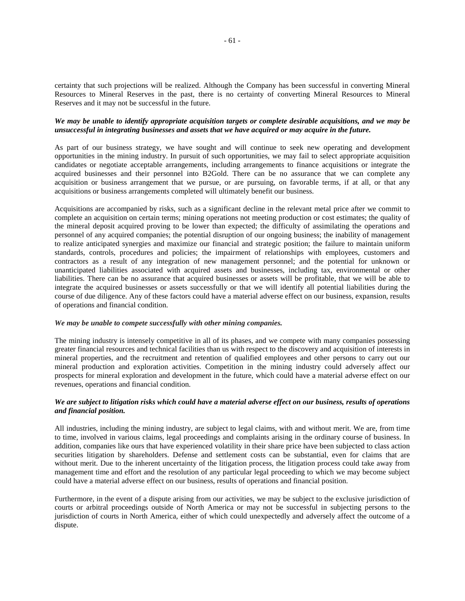certainty that such projections will be realized. Although the Company has been successful in converting Mineral Resources to Mineral Reserves in the past, there is no certainty of converting Mineral Resources to Mineral Reserves and it may not be successful in the future.

# *We may be unable to identify appropriate acquisition targets or complete desirable acquisitions, and we may be unsuccessful in integrating businesses and assets that we have acquired or may acquire in the future.*

As part of our business strategy, we have sought and will continue to seek new operating and development opportunities in the mining industry. In pursuit of such opportunities, we may fail to select appropriate acquisition candidates or negotiate acceptable arrangements, including arrangements to finance acquisitions or integrate the acquired businesses and their personnel into B2Gold. There can be no assurance that we can complete any acquisition or business arrangement that we pursue, or are pursuing, on favorable terms, if at all, or that any acquisitions or business arrangements completed will ultimately benefit our business.

Acquisitions are accompanied by risks, such as a significant decline in the relevant metal price after we commit to complete an acquisition on certain terms; mining operations not meeting production or cost estimates; the quality of the mineral deposit acquired proving to be lower than expected; the difficulty of assimilating the operations and personnel of any acquired companies; the potential disruption of our ongoing business; the inability of management to realize anticipated synergies and maximize our financial and strategic position; the failure to maintain uniform standards, controls, procedures and policies; the impairment of relationships with employees, customers and contractors as a result of any integration of new management personnel; and the potential for unknown or unanticipated liabilities associated with acquired assets and businesses, including tax, environmental or other liabilities. There can be no assurance that acquired businesses or assets will be profitable, that we will be able to integrate the acquired businesses or assets successfully or that we will identify all potential liabilities during the course of due diligence. Any of these factors could have a material adverse effect on our business, expansion, results of operations and financial condition.

## *We may be unable to compete successfully with other mining companies.*

The mining industry is intensely competitive in all of its phases, and we compete with many companies possessing greater financial resources and technical facilities than us with respect to the discovery and acquisition of interests in mineral properties, and the recruitment and retention of qualified employees and other persons to carry out our mineral production and exploration activities. Competition in the mining industry could adversely affect our prospects for mineral exploration and development in the future, which could have a material adverse effect on our revenues, operations and financial condition.

# *We are subject to litigation risks which could have a material adverse effect on our business, results of operations and financial position.*

All industries, including the mining industry, are subject to legal claims, with and without merit. We are, from time to time, involved in various claims, legal proceedings and complaints arising in the ordinary course of business. In addition, companies like ours that have experienced volatility in their share price have been subjected to class action securities litigation by shareholders. Defense and settlement costs can be substantial, even for claims that are without merit. Due to the inherent uncertainty of the litigation process, the litigation process could take away from management time and effort and the resolution of any particular legal proceeding to which we may become subject could have a material adverse effect on our business, results of operations and financial position.

Furthermore, in the event of a dispute arising from our activities, we may be subject to the exclusive jurisdiction of courts or arbitral proceedings outside of North America or may not be successful in subjecting persons to the jurisdiction of courts in North America, either of which could unexpectedly and adversely affect the outcome of a dispute.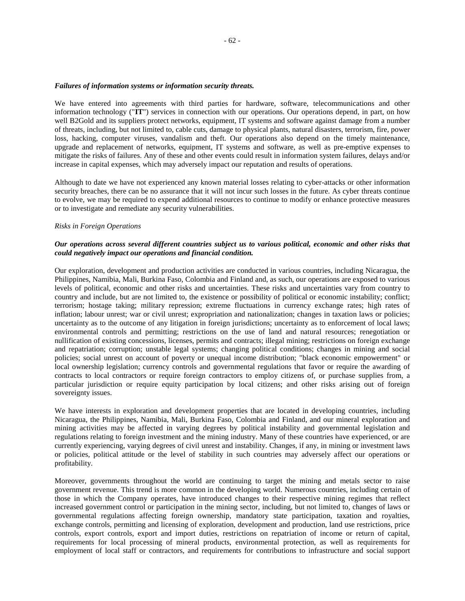### *Failures of information systems or information security threats.*

We have entered into agreements with third parties for hardware, software, telecommunications and other information technology ("**IT**") services in connection with our operations. Our operations depend, in part, on how well B2Gold and its suppliers protect networks, equipment, IT systems and software against damage from a number of threats, including, but not limited to, cable cuts, damage to physical plants, natural disasters, terrorism, fire, power loss, hacking, computer viruses, vandalism and theft. Our operations also depend on the timely maintenance, upgrade and replacement of networks, equipment, IT systems and software, as well as pre-emptive expenses to mitigate the risks of failures. Any of these and other events could result in information system failures, delays and/or increase in capital expenses, which may adversely impact our reputation and results of operations.

Although to date we have not experienced any known material losses relating to cyber-attacks or other information security breaches, there can be no assurance that it will not incur such losses in the future. As cyber threats continue to evolve, we may be required to expend additional resources to continue to modify or enhance protective measures or to investigate and remediate any security vulnerabilities.

## *Risks in Foreign Operations*

# *Our operations across several different countries subject us to various political, economic and other risks that could negatively impact our operations and financial condition.*

Our exploration, development and production activities are conducted in various countries, including Nicaragua, the Philippines, Namibia, Mali, Burkina Faso, Colombia and Finland and, as such, our operations are exposed to various levels of political, economic and other risks and uncertainties. These risks and uncertainties vary from country to country and include, but are not limited to, the existence or possibility of political or economic instability; conflict; terrorism; hostage taking; military repression; extreme fluctuations in currency exchange rates; high rates of inflation; labour unrest; war or civil unrest; expropriation and nationalization; changes in taxation laws or policies; uncertainty as to the outcome of any litigation in foreign jurisdictions; uncertainty as to enforcement of local laws; environmental controls and permitting; restrictions on the use of land and natural resources; renegotiation or nullification of existing concessions, licenses, permits and contracts; illegal mining; restrictions on foreign exchange and repatriation; corruption; unstable legal systems; changing political conditions; changes in mining and social policies; social unrest on account of poverty or unequal income distribution; "black economic empowerment" or local ownership legislation; currency controls and governmental regulations that favor or require the awarding of contracts to local contractors or require foreign contractors to employ citizens of, or purchase supplies from, a particular jurisdiction or require equity participation by local citizens; and other risks arising out of foreign sovereignty issues.

We have interests in exploration and development properties that are located in developing countries, including Nicaragua, the Philippines, Namibia, Mali, Burkina Faso, Colombia and Finland, and our mineral exploration and mining activities may be affected in varying degrees by political instability and governmental legislation and regulations relating to foreign investment and the mining industry. Many of these countries have experienced, or are currently experiencing, varying degrees of civil unrest and instability. Changes, if any, in mining or investment laws or policies, political attitude or the level of stability in such countries may adversely affect our operations or profitability.

Moreover, governments throughout the world are continuing to target the mining and metals sector to raise government revenue. This trend is more common in the developing world. Numerous countries, including certain of those in which the Company operates, have introduced changes to their respective mining regimes that reflect increased government control or participation in the mining sector, including, but not limited to, changes of laws or governmental regulations affecting foreign ownership, mandatory state participation, taxation and royalties, exchange controls, permitting and licensing of exploration, development and production, land use restrictions, price controls, export controls, export and import duties, restrictions on repatriation of income or return of capital, requirements for local processing of mineral products, environmental protection, as well as requirements for employment of local staff or contractors, and requirements for contributions to infrastructure and social support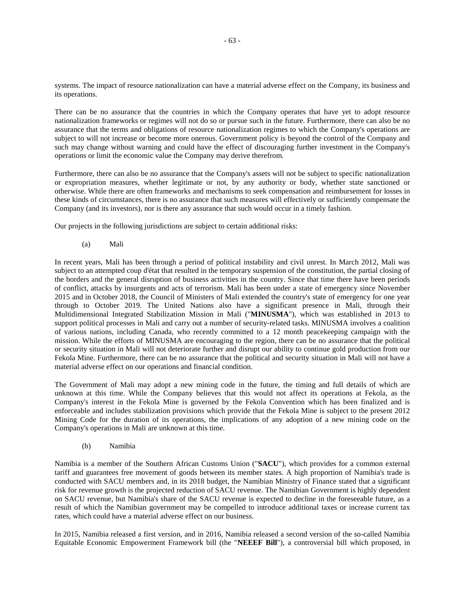systems. The impact of resource nationalization can have a material adverse effect on the Company, its business and its operations.

There can be no assurance that the countries in which the Company operates that have yet to adopt resource nationalization frameworks or regimes will not do so or pursue such in the future. Furthermore, there can also be no assurance that the terms and obligations of resource nationalization regimes to which the Company's operations are subject to will not increase or become more onerous. Government policy is beyond the control of the Company and such may change without warning and could have the effect of discouraging further investment in the Company's operations or limit the economic value the Company may derive therefrom.

Furthermore, there can also be no assurance that the Company's assets will not be subject to specific nationalization or expropriation measures, whether legitimate or not, by any authority or body, whether state sanctioned or otherwise. While there are often frameworks and mechanisms to seek compensation and reimbursement for losses in these kinds of circumstances, there is no assurance that such measures will effectively or sufficiently compensate the Company (and its investors), nor is there any assurance that such would occur in a timely fashion.

Our projects in the following jurisdictions are subject to certain additional risks:

(a) Mali

In recent years, Mali has been through a period of political instability and civil unrest. In March 2012, Mali was subject to an attempted coup d'état that resulted in the temporary suspension of the constitution, the partial closing of the borders and the general disruption of business activities in the country. Since that time there have been periods of conflict, attacks by insurgents and acts of terrorism. Mali has been under a state of emergency since November 2015 and in October 2018, the Council of Ministers of Mali extended the country's state of emergency for one year through to October 2019. The United Nations also have a significant presence in Mali, through their Multidimensional Integrated Stabilization Mission in Mali ("**MINUSMA**"), which was established in 2013 to support political processes in Mali and carry out a number of security-related tasks. MINUSMA involves a coalition of various nations, including Canada, who recently committed to a 12 month peacekeeping campaign with the mission. While the efforts of MINUSMA are encouraging to the region, there can be no assurance that the political or security situation in Mali will not deteriorate further and disrupt our ability to continue gold production from our Fekola Mine. Furthermore, there can be no assurance that the political and security situation in Mali will not have a material adverse effect on our operations and financial condition.

The Government of Mali may adopt a new mining code in the future, the timing and full details of which are unknown at this time. While the Company believes that this would not affect its operations at Fekola, as the Company's interest in the Fekola Mine is governed by the Fekola Convention which has been finalized and is enforceable and includes stabilization provisions which provide that the Fekola Mine is subject to the present 2012 Mining Code for the duration of its operations, the implications of any adoption of a new mining code on the Company's operations in Mali are unknown at this time.

(b) Namibia

Namibia is a member of the Southern African Customs Union ("**SACU**"), which provides for a common external tariff and guarantees free movement of goods between its member states. A high proportion of Namibia's trade is conducted with SACU members and, in its 2018 budget, the Namibian Ministry of Finance stated that a significant risk for revenue growth is the projected reduction of SACU revenue. The Namibian Government is highly dependent on SACU revenue, but Namibia's share of the SACU revenue is expected to decline in the foreseeable future, as a result of which the Namibian government may be compelled to introduce additional taxes or increase current tax rates, which could have a material adverse effect on our business.

In 2015, Namibia released a first version, and in 2016, Namibia released a second version of the so-called Namibia Equitable Economic Empowerment Framework bill (the "**NEEEF Bill**"), a controversial bill which proposed, in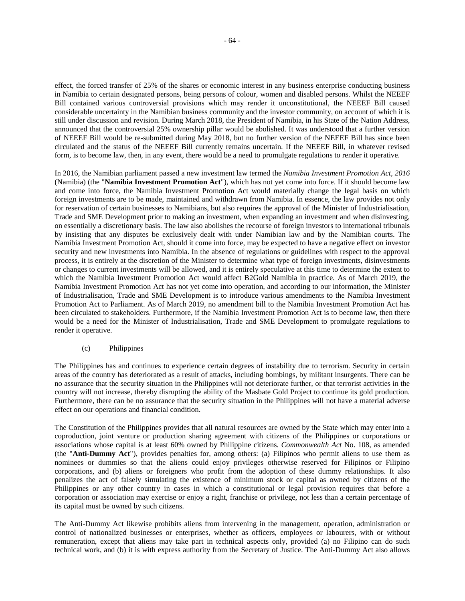effect, the forced transfer of 25% of the shares or economic interest in any business enterprise conducting business in Namibia to certain designated persons, being persons of colour, women and disabled persons. Whilst the NEEEF Bill contained various controversial provisions which may render it unconstitutional, the NEEEF Bill caused considerable uncertainty in the Namibian business community and the investor community, on account of which it is still under discussion and revision. During March 2018, the President of Namibia, in his State of the Nation Address, announced that the controversial 25% ownership pillar would be abolished. It was understood that a further version of NEEEF Bill would be re-submitted during May 2018, but no further version of the NEEEF Bill has since been circulated and the status of the NEEEF Bill currently remains uncertain. If the NEEEF Bill, in whatever revised form, is to become law, then, in any event, there would be a need to promulgate regulations to render it operative.

In 2016, the Namibian parliament passed a new investment law termed the *Namibia Investment Promotion Act, 2016* (Namibia) (the "**Namibia Investment Promotion Act**"), which has not yet come into force. If it should become law and come into force, the Namibia Investment Promotion Act would materially change the legal basis on which foreign investments are to be made, maintained and withdrawn from Namibia. In essence, the law provides not only for reservation of certain businesses to Namibians, but also requires the approval of the Minister of Industrialisation, Trade and SME Development prior to making an investment, when expanding an investment and when disinvesting, on essentially a discretionary basis. The law also abolishes the recourse of foreign investors to international tribunals by insisting that any disputes be exclusively dealt with under Namibian law and by the Namibian courts. The Namibia Investment Promotion Act, should it come into force, may be expected to have a negative effect on investor security and new investments into Namibia. In the absence of regulations or guidelines with respect to the approval process, it is entirely at the discretion of the Minister to determine what type of foreign investments, disinvestments or changes to current investments will be allowed, and it is entirely speculative at this time to determine the extent to which the Namibia Investment Promotion Act would affect B2Gold Namibia in practice. As of March 2019, the Namibia Investment Promotion Act has not yet come into operation, and according to our information, the Minister of Industrialisation, Trade and SME Development is to introduce various amendments to the Namibia Investment Promotion Act to Parliament. As of March 2019, no amendment bill to the Namibia Investment Promotion Act has been circulated to stakeholders. Furthermore, if the Namibia Investment Promotion Act is to become law, then there would be a need for the Minister of Industrialisation, Trade and SME Development to promulgate regulations to render it operative.

## (c) Philippines

The Philippines has and continues to experience certain degrees of instability due to terrorism. Security in certain areas of the country has deteriorated as a result of attacks, including bombings, by militant insurgents. There can be no assurance that the security situation in the Philippines will not deteriorate further, or that terrorist activities in the country will not increase, thereby disrupting the ability of the Masbate Gold Project to continue its gold production. Furthermore, there can be no assurance that the security situation in the Philippines will not have a material adverse effect on our operations and financial condition.

The Constitution of the Philippines provides that all natural resources are owned by the State which may enter into a coproduction, joint venture or production sharing agreement with citizens of the Philippines or corporations or associations whose capital is at least 60% owned by Philippine citizens. *Commonwealth Act* No. 108, as amended (the "**Anti-Dummy Act**"), provides penalties for, among others: (a) Filipinos who permit aliens to use them as nominees or dummies so that the aliens could enjoy privileges otherwise reserved for Filipinos or Filipino corporations, and (b) aliens or foreigners who profit from the adoption of these dummy relationships. It also penalizes the act of falsely simulating the existence of minimum stock or capital as owned by citizens of the Philippines or any other country in cases in which a constitutional or legal provision requires that before a corporation or association may exercise or enjoy a right, franchise or privilege, not less than a certain percentage of its capital must be owned by such citizens.

The Anti-Dummy Act likewise prohibits aliens from intervening in the management, operation, administration or control of nationalized businesses or enterprises, whether as officers, employees or labourers, with or without remuneration, except that aliens may take part in technical aspects only, provided (a) no Filipino can do such technical work, and (b) it is with express authority from the Secretary of Justice. The Anti-Dummy Act also allows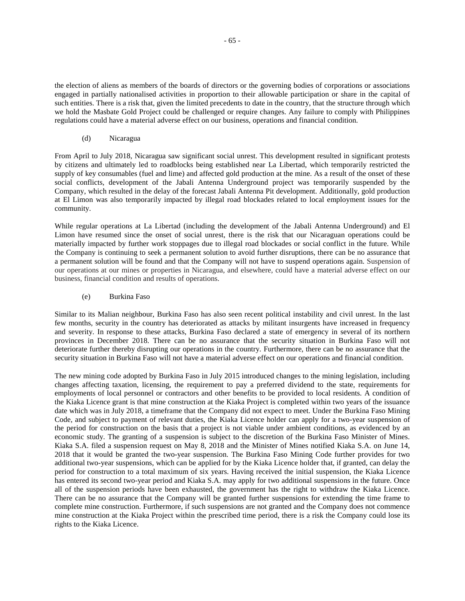the election of aliens as members of the boards of directors or the governing bodies of corporations or associations engaged in partially nationalised activities in proportion to their allowable participation or share in the capital of such entities. There is a risk that, given the limited precedents to date in the country, that the structure through which we hold the Masbate Gold Project could be challenged or require changes. Any failure to comply with Philippines regulations could have a material adverse effect on our business, operations and financial condition.

(d) Nicaragua

From April to July 2018, Nicaragua saw significant social unrest. This development resulted in significant protests by citizens and ultimately led to roadblocks being established near La Libertad, which temporarily restricted the supply of key consumables (fuel and lime) and affected gold production at the mine. As a result of the onset of these social conflicts, development of the Jabali Antenna Underground project was temporarily suspended by the Company, which resulted in the delay of the forecast Jabali Antenna Pit development. Additionally, gold production at El Limon was also temporarily impacted by illegal road blockades related to local employment issues for the community.

While regular operations at La Libertad (including the development of the Jabali Antenna Underground) and El Limon have resumed since the onset of social unrest, there is the risk that our Nicaraguan operations could be materially impacted by further work stoppages due to illegal road blockades or social conflict in the future. While the Company is continuing to seek a permanent solution to avoid further disruptions, there can be no assurance that a permanent solution will be found and that the Company will not have to suspend operations again. Suspension of our operations at our mines or properties in Nicaragua, and elsewhere, could have a material adverse effect on our business, financial condition and results of operations.

(e) Burkina Faso

Similar to its Malian neighbour, Burkina Faso has also seen recent political instability and civil unrest. In the last few months, security in the country has deteriorated as attacks by militant insurgents have increased in frequency and severity. In response to these attacks, Burkina Faso declared a state of emergency in several of its northern provinces in December 2018. There can be no assurance that the security situation in Burkina Faso will not deteriorate further thereby disrupting our operations in the country. Furthermore, there can be no assurance that the security situation in Burkina Faso will not have a material adverse effect on our operations and financial condition.

The new mining code adopted by Burkina Faso in July 2015 introduced changes to the mining legislation, including changes affecting taxation, licensing, the requirement to pay a preferred dividend to the state, requirements for employments of local personnel or contractors and other benefits to be provided to local residents. A condition of the Kiaka Licence grant is that mine construction at the Kiaka Project is completed within two years of the issuance date which was in July 2018, a timeframe that the Company did not expect to meet. Under the Burkina Faso Mining Code, and subject to payment of relevant duties, the Kiaka Licence holder can apply for a two-year suspension of the period for construction on the basis that a project is not viable under ambient conditions, as evidenced by an economic study. The granting of a suspension is subject to the discretion of the Burkina Faso Minister of Mines. Kiaka S.A. filed a suspension request on May 8, 2018 and the Minister of Mines notified Kiaka S.A. on June 14, 2018 that it would be granted the two-year suspension. The Burkina Faso Mining Code further provides for two additional two-year suspensions, which can be applied for by the Kiaka Licence holder that, if granted, can delay the period for construction to a total maximum of six years. Having received the initial suspension, the Kiaka Licence has entered its second two-year period and Kiaka S.A. may apply for two additional suspensions in the future. Once all of the suspension periods have been exhausted, the government has the right to withdraw the Kiaka Licence. There can be no assurance that the Company will be granted further suspensions for extending the time frame to complete mine construction. Furthermore, if such suspensions are not granted and the Company does not commence mine construction at the Kiaka Project within the prescribed time period, there is a risk the Company could lose its rights to the Kiaka Licence.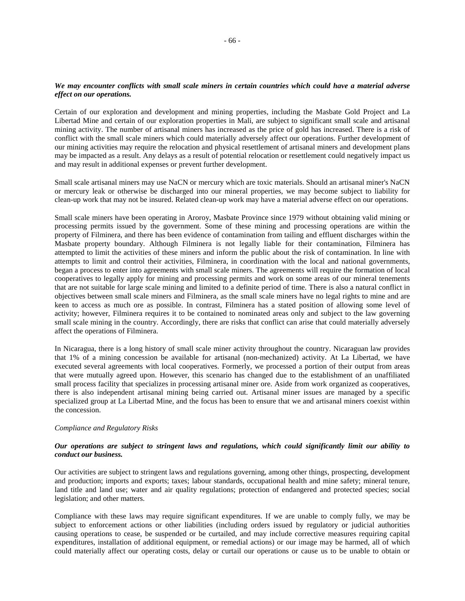# *We may encounter conflicts with small scale miners in certain countries which could have a material adverse effect on our operations.*

Certain of our exploration and development and mining properties, including the Masbate Gold Project and La Libertad Mine and certain of our exploration properties in Mali, are subject to significant small scale and artisanal mining activity. The number of artisanal miners has increased as the price of gold has increased. There is a risk of conflict with the small scale miners which could materially adversely affect our operations. Further development of our mining activities may require the relocation and physical resettlement of artisanal miners and development plans may be impacted as a result. Any delays as a result of potential relocation or resettlement could negatively impact us and may result in additional expenses or prevent further development.

Small scale artisanal miners may use NaCN or mercury which are toxic materials. Should an artisanal miner's NaCN or mercury leak or otherwise be discharged into our mineral properties, we may become subject to liability for clean-up work that may not be insured. Related clean-up work may have a material adverse effect on our operations.

Small scale miners have been operating in Aroroy, Masbate Province since 1979 without obtaining valid mining or processing permits issued by the government. Some of these mining and processing operations are within the property of Filminera, and there has been evidence of contamination from tailing and effluent discharges within the Masbate property boundary. Although Filminera is not legally liable for their contamination, Filminera has attempted to limit the activities of these miners and inform the public about the risk of contamination. In line with attempts to limit and control their activities, Filminera, in coordination with the local and national governments, began a process to enter into agreements with small scale miners. The agreements will require the formation of local cooperatives to legally apply for mining and processing permits and work on some areas of our mineral tenements that are not suitable for large scale mining and limited to a definite period of time. There is also a natural conflict in objectives between small scale miners and Filminera, as the small scale miners have no legal rights to mine and are keen to access as much ore as possible. In contrast, Filminera has a stated position of allowing some level of activity; however, Filminera requires it to be contained to nominated areas only and subject to the law governing small scale mining in the country. Accordingly, there are risks that conflict can arise that could materially adversely affect the operations of Filminera.

In Nicaragua, there is a long history of small scale miner activity throughout the country. Nicaraguan law provides that 1% of a mining concession be available for artisanal (non-mechanized) activity. At La Libertad, we have executed several agreements with local cooperatives. Formerly, we processed a portion of their output from areas that were mutually agreed upon. However, this scenario has changed due to the establishment of an unaffiliated small process facility that specializes in processing artisanal miner ore. Aside from work organized as cooperatives, there is also independent artisanal mining being carried out. Artisanal miner issues are managed by a specific specialized group at La Libertad Mine, and the focus has been to ensure that we and artisanal miners coexist within the concession.

### *Compliance and Regulatory Risks*

# *Our operations are subject to stringent laws and regulations, which could significantly limit our ability to conduct our business.*

Our activities are subject to stringent laws and regulations governing, among other things, prospecting, development and production; imports and exports; taxes; labour standards, occupational health and mine safety; mineral tenure, land title and land use; water and air quality regulations; protection of endangered and protected species; social legislation; and other matters.

Compliance with these laws may require significant expenditures. If we are unable to comply fully, we may be subject to enforcement actions or other liabilities (including orders issued by regulatory or judicial authorities causing operations to cease, be suspended or be curtailed, and may include corrective measures requiring capital expenditures, installation of additional equipment, or remedial actions) or our image may be harmed, all of which could materially affect our operating costs, delay or curtail our operations or cause us to be unable to obtain or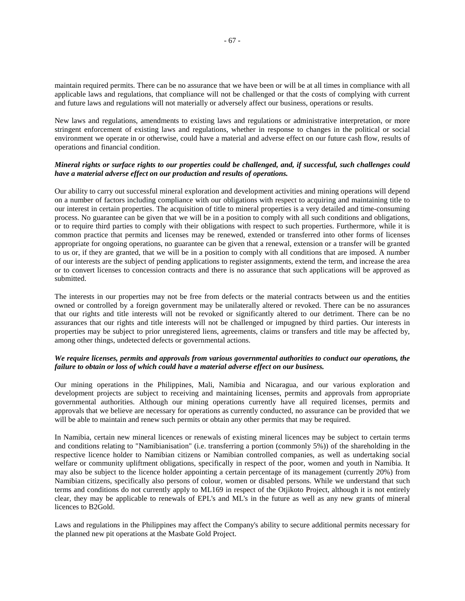maintain required permits. There can be no assurance that we have been or will be at all times in compliance with all applicable laws and regulations, that compliance will not be challenged or that the costs of complying with current and future laws and regulations will not materially or adversely affect our business, operations or results.

New laws and regulations, amendments to existing laws and regulations or administrative interpretation, or more stringent enforcement of existing laws and regulations, whether in response to changes in the political or social environment we operate in or otherwise, could have a material and adverse effect on our future cash flow, results of operations and financial condition.

# *Mineral rights or surface rights to our properties could be challenged, and, if successful, such challenges could have a material adverse effect on our production and results of operations.*

Our ability to carry out successful mineral exploration and development activities and mining operations will depend on a number of factors including compliance with our obligations with respect to acquiring and maintaining title to our interest in certain properties. The acquisition of title to mineral properties is a very detailed and time-consuming process. No guarantee can be given that we will be in a position to comply with all such conditions and obligations, or to require third parties to comply with their obligations with respect to such properties. Furthermore, while it is common practice that permits and licenses may be renewed, extended or transferred into other forms of licenses appropriate for ongoing operations, no guarantee can be given that a renewal, extension or a transfer will be granted to us or, if they are granted, that we will be in a position to comply with all conditions that are imposed. A number of our interests are the subject of pending applications to register assignments, extend the term, and increase the area or to convert licenses to concession contracts and there is no assurance that such applications will be approved as submitted.

The interests in our properties may not be free from defects or the material contracts between us and the entities owned or controlled by a foreign government may be unilaterally altered or revoked. There can be no assurances that our rights and title interests will not be revoked or significantly altered to our detriment. There can be no assurances that our rights and title interests will not be challenged or impugned by third parties. Our interests in properties may be subject to prior unregistered liens, agreements, claims or transfers and title may be affected by, among other things, undetected defects or governmental actions.

# *We require licenses, permits and approvals from various governmental authorities to conduct our operations, the failure to obtain or loss of which could have a material adverse effect on our business.*

Our mining operations in the Philippines, Mali, Namibia and Nicaragua, and our various exploration and development projects are subject to receiving and maintaining licenses, permits and approvals from appropriate governmental authorities. Although our mining operations currently have all required licenses, permits and approvals that we believe are necessary for operations as currently conducted, no assurance can be provided that we will be able to maintain and renew such permits or obtain any other permits that may be required.

In Namibia, certain new mineral licences or renewals of existing mineral licences may be subject to certain terms and conditions relating to "Namibianisation" (i.e. transferring a portion (commonly 5%)) of the shareholding in the respective licence holder to Namibian citizens or Namibian controlled companies, as well as undertaking social welfare or community upliftment obligations, specifically in respect of the poor, women and youth in Namibia. It may also be subject to the licence holder appointing a certain percentage of its management (currently 20%) from Namibian citizens, specifically also persons of colour, women or disabled persons. While we understand that such terms and conditions do not currently apply to ML169 in respect of the Otjikoto Project, although it is not entirely clear, they may be applicable to renewals of EPL's and ML's in the future as well as any new grants of mineral licences to B2Gold.

Laws and regulations in the Philippines may affect the Company's ability to secure additional permits necessary for the planned new pit operations at the Masbate Gold Project.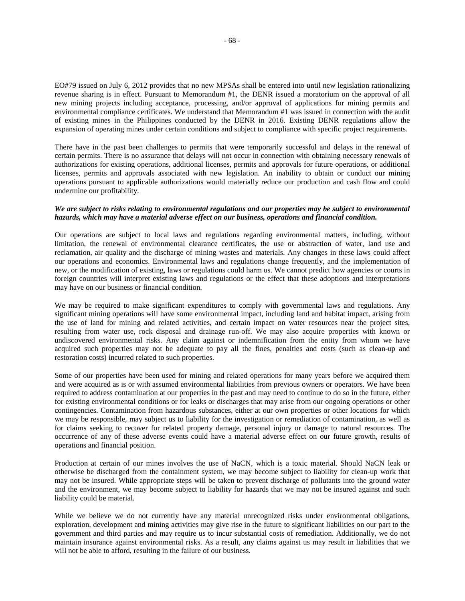EO#79 issued on July 6, 2012 provides that no new MPSAs shall be entered into until new legislation rationalizing revenue sharing is in effect. Pursuant to Memorandum #1, the DENR issued a moratorium on the approval of all new mining projects including acceptance, processing, and/or approval of applications for mining permits and environmental compliance certificates. We understand that Memorandum #1 was issued in connection with the audit of existing mines in the Philippines conducted by the DENR in 2016. Existing DENR regulations allow the expansion of operating mines under certain conditions and subject to compliance with specific project requirements.

There have in the past been challenges to permits that were temporarily successful and delays in the renewal of certain permits. There is no assurance that delays will not occur in connection with obtaining necessary renewals of authorizations for existing operations, additional licenses, permits and approvals for future operations, or additional licenses, permits and approvals associated with new legislation. An inability to obtain or conduct our mining operations pursuant to applicable authorizations would materially reduce our production and cash flow and could undermine our profitability.

# *We are subject to risks relating to environmental regulations and our properties may be subject to environmental hazards, which may have a material adverse effect on our business, operations and financial condition.*

Our operations are subject to local laws and regulations regarding environmental matters, including, without limitation, the renewal of environmental clearance certificates, the use or abstraction of water, land use and reclamation, air quality and the discharge of mining wastes and materials. Any changes in these laws could affect our operations and economics. Environmental laws and regulations change frequently, and the implementation of new, or the modification of existing, laws or regulations could harm us. We cannot predict how agencies or courts in foreign countries will interpret existing laws and regulations or the effect that these adoptions and interpretations may have on our business or financial condition.

We may be required to make significant expenditures to comply with governmental laws and regulations. Any significant mining operations will have some environmental impact, including land and habitat impact, arising from the use of land for mining and related activities, and certain impact on water resources near the project sites, resulting from water use, rock disposal and drainage run-off. We may also acquire properties with known or undiscovered environmental risks. Any claim against or indemnification from the entity from whom we have acquired such properties may not be adequate to pay all the fines, penalties and costs (such as clean-up and restoration costs) incurred related to such properties.

Some of our properties have been used for mining and related operations for many years before we acquired them and were acquired as is or with assumed environmental liabilities from previous owners or operators. We have been required to address contamination at our properties in the past and may need to continue to do so in the future, either for existing environmental conditions or for leaks or discharges that may arise from our ongoing operations or other contingencies. Contamination from hazardous substances, either at our own properties or other locations for which we may be responsible, may subject us to liability for the investigation or remediation of contamination, as well as for claims seeking to recover for related property damage, personal injury or damage to natural resources. The occurrence of any of these adverse events could have a material adverse effect on our future growth, results of operations and financial position.

Production at certain of our mines involves the use of NaCN, which is a toxic material. Should NaCN leak or otherwise be discharged from the containment system, we may become subject to liability for clean-up work that may not be insured. While appropriate steps will be taken to prevent discharge of pollutants into the ground water and the environment, we may become subject to liability for hazards that we may not be insured against and such liability could be material.

While we believe we do not currently have any material unrecognized risks under environmental obligations, exploration, development and mining activities may give rise in the future to significant liabilities on our part to the government and third parties and may require us to incur substantial costs of remediation. Additionally, we do not maintain insurance against environmental risks. As a result, any claims against us may result in liabilities that we will not be able to afford, resulting in the failure of our business.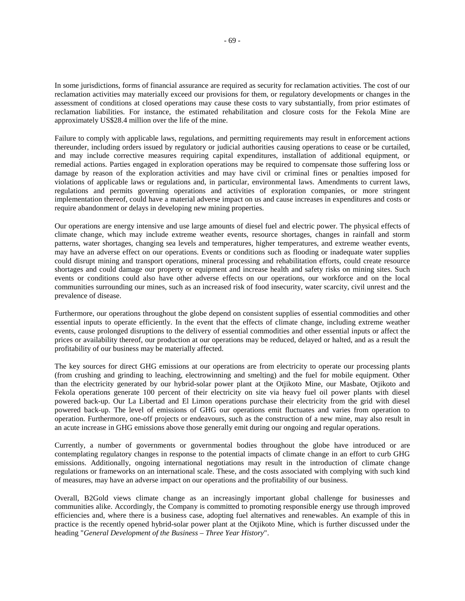In some jurisdictions, forms of financial assurance are required as security for reclamation activities. The cost of our reclamation activities may materially exceed our provisions for them, or regulatory developments or changes in the assessment of conditions at closed operations may cause these costs to vary substantially, from prior estimates of reclamation liabilities. For instance, the estimated rehabilitation and closure costs for the Fekola Mine are approximately US\$28.4 million over the life of the mine.

Failure to comply with applicable laws, regulations, and permitting requirements may result in enforcement actions thereunder, including orders issued by regulatory or judicial authorities causing operations to cease or be curtailed, and may include corrective measures requiring capital expenditures, installation of additional equipment, or remedial actions. Parties engaged in exploration operations may be required to compensate those suffering loss or damage by reason of the exploration activities and may have civil or criminal fines or penalties imposed for violations of applicable laws or regulations and, in particular, environmental laws. Amendments to current laws, regulations and permits governing operations and activities of exploration companies, or more stringent implementation thereof, could have a material adverse impact on us and cause increases in expenditures and costs or require abandonment or delays in developing new mining properties.

Our operations are energy intensive and use large amounts of diesel fuel and electric power. The physical effects of climate change, which may include extreme weather events, resource shortages, changes in rainfall and storm patterns, water shortages, changing sea levels and temperatures, higher temperatures, and extreme weather events, may have an adverse effect on our operations. Events or conditions such as flooding or inadequate water supplies could disrupt mining and transport operations, mineral processing and rehabilitation efforts, could create resource shortages and could damage our property or equipment and increase health and safety risks on mining sites. Such events or conditions could also have other adverse effects on our operations, our workforce and on the local communities surrounding our mines, such as an increased risk of food insecurity, water scarcity, civil unrest and the prevalence of disease.

Furthermore, our operations throughout the globe depend on consistent supplies of essential commodities and other essential inputs to operate efficiently. In the event that the effects of climate change, including extreme weather events, cause prolonged disruptions to the delivery of essential commodities and other essential inputs or affect the prices or availability thereof, our production at our operations may be reduced, delayed or halted, and as a result the profitability of our business may be materially affected.

The key sources for direct GHG emissions at our operations are from electricity to operate our processing plants (from crushing and grinding to leaching, electrowinning and smelting) and the fuel for mobile equipment. Other than the electricity generated by our hybrid-solar power plant at the Otjikoto Mine, our Masbate, Otjikoto and Fekola operations generate 100 percent of their electricity on site via heavy fuel oil power plants with diesel powered back-up. Our La Libertad and El Limon operations purchase their electricity from the grid with diesel powered back-up. The level of emissions of GHG our operations emit fluctuates and varies from operation to operation. Furthermore, one-off projects or endeavours, such as the construction of a new mine, may also result in an acute increase in GHG emissions above those generally emit during our ongoing and regular operations.

Currently, a number of governments or governmental bodies throughout the globe have introduced or are contemplating regulatory changes in response to the potential impacts of climate change in an effort to curb GHG emissions. Additionally, ongoing international negotiations may result in the introduction of climate change regulations or frameworks on an international scale. These, and the costs associated with complying with such kind of measures, may have an adverse impact on our operations and the profitability of our business.

Overall, B2Gold views climate change as an increasingly important global challenge for businesses and communities alike. Accordingly, the Company is committed to promoting responsible energy use through improved efficiencies and, where there is a business case, adopting fuel alternatives and renewables. An example of this in practice is the recently opened hybrid-solar power plant at the Otjikoto Mine, which is further discussed under the heading "*General Development of the Business – Three Year History*".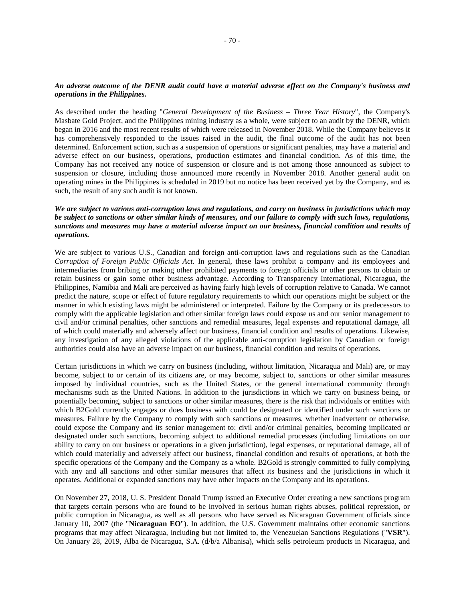### *An adverse outcome of the DENR audit could have a material adverse effect on the Company's business and operations in the Philippines.*

As described under the heading "*General Development of the Business – Three Year History*", the Company's Masbate Gold Project, and the Philippines mining industry as a whole, were subject to an audit by the DENR, which began in 2016 and the most recent results of which were released in November 2018. While the Company believes it has comprehensively responded to the issues raised in the audit, the final outcome of the audit has not been determined. Enforcement action, such as a suspension of operations or significant penalties, may have a material and adverse effect on our business, operations, production estimates and financial condition. As of this time, the Company has not received any notice of suspension or closure and is not among those announced as subject to suspension or closure, including those announced more recently in November 2018. Another general audit on operating mines in the Philippines is scheduled in 2019 but no notice has been received yet by the Company, and as such, the result of any such audit is not known.

# *We are subject to various anti-corruption laws and regulations, and carry on business in jurisdictions which may be subject to sanctions or other similar kinds of measures, and our failure to comply with such laws, regulations, sanctions and measures may have a material adverse impact on our business, financial condition and results of operations.*

We are subject to various U.S., Canadian and foreign anti-corruption laws and regulations such as the Canadian *Corruption of Foreign Public Officials Act*. In general, these laws prohibit a company and its employees and intermediaries from bribing or making other prohibited payments to foreign officials or other persons to obtain or retain business or gain some other business advantage. According to Transparency International, Nicaragua, the Philippines, Namibia and Mali are perceived as having fairly high levels of corruption relative to Canada. We cannot predict the nature, scope or effect of future regulatory requirements to which our operations might be subject or the manner in which existing laws might be administered or interpreted. Failure by the Company or its predecessors to comply with the applicable legislation and other similar foreign laws could expose us and our senior management to civil and/or criminal penalties, other sanctions and remedial measures, legal expenses and reputational damage, all of which could materially and adversely affect our business, financial condition and results of operations. Likewise, any investigation of any alleged violations of the applicable anti-corruption legislation by Canadian or foreign authorities could also have an adverse impact on our business, financial condition and results of operations.

Certain jurisdictions in which we carry on business (including, without limitation, Nicaragua and Mali) are, or may become, subject to or certain of its citizens are, or may become, subject to, sanctions or other similar measures imposed by individual countries, such as the United States, or the general international community through mechanisms such as the United Nations. In addition to the jurisdictions in which we carry on business being, or potentially becoming, subject to sanctions or other similar measures, there is the risk that individuals or entities with which B2Gold currently engages or does business with could be designated or identified under such sanctions or measures. Failure by the Company to comply with such sanctions or measures, whether inadvertent or otherwise, could expose the Company and its senior management to: civil and/or criminal penalties, becoming implicated or designated under such sanctions, becoming subject to additional remedial processes (including limitations on our ability to carry on our business or operations in a given jurisdiction), legal expenses, or reputational damage, all of which could materially and adversely affect our business, financial condition and results of operations, at both the specific operations of the Company and the Company as a whole. B2Gold is strongly committed to fully complying with any and all sanctions and other similar measures that affect its business and the jurisdictions in which it operates. Additional or expanded sanctions may have other impacts on the Company and its operations.

On November 27, 2018, U. S. President Donald Trump issued an Executive Order creating a new sanctions program that targets certain persons who are found to be involved in serious human rights abuses, political repression, or public corruption in Nicaragua, as well as all persons who have served as Nicaraguan Government officials since January 10, 2007 (the "**Nicaraguan EO**"). In addition, the U.S. Government maintains other economic sanctions programs that may affect Nicaragua, including but not limited to, the Venezuelan Sanctions Regulations ("**VSR**"). On January 28, 2019, Alba de Nicaragua, S.A. (d/b/a Albanisa), which sells petroleum products in Nicaragua, and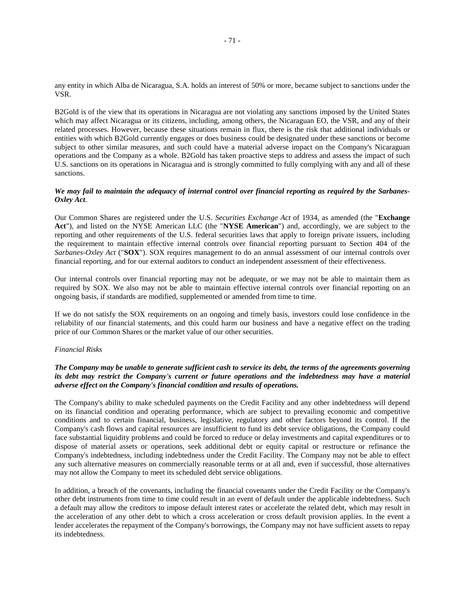any entity in which Alba de Nicaragua, S.A. holds an interest of 50% or more, became subject to sanctions under the VSR.

B2Gold is of the view that its operations in Nicaragua are not violating any sanctions imposed by the United States which may affect Nicaragua or its citizens, including, among others, the Nicaraguan EO, the VSR, and any of their related processes. However, because these situations remain in flux, there is the risk that additional individuals or entities with which B2Gold currently engages or does business could be designated under these sanctions or become subject to other similar measures, and such could have a material adverse impact on the Company's Nicaraguan operations and the Company as a whole. B2Gold has taken proactive steps to address and assess the impact of such U.S. sanctions on its operations in Nicaragua and is strongly committed to fully complying with any and all of these sanctions.

### *We may fail to maintain the adequacy of internal control over financial reporting as required by the Sarbanes-Oxley Act*.

Our Common Shares are registered under the U.S. *Securities Exchange Act* of 1934, as amended (the "**Exchange Act**"), and listed on the NYSE American LLC (the "**NYSE American**") and, accordingly, we are subject to the reporting and other requirements of the U.S. federal securities laws that apply to foreign private issuers, including the requirement to maintain effective internal controls over financial reporting pursuant to Section 404 of the *Sarbanes-Oxley Act* ("**SOX**"). SOX requires management to do an annual assessment of our internal controls over financial reporting, and for our external auditors to conduct an independent assessment of their effectiveness.

Our internal controls over financial reporting may not be adequate, or we may not be able to maintain them as required by SOX. We also may not be able to maintain effective internal controls over financial reporting on an ongoing basis, if standards are modified, supplemented or amended from time to time.

If we do not satisfy the SOX requirements on an ongoing and timely basis, investors could lose confidence in the reliability of our financial statements, and this could harm our business and have a negative effect on the trading price of our Common Shares or the market value of our other securities.

### *Financial Risks*

# *The Company may be unable to generate sufficient cash to service its debt, the terms of the agreements governing its debt may restrict the Company's current or future operations and the indebtedness may have a material adverse effect on the Company's financial condition and results of operations.*

The Company's ability to make scheduled payments on the Credit Facility and any other indebtedness will depend on its financial condition and operating performance, which are subject to prevailing economic and competitive conditions and to certain financial, business, legislative, regulatory and other factors beyond its control. If the Company's cash flows and capital resources are insufficient to fund its debt service obligations, the Company could face substantial liquidity problems and could be forced to reduce or delay investments and capital expenditures or to dispose of material assets or operations, seek additional debt or equity capital or restructure or refinance the Company's indebtedness, including indebtedness under the Credit Facility. The Company may not be able to effect any such alternative measures on commercially reasonable terms or at all and, even if successful, those alternatives may not allow the Company to meet its scheduled debt service obligations.

In addition, a breach of the covenants, including the financial covenants under the Credit Facility or the Company's other debt instruments from time to time could result in an event of default under the applicable indebtedness. Such a default may allow the creditors to impose default interest rates or accelerate the related debt, which may result in the acceleration of any other debt to which a cross acceleration or cross default provision applies. In the event a lender accelerates the repayment of the Company's borrowings, the Company may not have sufficient assets to repay its indebtedness.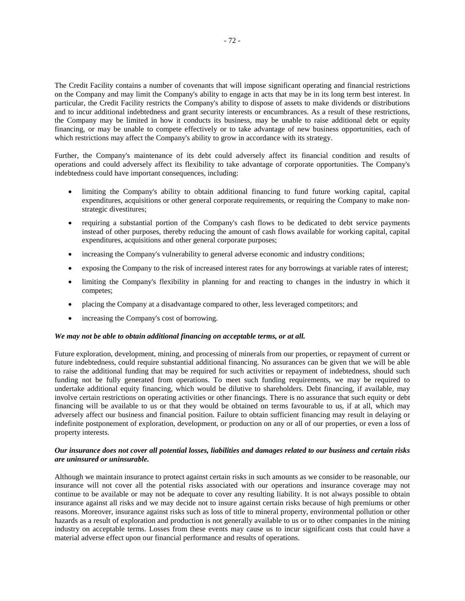The Credit Facility contains a number of covenants that will impose significant operating and financial restrictions on the Company and may limit the Company's ability to engage in acts that may be in its long term best interest. In particular, the Credit Facility restricts the Company's ability to dispose of assets to make dividends or distributions and to incur additional indebtedness and grant security interests or encumbrances. As a result of these restrictions, the Company may be limited in how it conducts its business, may be unable to raise additional debt or equity financing, or may be unable to compete effectively or to take advantage of new business opportunities, each of which restrictions may affect the Company's ability to grow in accordance with its strategy.

Further, the Company's maintenance of its debt could adversely affect its financial condition and results of operations and could adversely affect its flexibility to take advantage of corporate opportunities. The Company's indebtedness could have important consequences, including:

- limiting the Company's ability to obtain additional financing to fund future working capital, capital expenditures, acquisitions or other general corporate requirements, or requiring the Company to make nonstrategic divestitures;
- requiring a substantial portion of the Company's cash flows to be dedicated to debt service payments instead of other purposes, thereby reducing the amount of cash flows available for working capital, capital expenditures, acquisitions and other general corporate purposes;
- increasing the Company's vulnerability to general adverse economic and industry conditions;
- exposing the Company to the risk of increased interest rates for any borrowings at variable rates of interest;
- limiting the Company's flexibility in planning for and reacting to changes in the industry in which it competes;
- placing the Company at a disadvantage compared to other, less leveraged competitors; and
- increasing the Company's cost of borrowing.

### *We may not be able to obtain additional financing on acceptable terms, or at all.*

Future exploration, development, mining, and processing of minerals from our properties, or repayment of current or future indebtedness, could require substantial additional financing. No assurances can be given that we will be able to raise the additional funding that may be required for such activities or repayment of indebtedness, should such funding not be fully generated from operations. To meet such funding requirements, we may be required to undertake additional equity financing, which would be dilutive to shareholders. Debt financing, if available, may involve certain restrictions on operating activities or other financings. There is no assurance that such equity or debt financing will be available to us or that they would be obtained on terms favourable to us, if at all, which may adversely affect our business and financial position. Failure to obtain sufficient financing may result in delaying or indefinite postponement of exploration, development, or production on any or all of our properties, or even a loss of property interests.

## *Our insurance does not cover all potential losses, liabilities and damages related to our business and certain risks are uninsured or uninsurable.*

Although we maintain insurance to protect against certain risks in such amounts as we consider to be reasonable, our insurance will not cover all the potential risks associated with our operations and insurance coverage may not continue to be available or may not be adequate to cover any resulting liability. It is not always possible to obtain insurance against all risks and we may decide not to insure against certain risks because of high premiums or other reasons. Moreover, insurance against risks such as loss of title to mineral property, environmental pollution or other hazards as a result of exploration and production is not generally available to us or to other companies in the mining industry on acceptable terms. Losses from these events may cause us to incur significant costs that could have a material adverse effect upon our financial performance and results of operations.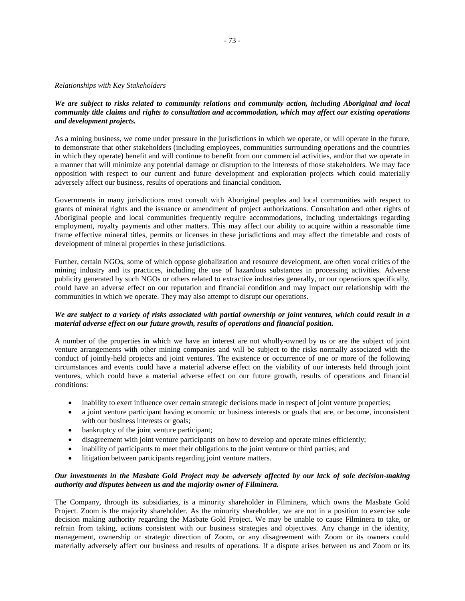#### *Relationships with Key Stakeholders*

# *We are subject to risks related to community relations and community action, including Aboriginal and local community title claims and rights to consultation and accommodation, which may affect our existing operations and development projects.*

As a mining business, we come under pressure in the jurisdictions in which we operate, or will operate in the future, to demonstrate that other stakeholders (including employees, communities surrounding operations and the countries in which they operate) benefit and will continue to benefit from our commercial activities, and/or that we operate in a manner that will minimize any potential damage or disruption to the interests of those stakeholders. We may face opposition with respect to our current and future development and exploration projects which could materially adversely affect our business, results of operations and financial condition.

Governments in many jurisdictions must consult with Aboriginal peoples and local communities with respect to grants of mineral rights and the issuance or amendment of project authorizations. Consultation and other rights of Aboriginal people and local communities frequently require accommodations, including undertakings regarding employment, royalty payments and other matters. This may affect our ability to acquire within a reasonable time frame effective mineral titles, permits or licenses in these jurisdictions and may affect the timetable and costs of development of mineral properties in these jurisdictions.

Further, certain NGOs, some of which oppose globalization and resource development, are often vocal critics of the mining industry and its practices, including the use of hazardous substances in processing activities. Adverse publicity generated by such NGOs or others related to extractive industries generally, or our operations specifically, could have an adverse effect on our reputation and financial condition and may impact our relationship with the communities in which we operate. They may also attempt to disrupt our operations.

## *We are subject to a variety of risks associated with partial ownership or joint ventures, which could result in a material adverse effect on our future growth, results of operations and financial position.*

A number of the properties in which we have an interest are not wholly-owned by us or are the subject of joint venture arrangements with other mining companies and will be subject to the risks normally associated with the conduct of jointly-held projects and joint ventures. The existence or occurrence of one or more of the following circumstances and events could have a material adverse effect on the viability of our interests held through joint ventures, which could have a material adverse effect on our future growth, results of operations and financial conditions:

- inability to exert influence over certain strategic decisions made in respect of joint venture properties;
- a joint venture participant having economic or business interests or goals that are, or become, inconsistent with our business interests or goals;
- bankruptcy of the joint venture participant;
- disagreement with joint venture participants on how to develop and operate mines efficiently;
- inability of participants to meet their obligations to the joint venture or third parties; and
- litigation between participants regarding joint venture matters.

## *Our investments in the Masbate Gold Project may be adversely affected by our lack of sole decision-making authority and disputes between us and the majority owner of Filminera.*

The Company, through its subsidiaries, is a minority shareholder in Filminera, which owns the Masbate Gold Project. Zoom is the majority shareholder. As the minority shareholder, we are not in a position to exercise sole decision making authority regarding the Masbate Gold Project. We may be unable to cause Filminera to take, or refrain from taking, actions consistent with our business strategies and objectives. Any change in the identity, management, ownership or strategic direction of Zoom, or any disagreement with Zoom or its owners could materially adversely affect our business and results of operations. If a dispute arises between us and Zoom or its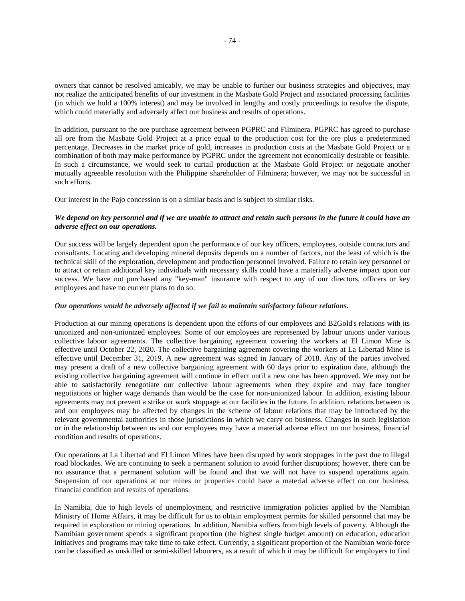owners that cannot be resolved amicably, we may be unable to further our business strategies and objectives, may not realize the anticipated benefits of our investment in the Masbate Gold Project and associated processing facilities (in which we hold a 100% interest) and may be involved in lengthy and costly proceedings to resolve the dispute, which could materially and adversely affect our business and results of operations.

In addition, pursuant to the ore purchase agreement between PGPRC and Filminera, PGPRC has agreed to purchase all ore from the Masbate Gold Project at a price equal to the production cost for the ore plus a predetermined percentage. Decreases in the market price of gold, increases in production costs at the Masbate Gold Project or a combination of both may make performance by PGPRC under the agreement not economically desirable or feasible. In such a circumstance, we would seek to curtail production at the Masbate Gold Project or negotiate another mutually agreeable resolution with the Philippine shareholder of Filminera; however, we may not be successful in such efforts.

Our interest in the Pajo concession is on a similar basis and is subject to similar risks.

## *We depend on key personnel and if we are unable to attract and retain such persons in the future it could have an adverse effect on our operations.*

Our success will be largely dependent upon the performance of our key officers, employees, outside contractors and consultants. Locating and developing mineral deposits depends on a number of factors, not the least of which is the technical skill of the exploration, development and production personnel involved. Failure to retain key personnel or to attract or retain additional key individuals with necessary skills could have a materially adverse impact upon our success. We have not purchased any "key-man" insurance with respect to any of our directors, officers or key employees and have no current plans to do so.

### *Our operations would be adversely affected if we fail to maintain satisfactory labour relations.*

Production at our mining operations is dependent upon the efforts of our employees and B2Gold's relations with its unionized and non-unionized employees. Some of our employees are represented by labour unions under various collective labour agreements. The collective bargaining agreement covering the workers at El Limon Mine is effective until October 22, 2020. The collective bargaining agreement covering the workers at La Libertad Mine is effective until December 31, 2019. A new agreement was signed in January of 2018. Any of the parties involved may present a draft of a new collective bargaining agreement with 60 days prior to expiration date, although the existing collective bargaining agreement will continue in effect until a new one has been approved. We may not be able to satisfactorily renegotiate our collective labour agreements when they expire and may face tougher negotiations or higher wage demands than would be the case for non-unionized labour. In addition, existing labour agreements may not prevent a strike or work stoppage at our facilities in the future. In addition, relations between us and our employees may be affected by changes in the scheme of labour relations that may be introduced by the relevant governmental authorities in those jurisdictions in which we carry on business. Changes in such legislation or in the relationship between us and our employees may have a material adverse effect on our business, financial condition and results of operations.

Our operations at La Libertad and El Limon Mines have been disrupted by work stoppages in the past due to illegal road blockades. We are continuing to seek a permanent solution to avoid further disruptions; however, there can be no assurance that a permanent solution will be found and that we will not have to suspend operations again. Suspension of our operations at our mines or properties could have a material adverse effect on our business, financial condition and results of operations.

In Namibia, due to high levels of unemployment, and restrictive immigration policies applied by the Namibian Ministry of Home Affairs, it may be difficult for us to obtain employment permits for skilled personnel that may be required in exploration or mining operations. In addition, Namibia suffers from high levels of poverty. Although the Namibian government spends a significant proportion (the highest single budget amount) on education, education initiatives and programs may take time to take effect. Currently, a significant proportion of the Namibian work-force can be classified as unskilled or semi-skilled labourers, as a result of which it may be difficult for employers to find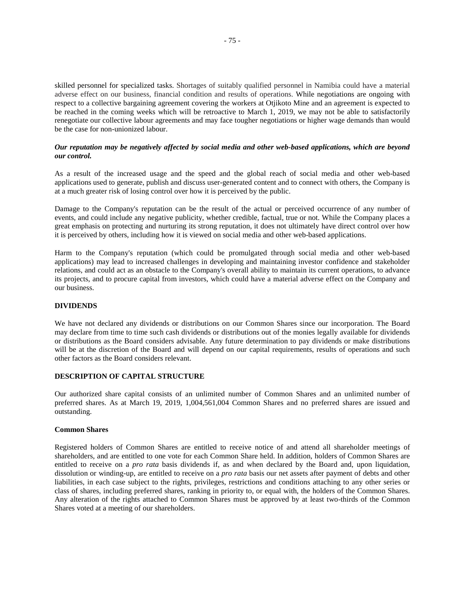skilled personnel for specialized tasks. Shortages of suitably qualified personnel in Namibia could have a material adverse effect on our business, financial condition and results of operations. While negotiations are ongoing with respect to a collective bargaining agreement covering the workers at Otjikoto Mine and an agreement is expected to be reached in the coming weeks which will be retroactive to March 1, 2019, we may not be able to satisfactorily renegotiate our collective labour agreements and may face tougher negotiations or higher wage demands than would be the case for non-unionized labour.

## *Our reputation may be negatively affected by social media and other web-based applications, which are beyond our control.*

As a result of the increased usage and the speed and the global reach of social media and other web-based applications used to generate, publish and discuss user-generated content and to connect with others, the Company is at a much greater risk of losing control over how it is perceived by the public.

Damage to the Company's reputation can be the result of the actual or perceived occurrence of any number of events, and could include any negative publicity, whether credible, factual, true or not. While the Company places a great emphasis on protecting and nurturing its strong reputation, it does not ultimately have direct control over how it is perceived by others, including how it is viewed on social media and other web-based applications.

Harm to the Company's reputation (which could be promulgated through social media and other web-based applications) may lead to increased challenges in developing and maintaining investor confidence and stakeholder relations, and could act as an obstacle to the Company's overall ability to maintain its current operations, to advance its projects, and to procure capital from investors, which could have a material adverse effect on the Company and our business.

### **DIVIDENDS**

We have not declared any dividends or distributions on our Common Shares since our incorporation. The Board may declare from time to time such cash dividends or distributions out of the monies legally available for dividends or distributions as the Board considers advisable. Any future determination to pay dividends or make distributions will be at the discretion of the Board and will depend on our capital requirements, results of operations and such other factors as the Board considers relevant.

### **DESCRIPTION OF CAPITAL STRUCTURE**

Our authorized share capital consists of an unlimited number of Common Shares and an unlimited number of preferred shares. As at March 19, 2019, 1,004,561,004 Common Shares and no preferred shares are issued and outstanding.

### **Common Shares**

Registered holders of Common Shares are entitled to receive notice of and attend all shareholder meetings of shareholders, and are entitled to one vote for each Common Share held. In addition, holders of Common Shares are entitled to receive on a *pro rata* basis dividends if, as and when declared by the Board and, upon liquidation, dissolution or winding-up, are entitled to receive on a *pro rata* basis our net assets after payment of debts and other liabilities, in each case subject to the rights, privileges, restrictions and conditions attaching to any other series or class of shares, including preferred shares, ranking in priority to, or equal with, the holders of the Common Shares. Any alteration of the rights attached to Common Shares must be approved by at least two-thirds of the Common Shares voted at a meeting of our shareholders.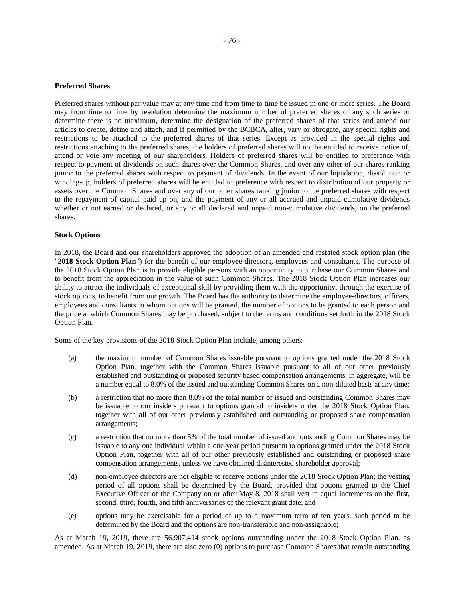#### **Preferred Shares**

Preferred shares without par value may at any time and from time to time be issued in one or more series. The Board may from time to time by resolution determine the maximum number of preferred shares of any such series or determine there is no maximum, determine the designation of the preferred shares of that series and amend our articles to create, define and attach, and if permitted by the BCBCA, alter, vary or abrogate, any special rights and restrictions to be attached to the preferred shares of that series. Except as provided in the special rights and restrictions attaching to the preferred shares, the holders of preferred shares will not be entitled to receive notice of, attend or vote any meeting of our shareholders. Holders of preferred shares will be entitled to preference with respect to payment of dividends on such shares over the Common Shares, and over any other of our shares ranking junior to the preferred shares with respect to payment of dividends. In the event of our liquidation, dissolution or winding-up, holders of preferred shares will be entitled to preference with respect to distribution of our property or assets over the Common Shares and over any of our other shares ranking junior to the preferred shares with respect to the repayment of capital paid up on, and the payment of any or all accrued and unpaid cumulative dividends whether or not earned or declared, or any or all declared and unpaid non-cumulative dividends, on the preferred shares.

#### **Stock Options**

In 2018, the Board and our shareholders approved the adoption of an amended and restated stock option plan (the "**2018 Stock Option Plan**") for the benefit of our employee-directors, employees and consultants. The purpose of the 2018 Stock Option Plan is to provide eligible persons with an opportunity to purchase our Common Shares and to benefit from the appreciation in the value of such Common Shares. The 2018 Stock Option Plan increases our ability to attract the individuals of exceptional skill by providing them with the opportunity, through the exercise of stock options, to benefit from our growth. The Board has the authority to determine the employee-directors, officers, employees and consultants to whom options will be granted, the number of options to be granted to each person and the price at which Common Shares may be purchased, subject to the terms and conditions set forth in the 2018 Stock Option Plan.

Some of the key provisions of the 2018 Stock Option Plan include, among others:

- (a) the maximum number of Common Shares issuable pursuant to options granted under the 2018 Stock Option Plan, together with the Common Shares issuable pursuant to all of our other previously established and outstanding or proposed security based compensation arrangements, in aggregate, will be a number equal to 8.0% of the issued and outstanding Common Shares on a non-diluted basis at any time;
- (b) a restriction that no more than 8.0% of the total number of issued and outstanding Common Shares may be issuable to our insiders pursuant to options granted to insiders under the 2018 Stock Option Plan, together with all of our other previously established and outstanding or proposed share compensation arrangements;
- (c) a restriction that no more than 5% of the total number of issued and outstanding Common Shares may be issuable to any one individual within a one-year period pursuant to options granted under the 2018 Stock Option Plan, together with all of our other previously established and outstanding or proposed share compensation arrangements, unless we have obtained disinterested shareholder approval;
- (d) non-employee directors are not eligible to receive options under the 2018 Stock Option Plan; the vesting period of all options shall be determined by the Board, provided that options granted to the Chief Executive Officer of the Company on or after May 8, 2018 shall vest in equal increments on the first, second, third, fourth, and fifth anniversaries of the relevant grant date; and
- (e) options may be exercisable for a period of up to a maximum term of ten years, such period to be determined by the Board and the options are non-transferable and non-assignable;

As at March 19, 2019, there are 56,907,414 stock options outstanding under the 2018 Stock Option Plan, as amended. As at March 19, 2019, there are also zero (0) options to purchase Common Shares that remain outstanding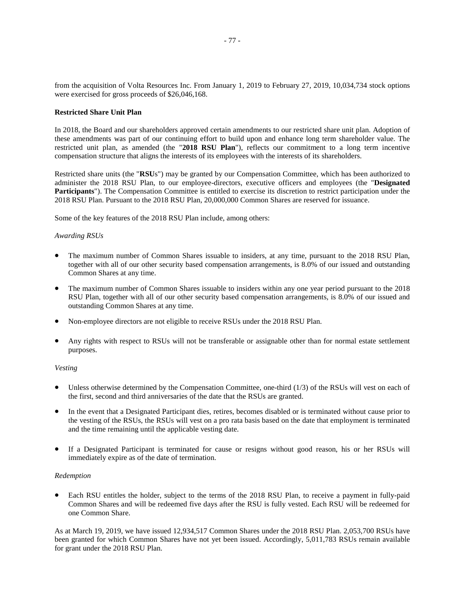from the acquisition of Volta Resources Inc. From January 1, 2019 to February 27, 2019, 10,034,734 stock options were exercised for gross proceeds of \$26,046,168.

### **Restricted Share Unit Plan**

In 2018, the Board and our shareholders approved certain amendments to our restricted share unit plan. Adoption of these amendments was part of our continuing effort to build upon and enhance long term shareholder value. The restricted unit plan, as amended (the "**2018 RSU Plan**"), reflects our commitment to a long term incentive compensation structure that aligns the interests of its employees with the interests of its shareholders.

Restricted share units (the "**RSU**s") may be granted by our Compensation Committee, which has been authorized to administer the 2018 RSU Plan, to our employee-directors, executive officers and employees (the "**Designated Participants**"). The Compensation Committee is entitled to exercise its discretion to restrict participation under the 2018 RSU Plan. Pursuant to the 2018 RSU Plan, 20,000,000 Common Shares are reserved for issuance.

Some of the key features of the 2018 RSU Plan include, among others:

#### *Awarding RSUs*

- The maximum number of Common Shares issuable to insiders, at any time, pursuant to the 2018 RSU Plan, together with all of our other security based compensation arrangements, is 8.0% of our issued and outstanding Common Shares at any time.
- The maximum number of Common Shares issuable to insiders within any one year period pursuant to the 2018 RSU Plan, together with all of our other security based compensation arrangements, is 8.0% of our issued and outstanding Common Shares at any time.
- Non-employee directors are not eligible to receive RSUs under the 2018 RSU Plan.
- Any rights with respect to RSUs will not be transferable or assignable other than for normal estate settlement purposes.

### *Vesting*

- Unless otherwise determined by the Compensation Committee, one-third (1/3) of the RSUs will vest on each of the first, second and third anniversaries of the date that the RSUs are granted.
- In the event that a Designated Participant dies, retires, becomes disabled or is terminated without cause prior to the vesting of the RSUs, the RSUs will vest on a pro rata basis based on the date that employment is terminated and the time remaining until the applicable vesting date.
- If a Designated Participant is terminated for cause or resigns without good reason, his or her RSUs will immediately expire as of the date of termination.

#### *Redemption*

• Each RSU entitles the holder, subject to the terms of the 2018 RSU Plan, to receive a payment in fully-paid Common Shares and will be redeemed five days after the RSU is fully vested. Each RSU will be redeemed for one Common Share.

As at March 19, 2019, we have issued 12,934,517 Common Shares under the 2018 RSU Plan. 2,053,700 RSUs have been granted for which Common Shares have not yet been issued. Accordingly, 5,011,783 RSUs remain available for grant under the 2018 RSU Plan.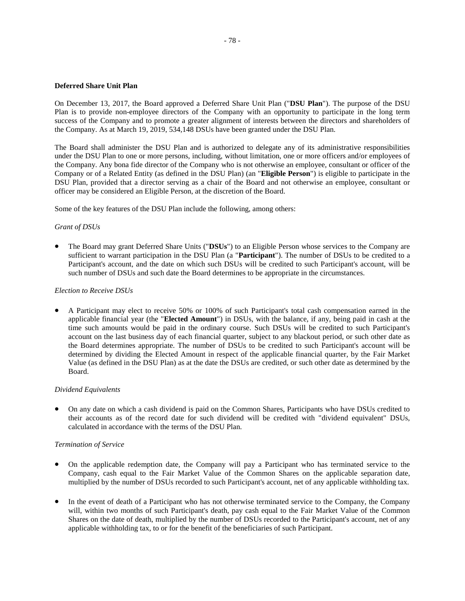#### **Deferred Share Unit Plan**

On December 13, 2017, the Board approved a Deferred Share Unit Plan ("**DSU Plan**"). The purpose of the DSU Plan is to provide non-employee directors of the Company with an opportunity to participate in the long term success of the Company and to promote a greater alignment of interests between the directors and shareholders of the Company. As at March 19, 2019, 534,148 DSUs have been granted under the DSU Plan.

The Board shall administer the DSU Plan and is authorized to delegate any of its administrative responsibilities under the DSU Plan to one or more persons, including, without limitation, one or more officers and/or employees of the Company. Any bona fide director of the Company who is not otherwise an employee, consultant or officer of the Company or of a Related Entity (as defined in the DSU Plan) (an "**Eligible Person**") is eligible to participate in the DSU Plan, provided that a director serving as a chair of the Board and not otherwise an employee, consultant or officer may be considered an Eligible Person, at the discretion of the Board.

Some of the key features of the DSU Plan include the following, among others:

#### *Grant of DSUs*

• The Board may grant Deferred Share Units ("**DSUs**") to an Eligible Person whose services to the Company are sufficient to warrant participation in the DSU Plan (a "**Participant**"). The number of DSUs to be credited to a Participant's account, and the date on which such DSUs will be credited to such Participant's account, will be such number of DSUs and such date the Board determines to be appropriate in the circumstances.

### *Election to Receive DSUs*

• A Participant may elect to receive 50% or 100% of such Participant's total cash compensation earned in the applicable financial year (the "**Elected Amount**") in DSUs, with the balance, if any, being paid in cash at the time such amounts would be paid in the ordinary course. Such DSUs will be credited to such Participant's account on the last business day of each financial quarter, subject to any blackout period, or such other date as the Board determines appropriate. The number of DSUs to be credited to such Participant's account will be determined by dividing the Elected Amount in respect of the applicable financial quarter, by the Fair Market Value (as defined in the DSU Plan) as at the date the DSUs are credited, or such other date as determined by the Board.

#### *Dividend Equivalents*

• On any date on which a cash dividend is paid on the Common Shares, Participants who have DSUs credited to their accounts as of the record date for such dividend will be credited with "dividend equivalent" DSUs, calculated in accordance with the terms of the DSU Plan.

### *Termination of Service*

- On the applicable redemption date, the Company will pay a Participant who has terminated service to the Company, cash equal to the Fair Market Value of the Common Shares on the applicable separation date, multiplied by the number of DSUs recorded to such Participant's account, net of any applicable withholding tax.
- In the event of death of a Participant who has not otherwise terminated service to the Company, the Company will, within two months of such Participant's death, pay cash equal to the Fair Market Value of the Common Shares on the date of death, multiplied by the number of DSUs recorded to the Participant's account, net of any applicable withholding tax, to or for the benefit of the beneficiaries of such Participant.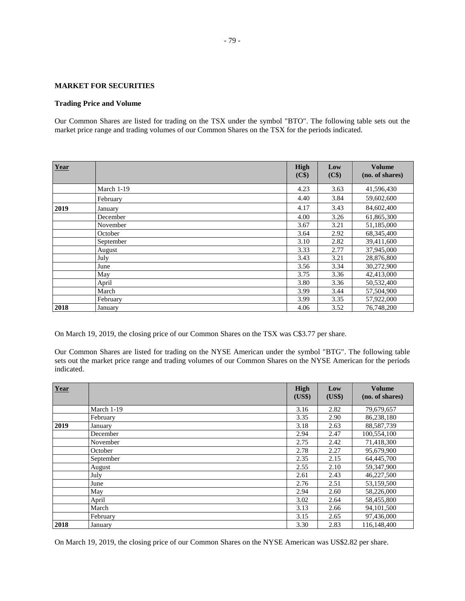## **MARKET FOR SECURITIES**

## **Trading Price and Volume**

Our Common Shares are listed for trading on the TSX under the symbol "BTO". The following table sets out the market price range and trading volumes of our Common Shares on the TSX for the periods indicated.

| Year |            | High<br>(C\$) | Low<br>$(C$ (C\spectrically) | <b>Volume</b><br>(no. of shares) |
|------|------------|---------------|------------------------------|----------------------------------|
|      | March 1-19 | 4.23          | 3.63                         | 41,596,430                       |
|      | February   | 4.40          | 3.84                         | 59,602,600                       |
| 2019 | January    | 4.17          | 3.43                         | 84,602,400                       |
|      | December   | 4.00          | 3.26                         | 61,865,300                       |
|      | November   | 3.67          | 3.21                         | 51,185,000                       |
|      | October    | 3.64          | 2.92                         | 68, 345, 400                     |
|      | September  | 3.10          | 2.82                         | 39,411,600                       |
|      | August     | 3.33          | 2.77                         | 37,945,000                       |
|      | July       | 3.43          | 3.21                         | 28,876,800                       |
|      | June       | 3.56          | 3.34                         | 30,272,900                       |
|      | May        | 3.75          | 3.36                         | 42,413,000                       |
|      | April      | 3.80          | 3.36                         | 50,532,400                       |
|      | March      | 3.99          | 3.44                         | 57,504,900                       |
|      | February   | 3.99          | 3.35                         | 57,922,000                       |
| 2018 | January    | 4.06          | 3.52                         | 76,748,200                       |

On March 19, 2019, the closing price of our Common Shares on the TSX was C\$3.77 per share.

Our Common Shares are listed for trading on the NYSE American under the symbol "BTG". The following table sets out the market price range and trading volumes of our Common Shares on the NYSE American for the periods indicated.

| Year |            | High<br>(US\$) | Low<br>(US\$) | <b>Volume</b><br>(no. of shares) |
|------|------------|----------------|---------------|----------------------------------|
|      | March 1-19 | 3.16           | 2.82          | 79,679,657                       |
|      | February   | 3.35           | 2.90          | 86,238,180                       |
| 2019 | January    | 3.18           | 2.63          | 88,587,739                       |
|      | December   | 2.94           | 2.47          | 100,554,100                      |
|      | November   | 2.75           | 2.42          | 71,418,300                       |
|      | October    | 2.78           | 2.27          | 95,679,900                       |
|      | September  | 2.35           | 2.15          | 64,445,700                       |
|      | August     | 2.55           | 2.10          | 59,347,900                       |
|      | July       | 2.61           | 2.43          | 46,227,500                       |
|      | June       | 2.76           | 2.51          | 53,159,500                       |
|      | May        | 2.94           | 2.60          | 58,226,000                       |
|      | April      | 3.02           | 2.64          | 58,455,800                       |
|      | March      | 3.13           | 2.66          | 94,101,500                       |
|      | February   | 3.15           | 2.65          | 97,436,000                       |
| 2018 | January    | 3.30           | 2.83          | 116,148,400                      |

On March 19, 2019, the closing price of our Common Shares on the NYSE American was US\$2.82 per share.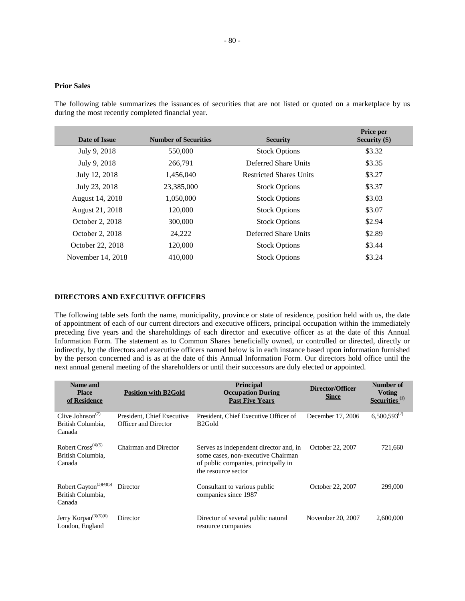# **Prior Sales**

The following table summarizes the issuances of securities that are not listed or quoted on a marketplace by us during the most recently completed financial year.

| Date of Issue      | <b>Number of Securities</b> | <b>Security</b>                | Price per<br>Security $(\$)$ |
|--------------------|-----------------------------|--------------------------------|------------------------------|
| July 9, 2018       | 550,000                     | <b>Stock Options</b>           | \$3.32                       |
| July 9, 2018       | 266,791                     | Deferred Share Units           | \$3.35                       |
| July 12, 2018      | 1,456,040                   | <b>Restricted Shares Units</b> | \$3.27                       |
| July 23, 2018      | 23,385,000                  | <b>Stock Options</b>           | \$3.37                       |
| August 14, 2018    | 1,050,000                   | <b>Stock Options</b>           | \$3.03                       |
| August 21, 2018    | 120,000                     | <b>Stock Options</b>           | \$3.07                       |
| October 2, 2018    | 300,000                     | <b>Stock Options</b>           | \$2.94                       |
| October 2, 2018    | 24,222                      | Deferred Share Units           | \$2.89                       |
| October 22, 2018   | 120,000                     | <b>Stock Options</b>           | \$3.44                       |
| November $14.2018$ | 410,000                     | <b>Stock Options</b>           | \$3.24                       |

# **DIRECTORS AND EXECUTIVE OFFICERS**

The following table sets forth the name, municipality, province or state of residence, position held with us, the date of appointment of each of our current directors and executive officers, principal occupation within the immediately preceding five years and the shareholdings of each director and executive officer as at the date of this Annual Information Form. The statement as to Common Shares beneficially owned, or controlled or directed, directly or indirectly, by the directors and executive officers named below is in each instance based upon information furnished by the person concerned and is as at the date of this Annual Information Form. Our directors hold office until the next annual general meeting of the shareholders or until their successors are duly elected or appointed.

| Name and<br><b>Place</b><br>of Residence                                 | <b>Position with B2Gold</b>                        | <b>Principal</b><br><b>Occupation During</b><br><b>Past Five Years</b>                                                                     | Director/Officer<br><b>Since</b> | Number of<br><b>Voting</b><br>Securities <sup>(1)</sup> |
|--------------------------------------------------------------------------|----------------------------------------------------|--------------------------------------------------------------------------------------------------------------------------------------------|----------------------------------|---------------------------------------------------------|
| Clive Johnson <sup><math>(7)</math></sup><br>British Columbia,<br>Canada | President, Chief Executive<br>Officer and Director | President, Chief Executive Officer of<br>B <sub>2</sub> Gold                                                                               | December 17, 2006                | $6,500,593^{(2)}$                                       |
| Robert $Cross^{(4)(5)}$<br>British Columbia.<br>Canada                   | Chairman and Director                              | Serves as independent director and, in<br>some cases, non-executive Chairman<br>of public companies, principally in<br>the resource sector | October 22, 2007                 | 721,660                                                 |
| Robert Gayton <sup>(3)(4)(5)</sup><br>British Columbia,<br>Canada        | Director                                           | Consultant to various public<br>companies since 1987                                                                                       | October 22, 2007                 | 299,000                                                 |
| Jerry Korpan $(3)(5)(6)$<br>London, England                              | Director                                           | Director of several public natural<br>resource companies                                                                                   | November 20, 2007                | 2,600,000                                               |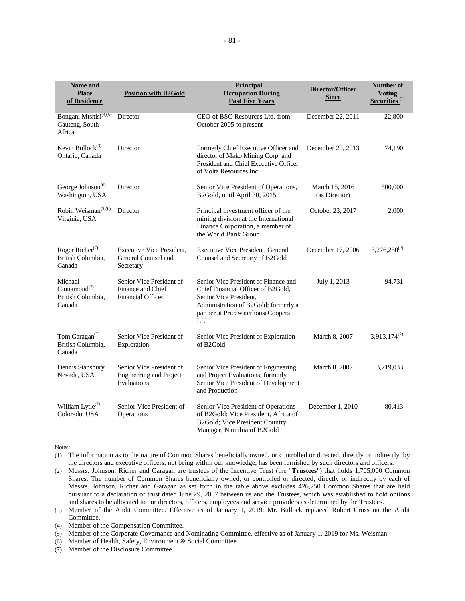| Name and<br><b>Place</b><br>of Residence                      | <b>Position with B2Gold</b>                                               | Principal<br><b>Occupation During</b><br><b>Past Five Years</b>                                                                                                                                 | Director/Officer<br>Since       | Number of<br><b>Voting</b><br>Securities <sup>(1)</sup> |
|---------------------------------------------------------------|---------------------------------------------------------------------------|-------------------------------------------------------------------------------------------------------------------------------------------------------------------------------------------------|---------------------------------|---------------------------------------------------------|
| Bongani Mtshisi <sup>(4)(6)</sup><br>Gauteng, South<br>Africa | Director                                                                  | CEO of BSC Resources Ltd. from<br>October 2005 to present                                                                                                                                       | December 22, 2011               | 22,800                                                  |
| Kevin Bullock <sup>(3)</sup><br>Ontario, Canada               | Director                                                                  | Formerly Chief Executive Officer and<br>director of Mako Mining Corp. and<br>President and Chief Executive Officer<br>of Volta Resources Inc.                                                   | December 20, 2013               | 74,190                                                  |
| George Johnson <sup>(6)</sup><br>Washington, USA              | Director                                                                  | Senior Vice President of Operations,<br>B <sub>2</sub> Gold, until April 30, 2015                                                                                                               | March 15, 2016<br>(as Director) | 500,000                                                 |
| Robin Weisman <sup>(5)(6)</sup><br>Virginia, USA              | Director                                                                  | Principal investment officer of the<br>mining division at the International<br>Finance Corporation, a member of<br>the World Bank Group                                                         | October 23, 2017                | 2,000                                                   |
| Roger Richer <sup>(7)</sup><br>British Columbia,<br>Canada    | <b>Executive Vice President,</b><br>General Counsel and<br>Secretary      | <b>Executive Vice President, General</b><br>Counsel and Secretary of B2Gold                                                                                                                     | December 17, 2006               | $3,276,250^{(2)}$                                       |
| Michael<br>$Cinnamond^{(7)}$<br>British Columbia,<br>Canada   | Senior Vice President of<br>Finance and Chief<br><b>Financial Officer</b> | Senior Vice President of Finance and<br>Chief Financial Officer of B2Gold,<br>Senior Vice President,<br>Administration of B2Gold; formerly a<br>partner at PricewaterhouseCoopers<br><b>LLP</b> | July 1, 2013                    | 94,731                                                  |
| Tom Garagan <sup>(7)</sup><br>British Columbia,<br>Canada     | Senior Vice President of<br>Exploration                                   | Senior Vice President of Exploration<br>of B <sub>2</sub> Gold                                                                                                                                  | March 8, 2007                   | 3,913,174 <sup>(2)</sup>                                |
| Dennis Stansbury<br>Nevada, USA                               | Senior Vice President of<br><b>Engineering and Project</b><br>Evaluations | Senior Vice President of Engineering<br>and Project Evaluations; formerly<br>Senior Vice President of Development<br>and Production                                                             | March 8, 2007                   | 3,219,033                                               |
| William Lytle $(7)$<br>Colorado, USA                          | Senior Vice President of<br>Operations                                    | Senior Vice President of Operations<br>of B2Gold; Vice President, Africa of<br>B <sub>2</sub> Gold; Vice President Country<br>Manager, Namibia of B2Gold                                        | December 1, 2010                | 80,413                                                  |

Notes:

(1) The information as to the nature of Common Shares beneficially owned, or controlled or directed, directly or indirectly, by the directors and executive officers, not being within our knowledge, has been furnished by such directors and officers.

- (2) Messrs. Johnson, Richer and Garagan are trustees of the Incentive Trust (the "**Trustees**") that holds 1,705,000 Common Shares. The number of Common Shares beneficially owned, or controlled or directed, directly or indirectly by each of Messrs. Johnson, Richer and Garagan as set forth in the table above excludes 426,250 Common Shares that are held pursuant to a declaration of trust dated June 29, 2007 between us and the Trustees, which was established to hold options and shares to be allocated to our directors, officers, employees and service providers as determined by the Trustees.
- (3) Member of the Audit Committee. Effective as of January 1, 2019, Mr. Bullock replaced Robert Cross on the Audit Committee.
- (4) Member of the Compensation Committee.
- (5) Member of the Corporate Governance and Nominating Committee, effective as of January 1, 2019 for Ms. Weisman.
- (6) Member of Health, Safety, Environment & Social Committee.
- (7) Member of the Disclosure Committee.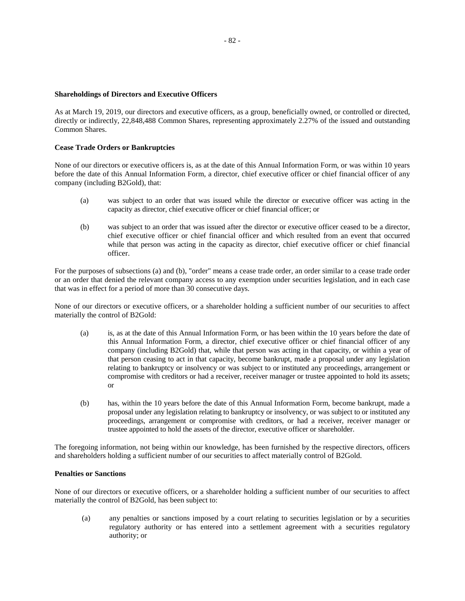#### **Shareholdings of Directors and Executive Officers**

As at March 19, 2019, our directors and executive officers, as a group, beneficially owned, or controlled or directed, directly or indirectly, 22,848,488 Common Shares, representing approximately 2.27% of the issued and outstanding Common Shares.

#### **Cease Trade Orders or Bankruptcies**

None of our directors or executive officers is, as at the date of this Annual Information Form, or was within 10 years before the date of this Annual Information Form, a director, chief executive officer or chief financial officer of any company (including B2Gold), that:

- (a) was subject to an order that was issued while the director or executive officer was acting in the capacity as director, chief executive officer or chief financial officer; or
- (b) was subject to an order that was issued after the director or executive officer ceased to be a director, chief executive officer or chief financial officer and which resulted from an event that occurred while that person was acting in the capacity as director, chief executive officer or chief financial officer.

For the purposes of subsections (a) and (b), "order" means a cease trade order, an order similar to a cease trade order or an order that denied the relevant company access to any exemption under securities legislation, and in each case that was in effect for a period of more than 30 consecutive days.

None of our directors or executive officers, or a shareholder holding a sufficient number of our securities to affect materially the control of B2Gold:

- (a) is, as at the date of this Annual Information Form, or has been within the 10 years before the date of this Annual Information Form, a director, chief executive officer or chief financial officer of any company (including B2Gold) that, while that person was acting in that capacity, or within a year of that person ceasing to act in that capacity, become bankrupt, made a proposal under any legislation relating to bankruptcy or insolvency or was subject to or instituted any proceedings, arrangement or compromise with creditors or had a receiver, receiver manager or trustee appointed to hold its assets; or
- (b) has, within the 10 years before the date of this Annual Information Form, become bankrupt, made a proposal under any legislation relating to bankruptcy or insolvency, or was subject to or instituted any proceedings, arrangement or compromise with creditors, or had a receiver, receiver manager or trustee appointed to hold the assets of the director, executive officer or shareholder.

The foregoing information, not being within our knowledge, has been furnished by the respective directors, officers and shareholders holding a sufficient number of our securities to affect materially control of B2Gold.

## **Penalties or Sanctions**

None of our directors or executive officers, or a shareholder holding a sufficient number of our securities to affect materially the control of B2Gold, has been subject to:

(a) any penalties or sanctions imposed by a court relating to securities legislation or by a securities regulatory authority or has entered into a settlement agreement with a securities regulatory authority; or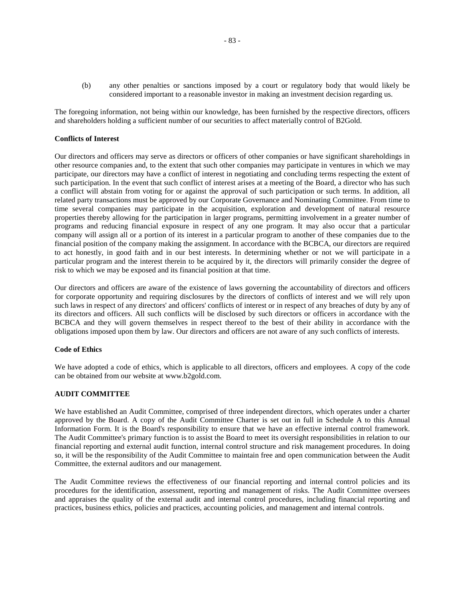(b) any other penalties or sanctions imposed by a court or regulatory body that would likely be considered important to a reasonable investor in making an investment decision regarding us.

The foregoing information, not being within our knowledge, has been furnished by the respective directors, officers and shareholders holding a sufficient number of our securities to affect materially control of B2Gold.

### **Conflicts of Interest**

Our directors and officers may serve as directors or officers of other companies or have significant shareholdings in other resource companies and, to the extent that such other companies may participate in ventures in which we may participate, our directors may have a conflict of interest in negotiating and concluding terms respecting the extent of such participation. In the event that such conflict of interest arises at a meeting of the Board, a director who has such a conflict will abstain from voting for or against the approval of such participation or such terms. In addition, all related party transactions must be approved by our Corporate Governance and Nominating Committee. From time to time several companies may participate in the acquisition, exploration and development of natural resource properties thereby allowing for the participation in larger programs, permitting involvement in a greater number of programs and reducing financial exposure in respect of any one program. It may also occur that a particular company will assign all or a portion of its interest in a particular program to another of these companies due to the financial position of the company making the assignment. In accordance with the BCBCA, our directors are required to act honestly, in good faith and in our best interests. In determining whether or not we will participate in a particular program and the interest therein to be acquired by it, the directors will primarily consider the degree of risk to which we may be exposed and its financial position at that time.

Our directors and officers are aware of the existence of laws governing the accountability of directors and officers for corporate opportunity and requiring disclosures by the directors of conflicts of interest and we will rely upon such laws in respect of any directors' and officers' conflicts of interest or in respect of any breaches of duty by any of its directors and officers. All such conflicts will be disclosed by such directors or officers in accordance with the BCBCA and they will govern themselves in respect thereof to the best of their ability in accordance with the obligations imposed upon them by law. Our directors and officers are not aware of any such conflicts of interests.

### **Code of Ethics**

We have adopted a code of ethics, which is applicable to all directors, officers and employees. A copy of the code can be obtained from our website at www.b2gold.com.

### **AUDIT COMMITTEE**

We have established an Audit Committee, comprised of three independent directors, which operates under a charter approved by the Board. A copy of the Audit Committee Charter is set out in full in Schedule A to this Annual Information Form. It is the Board's responsibility to ensure that we have an effective internal control framework. The Audit Committee's primary function is to assist the Board to meet its oversight responsibilities in relation to our financial reporting and external audit function, internal control structure and risk management procedures. In doing so, it will be the responsibility of the Audit Committee to maintain free and open communication between the Audit Committee, the external auditors and our management.

The Audit Committee reviews the effectiveness of our financial reporting and internal control policies and its procedures for the identification, assessment, reporting and management of risks. The Audit Committee oversees and appraises the quality of the external audit and internal control procedures, including financial reporting and practices, business ethics, policies and practices, accounting policies, and management and internal controls.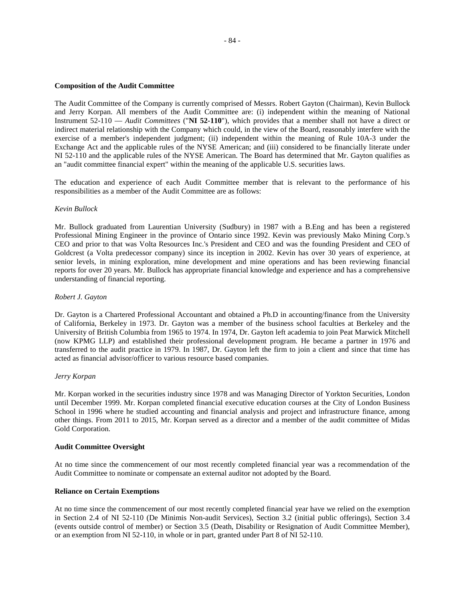#### **Composition of the Audit Committee**

The Audit Committee of the Company is currently comprised of Messrs. Robert Gayton (Chairman), Kevin Bullock and Jerry Korpan. All members of the Audit Committee are: (i) independent within the meaning of National Instrument 52-110 — *Audit Committees* ("**NI 52-110**"), which provides that a member shall not have a direct or indirect material relationship with the Company which could, in the view of the Board, reasonably interfere with the exercise of a member's independent judgment; (ii) independent within the meaning of Rule 10A-3 under the Exchange Act and the applicable rules of the NYSE American; and (iii) considered to be financially literate under NI 52-110 and the applicable rules of the NYSE American. The Board has determined that Mr. Gayton qualifies as an "audit committee financial expert" within the meaning of the applicable U.S. securities laws.

The education and experience of each Audit Committee member that is relevant to the performance of his responsibilities as a member of the Audit Committee are as follows:

### *Kevin Bullock*

Mr. Bullock graduated from Laurentian University (Sudbury) in 1987 with a B.Eng and has been a registered Professional Mining Engineer in the province of Ontario since 1992. Kevin was previously Mako Mining Corp.'s CEO and prior to that was Volta Resources Inc.'s President and CEO and was the founding President and CEO of Goldcrest (a Volta predecessor company) since its inception in 2002. Kevin has over 30 years of experience, at senior levels, in mining exploration, mine development and mine operations and has been reviewing financial reports for over 20 years. Mr. Bullock has appropriate financial knowledge and experience and has a comprehensive understanding of financial reporting.

### *Robert J. Gayton*

Dr. Gayton is a Chartered Professional Accountant and obtained a Ph.D in accounting/finance from the University of California, Berkeley in 1973. Dr. Gayton was a member of the business school faculties at Berkeley and the University of British Columbia from 1965 to 1974. In 1974, Dr. Gayton left academia to join Peat Marwick Mitchell (now KPMG LLP) and established their professional development program. He became a partner in 1976 and transferred to the audit practice in 1979. In 1987, Dr. Gayton left the firm to join a client and since that time has acted as financial advisor/officer to various resource based companies.

#### *Jerry Korpan*

Mr. Korpan worked in the securities industry since 1978 and was Managing Director of Yorkton Securities, London until December 1999. Mr. Korpan completed financial executive education courses at the City of London Business School in 1996 where he studied accounting and financial analysis and project and infrastructure finance, among other things. From 2011 to 2015, Mr. Korpan served as a director and a member of the audit committee of Midas Gold Corporation.

#### **Audit Committee Oversight**

At no time since the commencement of our most recently completed financial year was a recommendation of the Audit Committee to nominate or compensate an external auditor not adopted by the Board.

#### **Reliance on Certain Exemptions**

At no time since the commencement of our most recently completed financial year have we relied on the exemption in Section 2.4 of NI 52-110 (De Minimis Non-audit Services), Section 3.2 (initial public offerings), Section 3.4 (events outside control of member) or Section 3.5 (Death, Disability or Resignation of Audit Committee Member), or an exemption from NI 52-110, in whole or in part, granted under Part 8 of NI 52-110.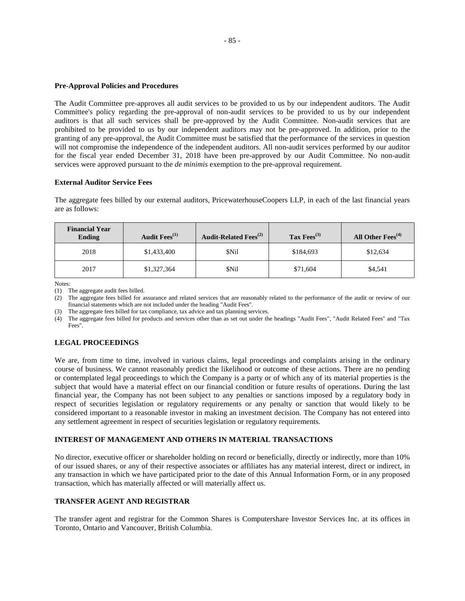#### **Pre-Approval Policies and Procedures**

The Audit Committee pre-approves all audit services to be provided to us by our independent auditors. The Audit Committee's policy regarding the pre-approval of non-audit services to be provided to us by our independent auditors is that all such services shall be pre-approved by the Audit Committee. Non-audit services that are prohibited to be provided to us by our independent auditors may not be pre-approved. In addition, prior to the granting of any pre-approval, the Audit Committee must be satisfied that the performance of the services in question will not compromise the independence of the independent auditors. All non-audit services performed by our auditor for the fiscal year ended December 31, 2018 have been pre-approved by our Audit Committee. No non-audit services were approved pursuant to the *de minimis* exemption to the pre-approval requirement.

#### **External Auditor Service Fees**

The aggregate fees billed by our external auditors, PricewaterhouseCoopers LLP, in each of the last financial years are as follows:

| <b>Financial Year</b><br><b>Ending</b> | Audit Fees <sup>(1)</sup> | <b>Audit-Related Fees</b> <sup>(2)</sup> | Tax $Fees^{(3)}$ | All Other Fees <sup>(4)</sup> |
|----------------------------------------|---------------------------|------------------------------------------|------------------|-------------------------------|
| 2018                                   | \$1,433,400               | \$Nil                                    | \$184,693        | \$12,634                      |
| 2017                                   | \$1,327,364               | \$Nil                                    | \$71,604         | \$4,541                       |

Notes:

## **LEGAL PROCEEDINGS**

We are, from time to time, involved in various claims, legal proceedings and complaints arising in the ordinary course of business. We cannot reasonably predict the likelihood or outcome of these actions. There are no pending or contemplated legal proceedings to which the Company is a party or of which any of its material properties is the subject that would have a material effect on our financial condition or future results of operations. During the last financial year, the Company has not been subject to any penalties or sanctions imposed by a regulatory body in respect of securities legislation or regulatory requirements or any penalty or sanction that would likely to be considered important to a reasonable investor in making an investment decision. The Company has not entered into any settlement agreement in respect of securities legislation or regulatory requirements.

### **INTEREST OF MANAGEMENT AND OTHERS IN MATERIAL TRANSACTIONS**

No director, executive officer or shareholder holding on record or beneficially, directly or indirectly, more than 10% of our issued shares, or any of their respective associates or affiliates has any material interest, direct or indirect, in any transaction in which we have participated prior to the date of this Annual Information Form, or in any proposed transaction, which has materially affected or will materially affect us.

# **TRANSFER AGENT AND REGISTRAR**

The transfer agent and registrar for the Common Shares is Computershare Investor Services Inc. at its offices in Toronto, Ontario and Vancouver, British Columbia.

<sup>(1)</sup> The aggregate audit fees billed.

<sup>(2)</sup> The aggregate fees billed for assurance and related services that are reasonably related to the performance of the audit or review of our financial statements which are not included under the heading "Audit Fees".

<sup>(3)</sup> The aggregate fees billed for tax compliance, tax advice and tax planning services.

<sup>(4)</sup> The aggregate fees billed for products and services other than as set out under the headings "Audit Fees", "Audit Related Fees" and "Tax Fees".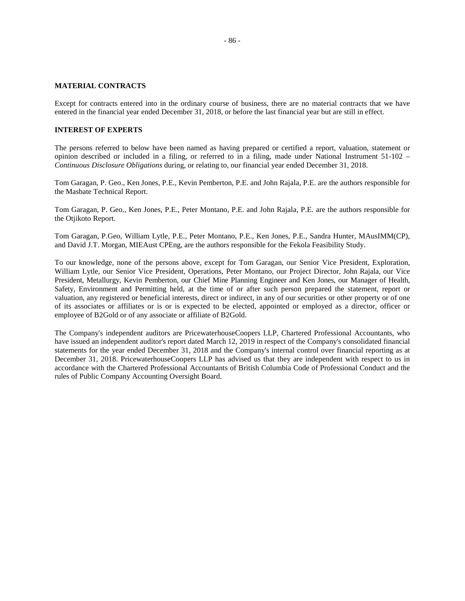#### **MATERIAL CONTRACTS**

Except for contracts entered into in the ordinary course of business, there are no material contracts that we have entered in the financial year ended December 31, 2018, or before the last financial year but are still in effect.

### **INTEREST OF EXPERTS**

The persons referred to below have been named as having prepared or certified a report, valuation, statement or opinion described or included in a filing, or referred to in a filing, made under National Instrument 51-102 – *Continuous Disclosure Obligations* during, or relating to, our financial year ended December 31, 2018.

Tom Garagan, P. Geo., Ken Jones, P.E., Kevin Pemberton, P.E. and John Rajala, P.E. are the authors responsible for the Masbate Technical Report.

Tom Garagan, P. Geo., Ken Jones, P.E., Peter Montano, P.E. and John Rajala, P.E. are the authors responsible for the Otjikoto Report.

Tom Garagan, P.Geo, William Lytle, P.E., Peter Montano, P.E., Ken Jones, P.E., Sandra Hunter, MAusIMM(CP), and David J.T. Morgan, MIEAust CPEng, are the authors responsible for the Fekola Feasibility Study.

To our knowledge, none of the persons above, except for Tom Garagan, our Senior Vice President, Exploration, William Lytle, our Senior Vice President, Operations, Peter Montano, our Project Director, John Rajala, our Vice President, Metallurgy, Kevin Pemberton, our Chief Mine Planning Engineer and Ken Jones, our Manager of Health, Safety, Environment and Permitting held, at the time of or after such person prepared the statement, report or valuation, any registered or beneficial interests, direct or indirect, in any of our securities or other property or of one of its associates or affiliates or is or is expected to be elected, appointed or employed as a director, officer or employee of B2Gold or of any associate or affiliate of B2Gold.

The Company's independent auditors are PricewaterhouseCoopers LLP, Chartered Professional Accountants, who have issued an independent auditor's report dated March 12, 2019 in respect of the Company's consolidated financial statements for the year ended December 31, 2018 and the Company's internal control over financial reporting as at December 31, 2018. PricewaterhouseCoopers LLP has advised us that they are independent with respect to us in accordance with the Chartered Professional Accountants of British Columbia Code of Professional Conduct and the rules of Public Company Accounting Oversight Board.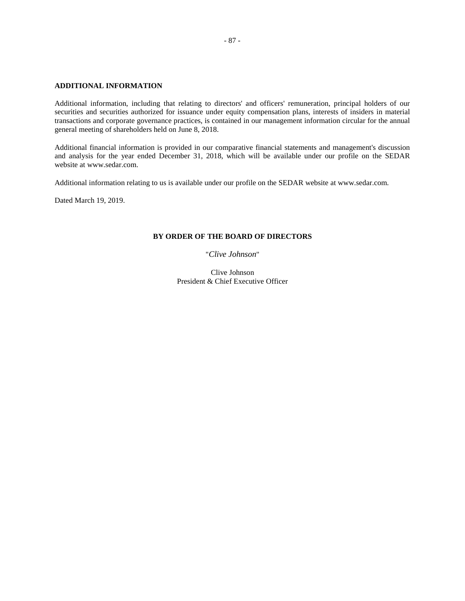## **ADDITIONAL INFORMATION**

Additional information, including that relating to directors' and officers' remuneration, principal holders of our securities and securities authorized for issuance under equity compensation plans, interests of insiders in material transactions and corporate governance practices, is contained in our management information circular for the annual general meeting of shareholders held on June 8, 2018.

Additional financial information is provided in our comparative financial statements and management's discussion and analysis for the year ended December 31, 2018, which will be available under our profile on the SEDAR website at www.sedar.com.

Additional information relating to us is available under our profile on the SEDAR website at www.sedar.com.

Dated March 19, 2019.

#### **BY ORDER OF THE BOARD OF DIRECTORS**

"*Clive Johnson*"

Clive Johnson President & Chief Executive Officer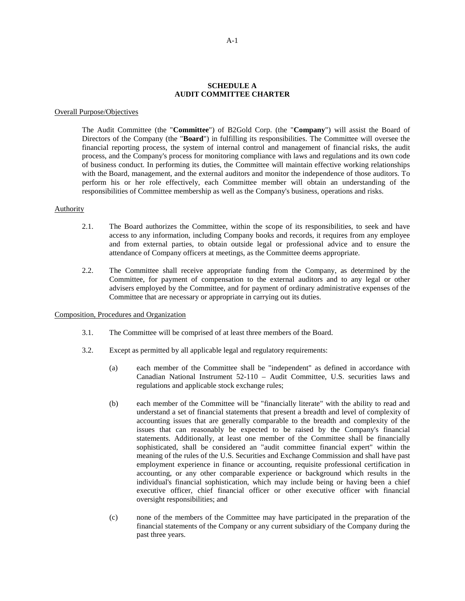#### **SCHEDULE A AUDIT COMMITTEE CHARTER**

#### Overall Purpose/Objectives

The Audit Committee (the "**Committee**") of B2Gold Corp. (the "**Company**") will assist the Board of Directors of the Company (the "**Board**") in fulfilling its responsibilities. The Committee will oversee the financial reporting process, the system of internal control and management of financial risks, the audit process, and the Company's process for monitoring compliance with laws and regulations and its own code of business conduct. In performing its duties, the Committee will maintain effective working relationships with the Board, management, and the external auditors and monitor the independence of those auditors. To perform his or her role effectively, each Committee member will obtain an understanding of the responsibilities of Committee membership as well as the Company's business, operations and risks.

#### **Authority**

- 2.1. The Board authorizes the Committee, within the scope of its responsibilities, to seek and have access to any information, including Company books and records, it requires from any employee and from external parties, to obtain outside legal or professional advice and to ensure the attendance of Company officers at meetings, as the Committee deems appropriate.
- 2.2. The Committee shall receive appropriate funding from the Company, as determined by the Committee, for payment of compensation to the external auditors and to any legal or other advisers employed by the Committee, and for payment of ordinary administrative expenses of the Committee that are necessary or appropriate in carrying out its duties.

#### Composition, Procedures and Organization

- 3.1. The Committee will be comprised of at least three members of the Board.
- 3.2. Except as permitted by all applicable legal and regulatory requirements:
	- (a) each member of the Committee shall be "independent" as defined in accordance with Canadian National Instrument 52-110 – Audit Committee, U.S. securities laws and regulations and applicable stock exchange rules;
	- (b) each member of the Committee will be "financially literate" with the ability to read and understand a set of financial statements that present a breadth and level of complexity of accounting issues that are generally comparable to the breadth and complexity of the issues that can reasonably be expected to be raised by the Company's financial statements. Additionally, at least one member of the Committee shall be financially sophisticated, shall be considered an "audit committee financial expert" within the meaning of the rules of the U.S. Securities and Exchange Commission and shall have past employment experience in finance or accounting, requisite professional certification in accounting, or any other comparable experience or background which results in the individual's financial sophistication, which may include being or having been a chief executive officer, chief financial officer or other executive officer with financial oversight responsibilities; and
	- (c) none of the members of the Committee may have participated in the preparation of the financial statements of the Company or any current subsidiary of the Company during the past three years.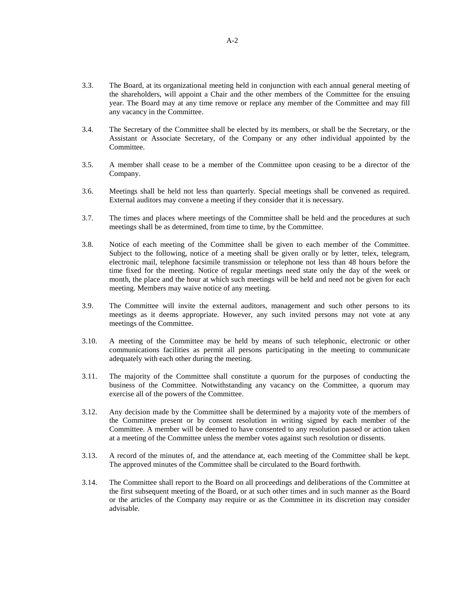- 3.3. The Board, at its organizational meeting held in conjunction with each annual general meeting of the shareholders, will appoint a Chair and the other members of the Committee for the ensuing year. The Board may at any time remove or replace any member of the Committee and may fill any vacancy in the Committee.
- 3.4. The Secretary of the Committee shall be elected by its members, or shall be the Secretary, or the Assistant or Associate Secretary, of the Company or any other individual appointed by the Committee.
- 3.5. A member shall cease to be a member of the Committee upon ceasing to be a director of the Company.
- 3.6. Meetings shall be held not less than quarterly. Special meetings shall be convened as required. External auditors may convene a meeting if they consider that it is necessary.
- 3.7. The times and places where meetings of the Committee shall be held and the procedures at such meetings shall be as determined, from time to time, by the Committee.
- 3.8. Notice of each meeting of the Committee shall be given to each member of the Committee. Subject to the following, notice of a meeting shall be given orally or by letter, telex, telegram, electronic mail, telephone facsimile transmission or telephone not less than 48 hours before the time fixed for the meeting. Notice of regular meetings need state only the day of the week or month, the place and the hour at which such meetings will be held and need not be given for each meeting. Members may waive notice of any meeting.
- 3.9. The Committee will invite the external auditors, management and such other persons to its meetings as it deems appropriate. However, any such invited persons may not vote at any meetings of the Committee.
- 3.10. A meeting of the Committee may be held by means of such telephonic, electronic or other communications facilities as permit all persons participating in the meeting to communicate adequately with each other during the meeting.
- 3.11. The majority of the Committee shall constitute a quorum for the purposes of conducting the business of the Committee. Notwithstanding any vacancy on the Committee, a quorum may exercise all of the powers of the Committee.
- 3.12. Any decision made by the Committee shall be determined by a majority vote of the members of the Committee present or by consent resolution in writing signed by each member of the Committee. A member will be deemed to have consented to any resolution passed or action taken at a meeting of the Committee unless the member votes against such resolution or dissents.
- 3.13. A record of the minutes of, and the attendance at, each meeting of the Committee shall be kept. The approved minutes of the Committee shall be circulated to the Board forthwith.
- 3.14. The Committee shall report to the Board on all proceedings and deliberations of the Committee at the first subsequent meeting of the Board, or at such other times and in such manner as the Board or the articles of the Company may require or as the Committee in its discretion may consider advisable.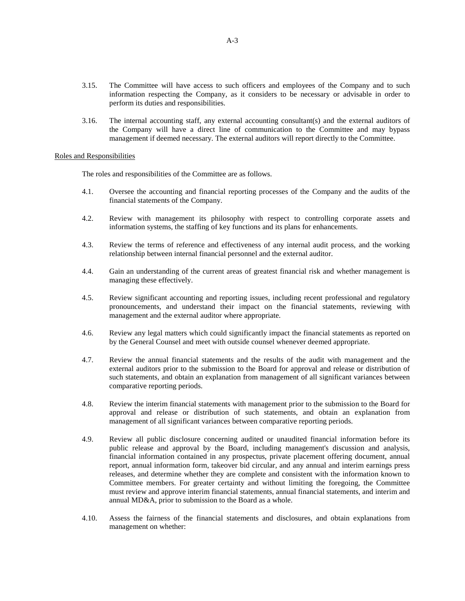- 3.15. The Committee will have access to such officers and employees of the Company and to such information respecting the Company, as it considers to be necessary or advisable in order to perform its duties and responsibilities.
- 3.16. The internal accounting staff, any external accounting consultant(s) and the external auditors of the Company will have a direct line of communication to the Committee and may bypass management if deemed necessary. The external auditors will report directly to the Committee.

#### Roles and Responsibilities

The roles and responsibilities of the Committee are as follows.

- 4.1. Oversee the accounting and financial reporting processes of the Company and the audits of the financial statements of the Company.
- 4.2. Review with management its philosophy with respect to controlling corporate assets and information systems, the staffing of key functions and its plans for enhancements.
- 4.3. Review the terms of reference and effectiveness of any internal audit process, and the working relationship between internal financial personnel and the external auditor.
- 4.4. Gain an understanding of the current areas of greatest financial risk and whether management is managing these effectively.
- 4.5. Review significant accounting and reporting issues, including recent professional and regulatory pronouncements, and understand their impact on the financial statements, reviewing with management and the external auditor where appropriate.
- 4.6. Review any legal matters which could significantly impact the financial statements as reported on by the General Counsel and meet with outside counsel whenever deemed appropriate.
- 4.7. Review the annual financial statements and the results of the audit with management and the external auditors prior to the submission to the Board for approval and release or distribution of such statements, and obtain an explanation from management of all significant variances between comparative reporting periods.
- 4.8. Review the interim financial statements with management prior to the submission to the Board for approval and release or distribution of such statements, and obtain an explanation from management of all significant variances between comparative reporting periods.
- 4.9. Review all public disclosure concerning audited or unaudited financial information before its public release and approval by the Board, including management's discussion and analysis, financial information contained in any prospectus, private placement offering document, annual report, annual information form, takeover bid circular, and any annual and interim earnings press releases, and determine whether they are complete and consistent with the information known to Committee members. For greater certainty and without limiting the foregoing, the Committee must review and approve interim financial statements, annual financial statements, and interim and annual MD&A, prior to submission to the Board as a whole.
- 4.10. Assess the fairness of the financial statements and disclosures, and obtain explanations from management on whether: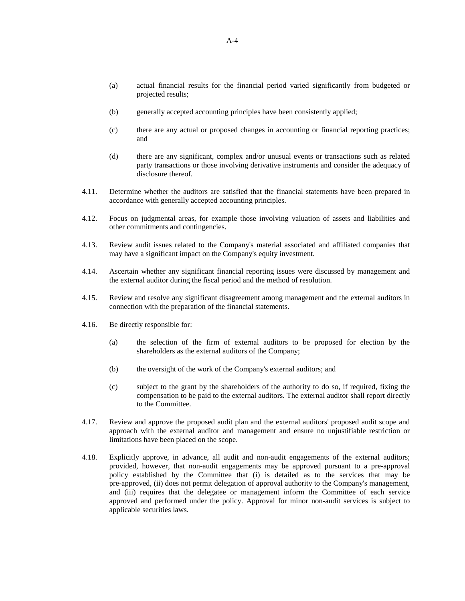- (a) actual financial results for the financial period varied significantly from budgeted or projected results;
- (b) generally accepted accounting principles have been consistently applied;
- (c) there are any actual or proposed changes in accounting or financial reporting practices; and
- (d) there are any significant, complex and/or unusual events or transactions such as related party transactions or those involving derivative instruments and consider the adequacy of disclosure thereof.
- 4.11. Determine whether the auditors are satisfied that the financial statements have been prepared in accordance with generally accepted accounting principles.
- 4.12. Focus on judgmental areas, for example those involving valuation of assets and liabilities and other commitments and contingencies.
- 4.13. Review audit issues related to the Company's material associated and affiliated companies that may have a significant impact on the Company's equity investment.
- 4.14. Ascertain whether any significant financial reporting issues were discussed by management and the external auditor during the fiscal period and the method of resolution.
- 4.15. Review and resolve any significant disagreement among management and the external auditors in connection with the preparation of the financial statements.
- 4.16. Be directly responsible for:
	- (a) the selection of the firm of external auditors to be proposed for election by the shareholders as the external auditors of the Company;
	- (b) the oversight of the work of the Company's external auditors; and
	- (c) subject to the grant by the shareholders of the authority to do so, if required, fixing the compensation to be paid to the external auditors. The external auditor shall report directly to the Committee.
- 4.17. Review and approve the proposed audit plan and the external auditors' proposed audit scope and approach with the external auditor and management and ensure no unjustifiable restriction or limitations have been placed on the scope.
- 4.18. Explicitly approve, in advance, all audit and non-audit engagements of the external auditors; provided, however, that non-audit engagements may be approved pursuant to a pre-approval policy established by the Committee that (i) is detailed as to the services that may be pre-approved, (ii) does not permit delegation of approval authority to the Company's management, and (iii) requires that the delegatee or management inform the Committee of each service approved and performed under the policy. Approval for minor non-audit services is subject to applicable securities laws.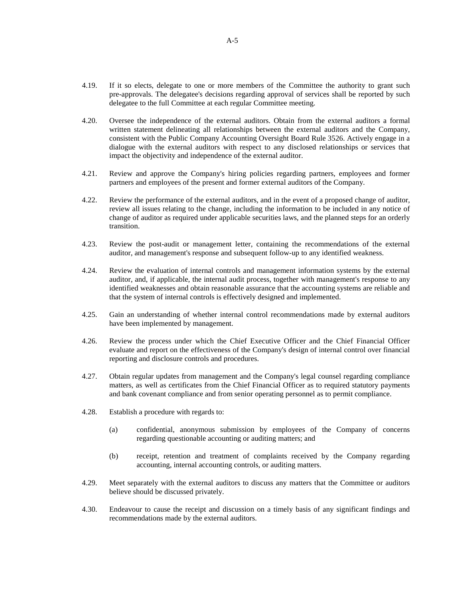- 4.19. If it so elects, delegate to one or more members of the Committee the authority to grant such pre-approvals. The delegatee's decisions regarding approval of services shall be reported by such delegatee to the full Committee at each regular Committee meeting.
- 4.20. Oversee the independence of the external auditors. Obtain from the external auditors a formal written statement delineating all relationships between the external auditors and the Company, consistent with the Public Company Accounting Oversight Board Rule 3526. Actively engage in a dialogue with the external auditors with respect to any disclosed relationships or services that impact the objectivity and independence of the external auditor.
- 4.21. Review and approve the Company's hiring policies regarding partners, employees and former partners and employees of the present and former external auditors of the Company.
- 4.22. Review the performance of the external auditors, and in the event of a proposed change of auditor, review all issues relating to the change, including the information to be included in any notice of change of auditor as required under applicable securities laws, and the planned steps for an orderly transition.
- 4.23. Review the post-audit or management letter, containing the recommendations of the external auditor, and management's response and subsequent follow-up to any identified weakness.
- 4.24. Review the evaluation of internal controls and management information systems by the external auditor, and, if applicable, the internal audit process, together with management's response to any identified weaknesses and obtain reasonable assurance that the accounting systems are reliable and that the system of internal controls is effectively designed and implemented.
- 4.25. Gain an understanding of whether internal control recommendations made by external auditors have been implemented by management.
- 4.26. Review the process under which the Chief Executive Officer and the Chief Financial Officer evaluate and report on the effectiveness of the Company's design of internal control over financial reporting and disclosure controls and procedures.
- 4.27. Obtain regular updates from management and the Company's legal counsel regarding compliance matters, as well as certificates from the Chief Financial Officer as to required statutory payments and bank covenant compliance and from senior operating personnel as to permit compliance.
- 4.28. Establish a procedure with regards to:
	- (a) confidential, anonymous submission by employees of the Company of concerns regarding questionable accounting or auditing matters; and
	- (b) receipt, retention and treatment of complaints received by the Company regarding accounting, internal accounting controls, or auditing matters.
- 4.29. Meet separately with the external auditors to discuss any matters that the Committee or auditors believe should be discussed privately.
- 4.30. Endeavour to cause the receipt and discussion on a timely basis of any significant findings and recommendations made by the external auditors.